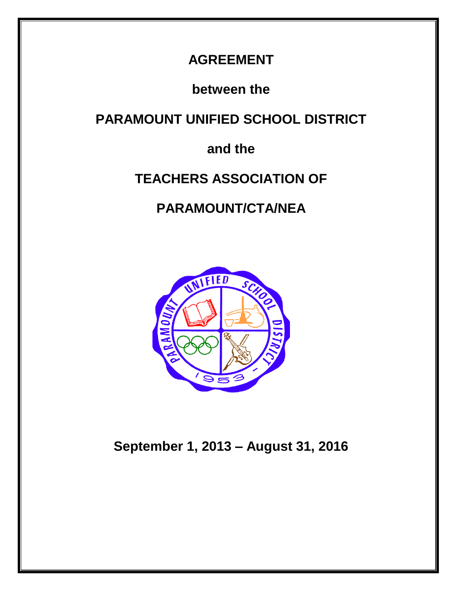## **AGREEMENT**

**between the**

**PARAMOUNT UNIFIED SCHOOL DISTRICT**

## **and the**

## **TEACHERS ASSOCIATION OF**

## **PARAMOUNT/CTA/NEA**



**September 1, 2013 – August 31, 2016**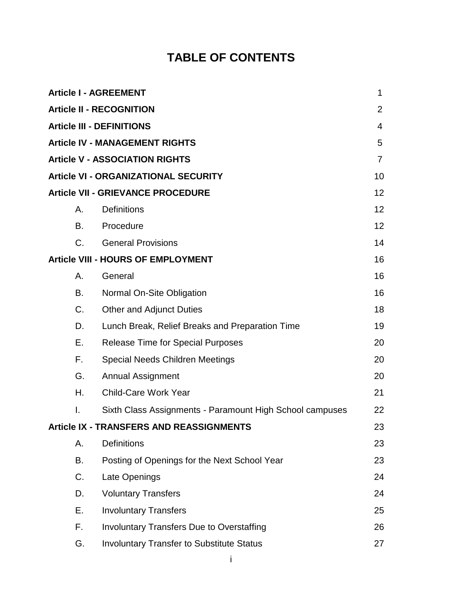## **TABLE OF CONTENTS**

|    | <b>Article I - AGREEMENT</b>                             | 1  |
|----|----------------------------------------------------------|----|
|    | <b>Article II - RECOGNITION</b>                          | 2  |
|    | <b>Article III - DEFINITIONS</b>                         | 4  |
|    | <b>Article IV - MANAGEMENT RIGHTS</b>                    | 5  |
|    | <b>Article V - ASSOCIATION RIGHTS</b>                    | 7  |
|    | <b>Article VI - ORGANIZATIONAL SECURITY</b>              | 10 |
|    | <b>Article VII - GRIEVANCE PROCEDURE</b>                 | 12 |
| А. | <b>Definitions</b>                                       | 12 |
| В. | Procedure                                                | 12 |
| C. | <b>General Provisions</b>                                | 14 |
|    | <b>Article VIII - HOURS OF EMPLOYMENT</b>                | 16 |
| А. | General                                                  | 16 |
| В. | Normal On-Site Obligation                                | 16 |
| C. | <b>Other and Adjunct Duties</b>                          | 18 |
| D. | Lunch Break, Relief Breaks and Preparation Time          | 19 |
| Е. | <b>Release Time for Special Purposes</b>                 | 20 |
| F. | <b>Special Needs Children Meetings</b>                   | 20 |
| G. | <b>Annual Assignment</b>                                 | 20 |
| Η. | <b>Child-Care Work Year</b>                              | 21 |
| I. | Sixth Class Assignments - Paramount High School campuses | 22 |
|    | <b>Article IX - TRANSFERS AND REASSIGNMENTS</b>          | 23 |
| А. | <b>Definitions</b>                                       | 23 |
| В. | Posting of Openings for the Next School Year             | 23 |
| C. | Late Openings                                            | 24 |
| D. | <b>Voluntary Transfers</b>                               | 24 |
| Е. | <b>Involuntary Transfers</b>                             | 25 |
| F. | <b>Involuntary Transfers Due to Overstaffing</b>         | 26 |
| G. | <b>Involuntary Transfer to Substitute Status</b>         | 27 |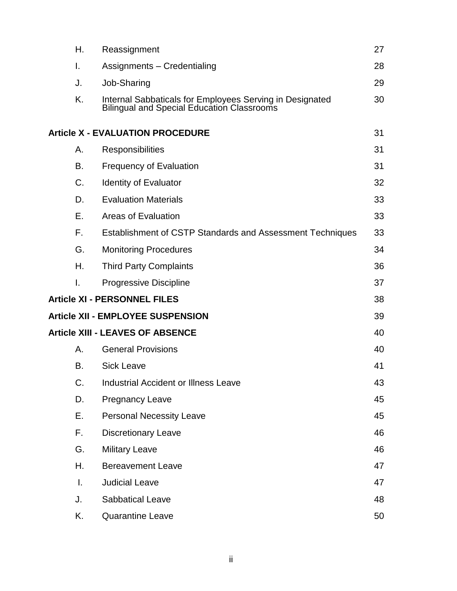| Н. | Reassignment                                                                                                  | 27 |
|----|---------------------------------------------------------------------------------------------------------------|----|
| I. | Assignments - Credentialing                                                                                   | 28 |
| J. | Job-Sharing                                                                                                   | 29 |
| K. | Internal Sabbaticals for Employees Serving in Designated<br><b>Bilingual and Special Education Classrooms</b> | 30 |
|    | <b>Article X - EVALUATION PROCEDURE</b>                                                                       | 31 |
| А. | <b>Responsibilities</b>                                                                                       | 31 |
| В. | <b>Frequency of Evaluation</b>                                                                                | 31 |
| C. | <b>Identity of Evaluator</b>                                                                                  | 32 |
| D. | <b>Evaluation Materials</b>                                                                                   | 33 |
| Е. | <b>Areas of Evaluation</b>                                                                                    | 33 |
| F. | Establishment of CSTP Standards and Assessment Techniques                                                     | 33 |
| G. | <b>Monitoring Procedures</b>                                                                                  | 34 |
| Н. | <b>Third Party Complaints</b>                                                                                 | 36 |
| Ι. | <b>Progressive Discipline</b>                                                                                 | 37 |
|    | <b>Article XI - PERSONNEL FILES</b>                                                                           | 38 |
|    | <b>Article XII - EMPLOYEE SUSPENSION</b>                                                                      | 39 |
|    | <b>Article XIII - LEAVES OF ABSENCE</b>                                                                       | 40 |
| А. | <b>General Provisions</b>                                                                                     | 40 |
| Β. | <b>Sick Leave</b>                                                                                             | 41 |
| C. | <b>Industrial Accident or Illness Leave</b>                                                                   | 43 |
| D. | <b>Pregnancy Leave</b>                                                                                        | 45 |
| Е. | <b>Personal Necessity Leave</b>                                                                               | 45 |
| F. | <b>Discretionary Leave</b>                                                                                    | 46 |
| G. | <b>Military Leave</b>                                                                                         | 46 |
| Η. | <b>Bereavement Leave</b>                                                                                      | 47 |
| Τ. | <b>Judicial Leave</b>                                                                                         | 47 |
| J. | <b>Sabbatical Leave</b>                                                                                       | 48 |
| Κ. | <b>Quarantine Leave</b>                                                                                       | 50 |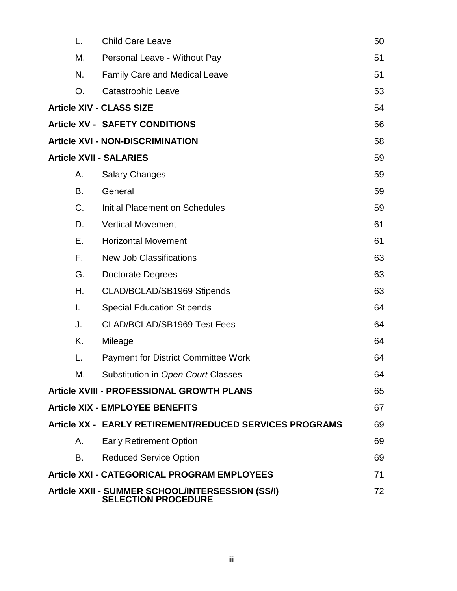| L.                                                                                   | <b>Child Care Leave</b>                                 | 50 |  |
|--------------------------------------------------------------------------------------|---------------------------------------------------------|----|--|
| М.                                                                                   | Personal Leave - Without Pay                            | 51 |  |
| N.                                                                                   | <b>Family Care and Medical Leave</b>                    | 51 |  |
| О.                                                                                   | Catastrophic Leave                                      | 53 |  |
|                                                                                      | <b>Article XIV - CLASS SIZE</b>                         | 54 |  |
|                                                                                      | <b>Article XV - SAFETY CONDITIONS</b>                   | 56 |  |
|                                                                                      | <b>Article XVI - NON-DISCRIMINATION</b>                 | 58 |  |
|                                                                                      | <b>Article XVII - SALARIES</b>                          | 59 |  |
| А.                                                                                   | <b>Salary Changes</b>                                   | 59 |  |
| В.                                                                                   | General                                                 | 59 |  |
| $C_{\cdot}$                                                                          | <b>Initial Placement on Schedules</b>                   | 59 |  |
| D.                                                                                   | <b>Vertical Movement</b>                                | 61 |  |
| Е.                                                                                   | <b>Horizontal Movement</b>                              | 61 |  |
| F.                                                                                   | <b>New Job Classifications</b>                          | 63 |  |
| G.                                                                                   | Doctorate Degrees                                       | 63 |  |
| Η.                                                                                   | CLAD/BCLAD/SB1969 Stipends                              | 63 |  |
| I.                                                                                   | <b>Special Education Stipends</b>                       | 64 |  |
| J.                                                                                   | CLAD/BCLAD/SB1969 Test Fees                             | 64 |  |
| Κ.                                                                                   | Mileage                                                 | 64 |  |
| L.                                                                                   | <b>Payment for District Committee Work</b>              | 64 |  |
| М.                                                                                   | Substitution in Open Court Classes                      | 64 |  |
|                                                                                      | <b>Article XVIII - PROFESSIONAL GROWTH PLANS</b>        | 65 |  |
|                                                                                      | <b>Article XIX - EMPLOYEE BENEFITS</b>                  | 67 |  |
|                                                                                      | Article XX - EARLY RETIREMENT/REDUCED SERVICES PROGRAMS | 69 |  |
| А.                                                                                   | <b>Early Retirement Option</b>                          | 69 |  |
| В.                                                                                   | <b>Reduced Service Option</b>                           | 69 |  |
|                                                                                      | <b>Article XXI - CATEGORICAL PROGRAM EMPLOYEES</b>      | 71 |  |
| Article XXII - SUMMER SCHOOL/INTERSESSION (SS/I)<br>72<br><b>SELECTION PROCEDURE</b> |                                                         |    |  |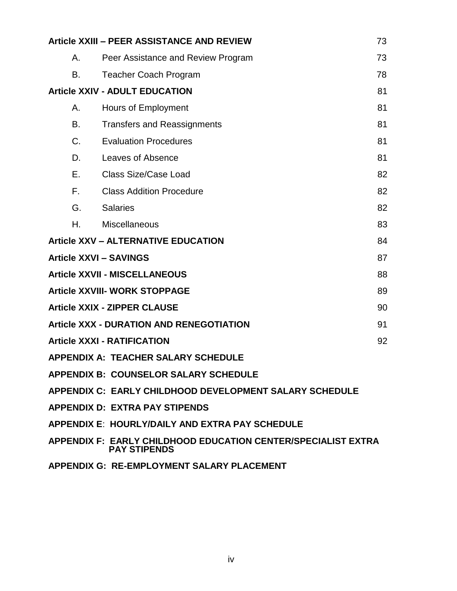| Article XXIII - PEER ASSISTANCE AND REVIEW<br>73        |                                                                                             |    |  |  |
|---------------------------------------------------------|---------------------------------------------------------------------------------------------|----|--|--|
| Α.                                                      | Peer Assistance and Review Program                                                          | 73 |  |  |
| В.                                                      | <b>Teacher Coach Program</b>                                                                | 78 |  |  |
|                                                         | <b>Article XXIV - ADULT EDUCATION</b>                                                       | 81 |  |  |
| Α.                                                      | Hours of Employment                                                                         | 81 |  |  |
| В.                                                      | <b>Transfers and Reassignments</b>                                                          | 81 |  |  |
| C.                                                      | <b>Evaluation Procedures</b>                                                                | 81 |  |  |
| D.                                                      | Leaves of Absence                                                                           | 81 |  |  |
| Е.                                                      | <b>Class Size/Case Load</b>                                                                 | 82 |  |  |
| F.                                                      | <b>Class Addition Procedure</b>                                                             | 82 |  |  |
| G.                                                      | <b>Salaries</b>                                                                             | 82 |  |  |
| Η.                                                      | Miscellaneous                                                                               | 83 |  |  |
|                                                         | <b>Article XXV - ALTERNATIVE EDUCATION</b>                                                  | 84 |  |  |
|                                                         | <b>Article XXVI - SAVINGS</b>                                                               | 87 |  |  |
|                                                         | <b>Article XXVII - MISCELLANEOUS</b>                                                        | 88 |  |  |
|                                                         | <b>Article XXVIII- WORK STOPPAGE</b>                                                        | 89 |  |  |
|                                                         | <b>Article XXIX - ZIPPER CLAUSE</b>                                                         | 90 |  |  |
|                                                         | <b>Article XXX - DURATION AND RENEGOTIATION</b>                                             | 91 |  |  |
|                                                         | <b>Article XXXI - RATIFICATION</b>                                                          | 92 |  |  |
|                                                         | <b>APPENDIX A: TEACHER SALARY SCHEDULE</b>                                                  |    |  |  |
| <b>APPENDIX B: COUNSELOR SALARY SCHEDULE</b>            |                                                                                             |    |  |  |
| APPENDIX C: EARLY CHILDHOOD DEVELOPMENT SALARY SCHEDULE |                                                                                             |    |  |  |
| <b>APPENDIX D: EXTRA PAY STIPENDS</b>                   |                                                                                             |    |  |  |
| <b>APPENDIX E: HOURLY/DAILY AND EXTRA PAY SCHEDULE</b>  |                                                                                             |    |  |  |
|                                                         | <b>APPENDIX F: EARLY CHILDHOOD EDUCATION CENTER/SPECIALIST EXTRA</b><br><b>PAY STIPENDS</b> |    |  |  |

**APPENDIX G: RE-EMPLOYMENT SALARY PLACEMENT**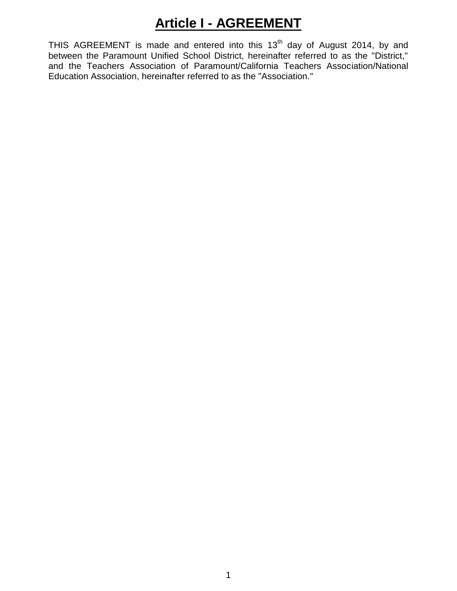## **Article I - AGREEMENT**

THIS AGREEMENT is made and entered into this  $13<sup>th</sup>$  day of August 2014, by and between the Paramount Unified School District, hereinafter referred to as the "District," and the Teachers Association of Paramount/California Teachers Association/National Education Association, hereinafter referred to as the "Association."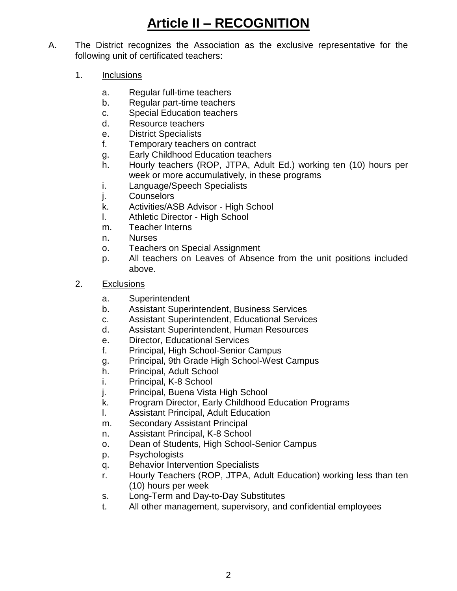# **Article II – RECOGNITION**

- A. The District recognizes the Association as the exclusive representative for the following unit of certificated teachers:
	- 1. Inclusions
		- a. Regular full-time teachers
		- b. Regular part-time teachers
		- c. Special Education teachers
		- d. Resource teachers
		- e. District Specialists
		- f. Temporary teachers on contract
		- g. Early Childhood Education teachers
		- h. Hourly teachers (ROP, JTPA, Adult Ed.) working ten (10) hours per week or more accumulatively, in these programs
		- i. Language/Speech Specialists
		- j. Counselors
		- k. Activities/ASB Advisor High School
		- l. Athletic Director High School
		- m. Teacher Interns
		- n. Nurses
		- o. Teachers on Special Assignment
		- p. All teachers on Leaves of Absence from the unit positions included above.
	- 2. Exclusions
		- a. Superintendent
		- b. Assistant Superintendent, Business Services
		- c. Assistant Superintendent, Educational Services
		- d. Assistant Superintendent, Human Resources
		- e. Director, Educational Services
		- f. Principal, High School-Senior Campus
		- g. Principal, 9th Grade High School-West Campus
		- h. Principal, Adult School
		- i. Principal, K-8 School
		- j. Principal, Buena Vista High School
		- k. Program Director, Early Childhood Education Programs
		- l. Assistant Principal, Adult Education
		- m. Secondary Assistant Principal
		- n. Assistant Principal, K-8 School
		- o. Dean of Students, High School-Senior Campus
		- p. Psychologists
		- q. Behavior Intervention Specialists
		- r. Hourly Teachers (ROP, JTPA, Adult Education) working less than ten (10) hours per week
		- s. Long-Term and Day-to-Day Substitutes
		- t. All other management, supervisory, and confidential employees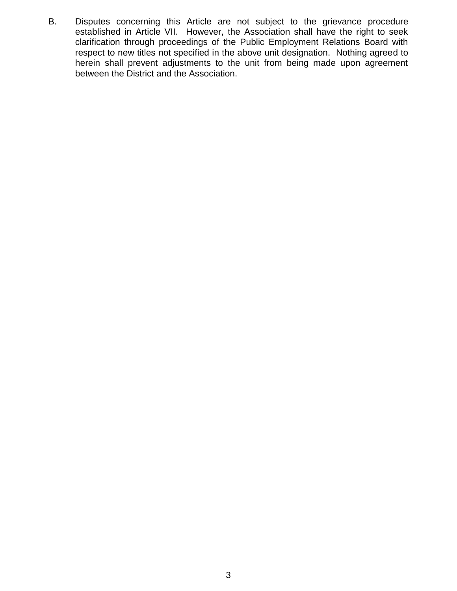B. Disputes concerning this Article are not subject to the grievance procedure established in Article VII. However, the Association shall have the right to seek clarification through proceedings of the Public Employment Relations Board with respect to new titles not specified in the above unit designation. Nothing agreed to herein shall prevent adjustments to the unit from being made upon agreement between the District and the Association.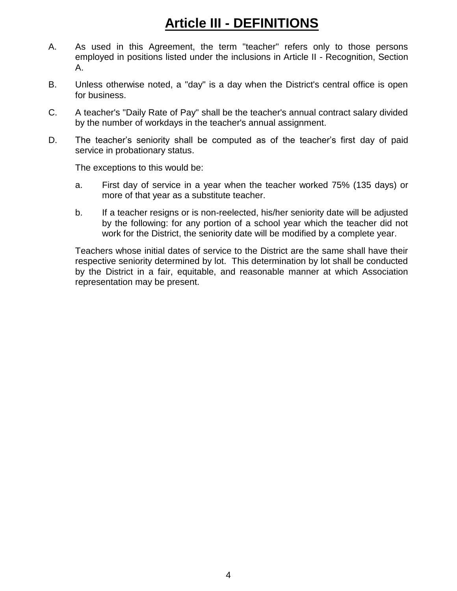# **Article III - DEFINITIONS**

- A. As used in this Agreement, the term "teacher" refers only to those persons employed in positions listed under the inclusions in Article II - Recognition, Section A.
- B. Unless otherwise noted, a "day" is a day when the District's central office is open for business.
- C. A teacher's "Daily Rate of Pay" shall be the teacher's annual contract salary divided by the number of workdays in the teacher's annual assignment.
- D. The teacher's seniority shall be computed as of the teacher's first day of paid service in probationary status.

The exceptions to this would be:

- a. First day of service in a year when the teacher worked 75% (135 days) or more of that year as a substitute teacher.
- b. If a teacher resigns or is non-reelected, his/her seniority date will be adjusted by the following: for any portion of a school year which the teacher did not work for the District, the seniority date will be modified by a complete year.

Teachers whose initial dates of service to the District are the same shall have their respective seniority determined by lot. This determination by lot shall be conducted by the District in a fair, equitable, and reasonable manner at which Association representation may be present.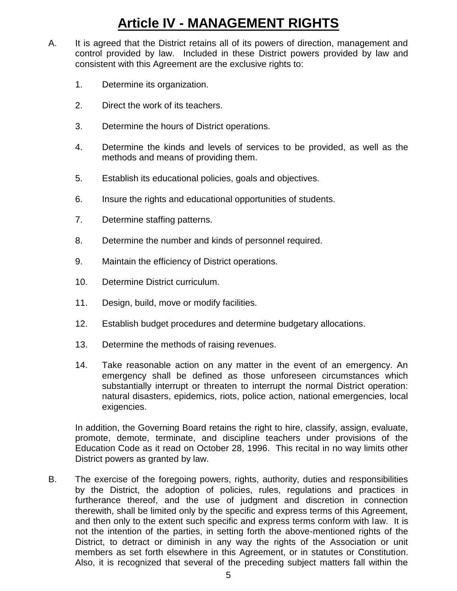## **Article IV - MANAGEMENT RIGHTS**

- A. It is agreed that the District retains all of its powers of direction, management and control provided by law. Included in these District powers provided by law and consistent with this Agreement are the exclusive rights to:
	- 1. Determine its organization.
	- 2. Direct the work of its teachers.
	- 3. Determine the hours of District operations.
	- 4. Determine the kinds and levels of services to be provided, as well as the methods and means of providing them.
	- 5. Establish its educational policies, goals and objectives.
	- 6. Insure the rights and educational opportunities of students.
	- 7. Determine staffing patterns.
	- 8. Determine the number and kinds of personnel required.
	- 9. Maintain the efficiency of District operations.
	- 10. Determine District curriculum.
	- 11. Design, build, move or modify facilities.
	- 12. Establish budget procedures and determine budgetary allocations.
	- 13. Determine the methods of raising revenues.
	- 14. Take reasonable action on any matter in the event of an emergency. An emergency shall be defined as those unforeseen circumstances which substantially interrupt or threaten to interrupt the normal District operation: natural disasters, epidemics, riots, police action, national emergencies, local exigencies.

In addition, the Governing Board retains the right to hire, classify, assign, evaluate, promote, demote, terminate, and discipline teachers under provisions of the Education Code as it read on October 28, 1996. This recital in no way limits other District powers as granted by law.

B. The exercise of the foregoing powers, rights, authority, duties and responsibilities by the District, the adoption of policies, rules, regulations and practices in furtherance thereof, and the use of judgment and discretion in connection therewith, shall be limited only by the specific and express terms of this Agreement, and then only to the extent such specific and express terms conform with law. It is not the intention of the parties, in setting forth the above-mentioned rights of the District, to detract or diminish in any way the rights of the Association or unit members as set forth elsewhere in this Agreement, or in statutes or Constitution. Also, it is recognized that several of the preceding subject matters fall within the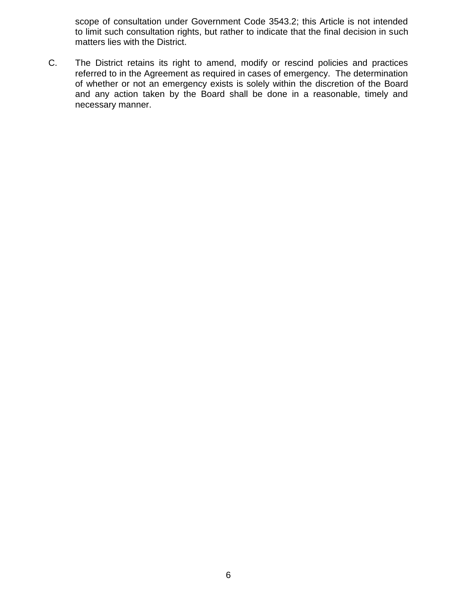scope of consultation under Government Code 3543.2; this Article is not intended to limit such consultation rights, but rather to indicate that the final decision in such matters lies with the District.

C. The District retains its right to amend, modify or rescind policies and practices referred to in the Agreement as required in cases of emergency. The determination of whether or not an emergency exists is solely within the discretion of the Board and any action taken by the Board shall be done in a reasonable, timely and necessary manner.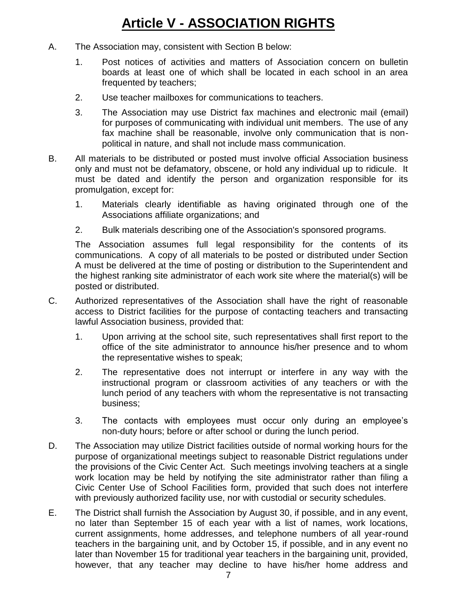# **Article V - ASSOCIATION RIGHTS**

- A. The Association may, consistent with Section B below:
	- 1. Post notices of activities and matters of Association concern on bulletin boards at least one of which shall be located in each school in an area frequented by teachers;
	- 2. Use teacher mailboxes for communications to teachers.
	- 3. The Association may use District fax machines and electronic mail (email) for purposes of communicating with individual unit members. The use of any fax machine shall be reasonable, involve only communication that is nonpolitical in nature, and shall not include mass communication.
- B. All materials to be distributed or posted must involve official Association business only and must not be defamatory, obscene, or hold any individual up to ridicule. It must be dated and identify the person and organization responsible for its promulgation, except for:
	- 1. Materials clearly identifiable as having originated through one of the Associations affiliate organizations; and
	- 2. Bulk materials describing one of the Association's sponsored programs.

The Association assumes full legal responsibility for the contents of its communications. A copy of all materials to be posted or distributed under Section A must be delivered at the time of posting or distribution to the Superintendent and the highest ranking site administrator of each work site where the material(s) will be posted or distributed.

- C. Authorized representatives of the Association shall have the right of reasonable access to District facilities for the purpose of contacting teachers and transacting lawful Association business, provided that:
	- 1. Upon arriving at the school site, such representatives shall first report to the office of the site administrator to announce his/her presence and to whom the representative wishes to speak;
	- 2. The representative does not interrupt or interfere in any way with the instructional program or classroom activities of any teachers or with the lunch period of any teachers with whom the representative is not transacting business;
	- 3. The contacts with employees must occur only during an employee's non-duty hours; before or after school or during the lunch period.
- D. The Association may utilize District facilities outside of normal working hours for the purpose of organizational meetings subject to reasonable District regulations under the provisions of the Civic Center Act. Such meetings involving teachers at a single work location may be held by notifying the site administrator rather than filing a Civic Center Use of School Facilities form, provided that such does not interfere with previously authorized facility use, nor with custodial or security schedules.
- E. The District shall furnish the Association by August 30, if possible, and in any event, no later than September 15 of each year with a list of names, work locations, current assignments, home addresses, and telephone numbers of all year-round teachers in the bargaining unit, and by October 15, if possible, and in any event no later than November 15 for traditional year teachers in the bargaining unit, provided, however, that any teacher may decline to have his/her home address and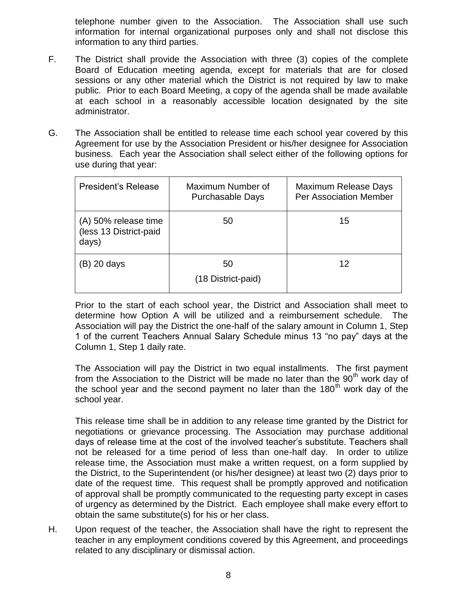telephone number given to the Association. The Association shall use such information for internal organizational purposes only and shall not disclose this information to any third parties.

- F. The District shall provide the Association with three (3) copies of the complete Board of Education meeting agenda, except for materials that are for closed sessions or any other material which the District is not required by law to make public. Prior to each Board Meeting, a copy of the agenda shall be made available at each school in a reasonably accessible location designated by the site administrator.
- G. The Association shall be entitled to release time each school year covered by this Agreement for use by the Association President or his/her designee for Association business. Each year the Association shall select either of the following options for use during that year:

| <b>President's Release</b>                              | Maximum Number of<br><b>Purchasable Days</b> | Maximum Release Days<br><b>Per Association Member</b> |
|---------------------------------------------------------|----------------------------------------------|-------------------------------------------------------|
| (A) 50% release time<br>(less 13 District-paid<br>days) | 50                                           | 15                                                    |
| (B) 20 days                                             | 50<br>(18 District-paid)                     | 12                                                    |

Prior to the start of each school year, the District and Association shall meet to determine how Option A will be utilized and a reimbursement schedule. The Association will pay the District the one-half of the salary amount in Column 1, Step 1 of the current Teachers Annual Salary Schedule minus 13 "no pay" days at the Column 1, Step 1 daily rate.

The Association will pay the District in two equal installments. The first payment from the Association to the District will be made no later than the  $90<sup>th</sup>$  work day of the school year and the second payment no later than the 180<sup>th</sup> work day of the school year.

This release time shall be in addition to any release time granted by the District for negotiations or grievance processing. The Association may purchase additional days of release time at the cost of the involved teacher's substitute. Teachers shall not be released for a time period of less than one-half day. In order to utilize release time, the Association must make a written request, on a form supplied by the District, to the Superintendent (or his/her designee) at least two (2) days prior to date of the request time. This request shall be promptly approved and notification of approval shall be promptly communicated to the requesting party except in cases of urgency as determined by the District. Each employee shall make every effort to obtain the same substitute(s) for his or her class.

H. Upon request of the teacher, the Association shall have the right to represent the teacher in any employment conditions covered by this Agreement, and proceedings related to any disciplinary or dismissal action.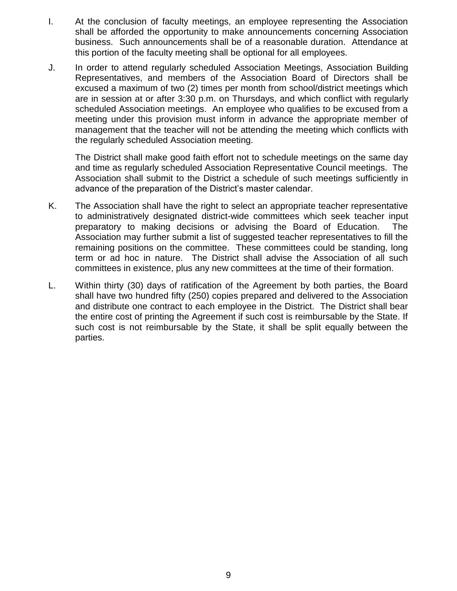- I. At the conclusion of faculty meetings, an employee representing the Association shall be afforded the opportunity to make announcements concerning Association business. Such announcements shall be of a reasonable duration. Attendance at this portion of the faculty meeting shall be optional for all employees.
- J. In order to attend regularly scheduled Association Meetings, Association Building Representatives, and members of the Association Board of Directors shall be excused a maximum of two (2) times per month from school/district meetings which are in session at or after 3:30 p.m. on Thursdays, and which conflict with regularly scheduled Association meetings. An employee who qualifies to be excused from a meeting under this provision must inform in advance the appropriate member of management that the teacher will not be attending the meeting which conflicts with the regularly scheduled Association meeting.

The District shall make good faith effort not to schedule meetings on the same day and time as regularly scheduled Association Representative Council meetings. The Association shall submit to the District a schedule of such meetings sufficiently in advance of the preparation of the District's master calendar.

- K. The Association shall have the right to select an appropriate teacher representative to administratively designated district-wide committees which seek teacher input preparatory to making decisions or advising the Board of Education. The Association may further submit a list of suggested teacher representatives to fill the remaining positions on the committee. These committees could be standing, long term or ad hoc in nature. The District shall advise the Association of all such committees in existence, plus any new committees at the time of their formation.
- L. Within thirty (30) days of ratification of the Agreement by both parties, the Board shall have two hundred fifty (250) copies prepared and delivered to the Association and distribute one contract to each employee in the District. The District shall bear the entire cost of printing the Agreement if such cost is reimbursable by the State. If such cost is not reimbursable by the State, it shall be split equally between the parties.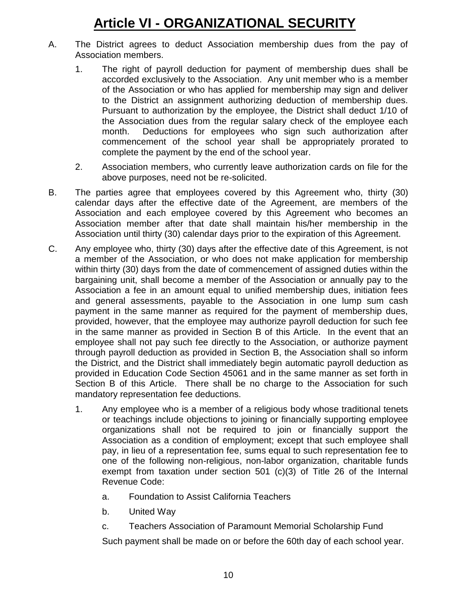## **Article VI - ORGANIZATIONAL SECURITY**

- A. The District agrees to deduct Association membership dues from the pay of Association members.
	- 1. The right of payroll deduction for payment of membership dues shall be accorded exclusively to the Association. Any unit member who is a member of the Association or who has applied for membership may sign and deliver to the District an assignment authorizing deduction of membership dues. Pursuant to authorization by the employee, the District shall deduct 1/10 of the Association dues from the regular salary check of the employee each month. Deductions for employees who sign such authorization after commencement of the school year shall be appropriately prorated to complete the payment by the end of the school year.
	- 2. Association members, who currently leave authorization cards on file for the above purposes, need not be re-solicited.
- B. The parties agree that employees covered by this Agreement who, thirty (30) calendar days after the effective date of the Agreement, are members of the Association and each employee covered by this Agreement who becomes an Association member after that date shall maintain his/her membership in the Association until thirty (30) calendar days prior to the expiration of this Agreement.
- C. Any employee who, thirty (30) days after the effective date of this Agreement, is not a member of the Association, or who does not make application for membership within thirty (30) days from the date of commencement of assigned duties within the bargaining unit, shall become a member of the Association or annually pay to the Association a fee in an amount equal to unified membership dues, initiation fees and general assessments, payable to the Association in one lump sum cash payment in the same manner as required for the payment of membership dues, provided, however, that the employee may authorize payroll deduction for such fee in the same manner as provided in Section B of this Article. In the event that an employee shall not pay such fee directly to the Association, or authorize payment through payroll deduction as provided in Section B, the Association shall so inform the District, and the District shall immediately begin automatic payroll deduction as provided in Education Code Section 45061 and in the same manner as set forth in Section B of this Article. There shall be no charge to the Association for such mandatory representation fee deductions.
	- 1. Any employee who is a member of a religious body whose traditional tenets or teachings include objections to joining or financially supporting employee organizations shall not be required to join or financially support the Association as a condition of employment; except that such employee shall pay, in lieu of a representation fee, sums equal to such representation fee to one of the following non-religious, non-labor organization, charitable funds exempt from taxation under section 501 (c)(3) of Title 26 of the Internal Revenue Code:
		- a. Foundation to Assist California Teachers
		- b. United Way
		- c. Teachers Association of Paramount Memorial Scholarship Fund

Such payment shall be made on or before the 60th day of each school year.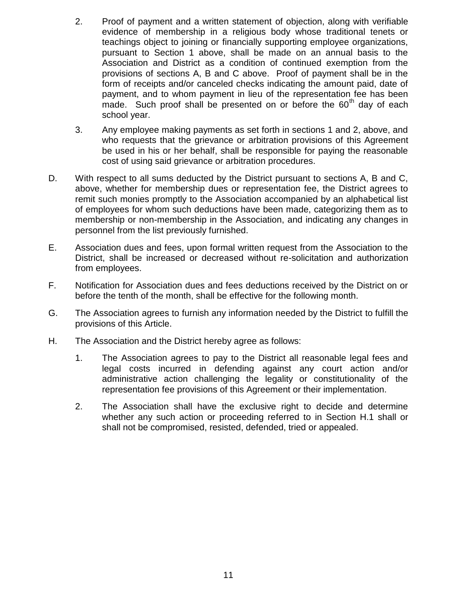- 2. Proof of payment and a written statement of objection, along with verifiable evidence of membership in a religious body whose traditional tenets or teachings object to joining or financially supporting employee organizations, pursuant to Section 1 above, shall be made on an annual basis to the Association and District as a condition of continued exemption from the provisions of sections A, B and C above. Proof of payment shall be in the form of receipts and/or canceled checks indicating the amount paid, date of payment, and to whom payment in lieu of the representation fee has been made. Such proof shall be presented on or before the  $60<sup>th</sup>$  day of each school year.
- 3. Any employee making payments as set forth in sections 1 and 2, above, and who requests that the grievance or arbitration provisions of this Agreement be used in his or her behalf, shall be responsible for paying the reasonable cost of using said grievance or arbitration procedures.
- D. With respect to all sums deducted by the District pursuant to sections A, B and C, above, whether for membership dues or representation fee, the District agrees to remit such monies promptly to the Association accompanied by an alphabetical list of employees for whom such deductions have been made, categorizing them as to membership or non-membership in the Association, and indicating any changes in personnel from the list previously furnished.
- E. Association dues and fees, upon formal written request from the Association to the District, shall be increased or decreased without re-solicitation and authorization from employees.
- F. Notification for Association dues and fees deductions received by the District on or before the tenth of the month, shall be effective for the following month.
- G. The Association agrees to furnish any information needed by the District to fulfill the provisions of this Article.
- H. The Association and the District hereby agree as follows:
	- 1. The Association agrees to pay to the District all reasonable legal fees and legal costs incurred in defending against any court action and/or administrative action challenging the legality or constitutionality of the representation fee provisions of this Agreement or their implementation.
	- 2. The Association shall have the exclusive right to decide and determine whether any such action or proceeding referred to in Section H.1 shall or shall not be compromised, resisted, defended, tried or appealed.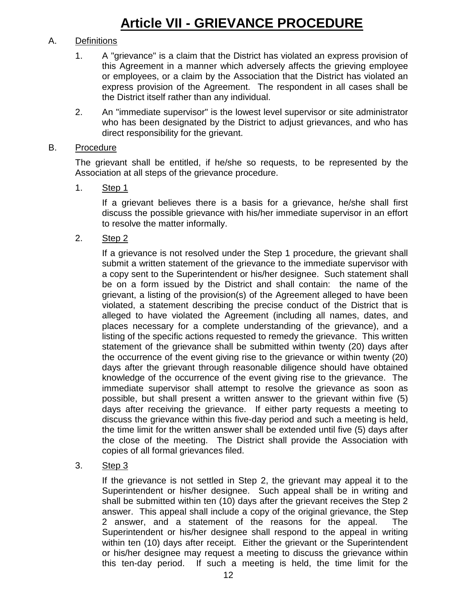## **Article VII - GRIEVANCE PROCEDURE**

### A. Definitions

- 1. A "grievance" is a claim that the District has violated an express provision of this Agreement in a manner which adversely affects the grieving employee or employees, or a claim by the Association that the District has violated an express provision of the Agreement. The respondent in all cases shall be the District itself rather than any individual.
- 2. An "immediate supervisor" is the lowest level supervisor or site administrator who has been designated by the District to adjust grievances, and who has direct responsibility for the grievant.

#### B. Procedure

The grievant shall be entitled, if he/she so requests, to be represented by the Association at all steps of the grievance procedure.

1. Step 1

If a grievant believes there is a basis for a grievance, he/she shall first discuss the possible grievance with his/her immediate supervisor in an effort to resolve the matter informally.

2. Step 2

If a grievance is not resolved under the Step 1 procedure, the grievant shall submit a written statement of the grievance to the immediate supervisor with a copy sent to the Superintendent or his/her designee. Such statement shall be on a form issued by the District and shall contain: the name of the grievant, a listing of the provision(s) of the Agreement alleged to have been violated, a statement describing the precise conduct of the District that is alleged to have violated the Agreement (including all names, dates, and places necessary for a complete understanding of the grievance), and a listing of the specific actions requested to remedy the grievance. This written statement of the grievance shall be submitted within twenty (20) days after the occurrence of the event giving rise to the grievance or within twenty (20) days after the grievant through reasonable diligence should have obtained knowledge of the occurrence of the event giving rise to the grievance. The immediate supervisor shall attempt to resolve the grievance as soon as possible, but shall present a written answer to the grievant within five (5) days after receiving the grievance. If either party requests a meeting to discuss the grievance within this five-day period and such a meeting is held, the time limit for the written answer shall be extended until five (5) days after the close of the meeting. The District shall provide the Association with copies of all formal grievances filed.

3. Step 3

If the grievance is not settled in Step 2, the grievant may appeal it to the Superintendent or his/her designee. Such appeal shall be in writing and shall be submitted within ten (10) days after the grievant receives the Step 2 answer. This appeal shall include a copy of the original grievance, the Step 2 answer, and a statement of the reasons for the appeal. The Superintendent or his/her designee shall respond to the appeal in writing within ten (10) days after receipt. Either the grievant or the Superintendent or his/her designee may request a meeting to discuss the grievance within this ten-day period. If such a meeting is held, the time limit for the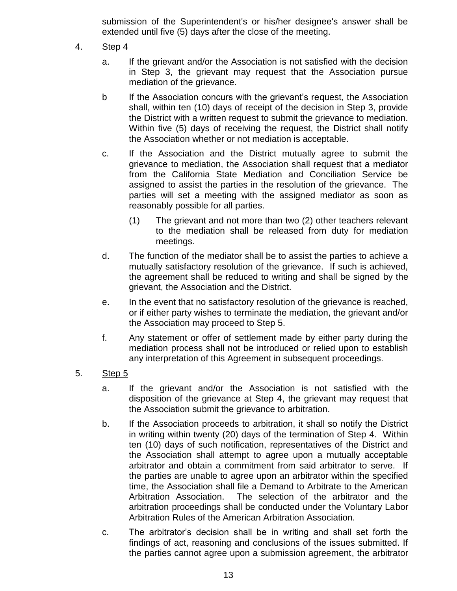submission of the Superintendent's or his/her designee's answer shall be extended until five (5) days after the close of the meeting.

- 4. Step 4
	- a. If the grievant and/or the Association is not satisfied with the decision in Step 3, the grievant may request that the Association pursue mediation of the grievance.
	- b If the Association concurs with the grievant's request, the Association shall, within ten (10) days of receipt of the decision in Step 3, provide the District with a written request to submit the grievance to mediation. Within five (5) days of receiving the request, the District shall notify the Association whether or not mediation is acceptable.
	- c. If the Association and the District mutually agree to submit the grievance to mediation, the Association shall request that a mediator from the California State Mediation and Conciliation Service be assigned to assist the parties in the resolution of the grievance. The parties will set a meeting with the assigned mediator as soon as reasonably possible for all parties.
		- (1) The grievant and not more than two (2) other teachers relevant to the mediation shall be released from duty for mediation meetings.
	- d. The function of the mediator shall be to assist the parties to achieve a mutually satisfactory resolution of the grievance. If such is achieved, the agreement shall be reduced to writing and shall be signed by the grievant, the Association and the District.
	- e. In the event that no satisfactory resolution of the grievance is reached, or if either party wishes to terminate the mediation, the grievant and/or the Association may proceed to Step 5.
	- f. Any statement or offer of settlement made by either party during the mediation process shall not be introduced or relied upon to establish any interpretation of this Agreement in subsequent proceedings.
- 5. Step 5
	- a. If the grievant and/or the Association is not satisfied with the disposition of the grievance at Step 4, the grievant may request that the Association submit the grievance to arbitration.
	- b. If the Association proceeds to arbitration, it shall so notify the District in writing within twenty (20) days of the termination of Step 4. Within ten (10) days of such notification, representatives of the District and the Association shall attempt to agree upon a mutually acceptable arbitrator and obtain a commitment from said arbitrator to serve. If the parties are unable to agree upon an arbitrator within the specified time, the Association shall file a Demand to Arbitrate to the American Arbitration Association. The selection of the arbitrator and the arbitration proceedings shall be conducted under the Voluntary Labor Arbitration Rules of the American Arbitration Association.
	- c. The arbitrator's decision shall be in writing and shall set forth the findings of act, reasoning and conclusions of the issues submitted. If the parties cannot agree upon a submission agreement, the arbitrator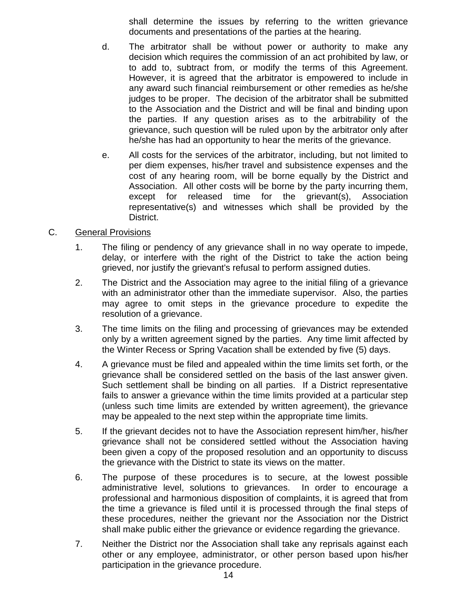shall determine the issues by referring to the written grievance documents and presentations of the parties at the hearing.

- d. The arbitrator shall be without power or authority to make any decision which requires the commission of an act prohibited by law, or to add to, subtract from, or modify the terms of this Agreement. However, it is agreed that the arbitrator is empowered to include in any award such financial reimbursement or other remedies as he/she judges to be proper. The decision of the arbitrator shall be submitted to the Association and the District and will be final and binding upon the parties. If any question arises as to the arbitrability of the grievance, such question will be ruled upon by the arbitrator only after he/she has had an opportunity to hear the merits of the grievance.
- e. All costs for the services of the arbitrator, including, but not limited to per diem expenses, his/her travel and subsistence expenses and the cost of any hearing room, will be borne equally by the District and Association. All other costs will be borne by the party incurring them, except for released time for the grievant(s), Association representative(s) and witnesses which shall be provided by the District.

#### C. General Provisions

- 1. The filing or pendency of any grievance shall in no way operate to impede, delay, or interfere with the right of the District to take the action being grieved, nor justify the grievant's refusal to perform assigned duties.
- 2. The District and the Association may agree to the initial filing of a grievance with an administrator other than the immediate supervisor. Also, the parties may agree to omit steps in the grievance procedure to expedite the resolution of a grievance.
- 3. The time limits on the filing and processing of grievances may be extended only by a written agreement signed by the parties. Any time limit affected by the Winter Recess or Spring Vacation shall be extended by five (5) days.
- 4. A grievance must be filed and appealed within the time limits set forth, or the grievance shall be considered settled on the basis of the last answer given. Such settlement shall be binding on all parties. If a District representative fails to answer a grievance within the time limits provided at a particular step (unless such time limits are extended by written agreement), the grievance may be appealed to the next step within the appropriate time limits.
- 5. If the grievant decides not to have the Association represent him/her, his/her grievance shall not be considered settled without the Association having been given a copy of the proposed resolution and an opportunity to discuss the grievance with the District to state its views on the matter.
- 6. The purpose of these procedures is to secure, at the lowest possible administrative level, solutions to grievances. In order to encourage a professional and harmonious disposition of complaints, it is agreed that from the time a grievance is filed until it is processed through the final steps of these procedures, neither the grievant nor the Association nor the District shall make public either the grievance or evidence regarding the grievance.
- 7. Neither the District nor the Association shall take any reprisals against each other or any employee, administrator, or other person based upon his/her participation in the grievance procedure.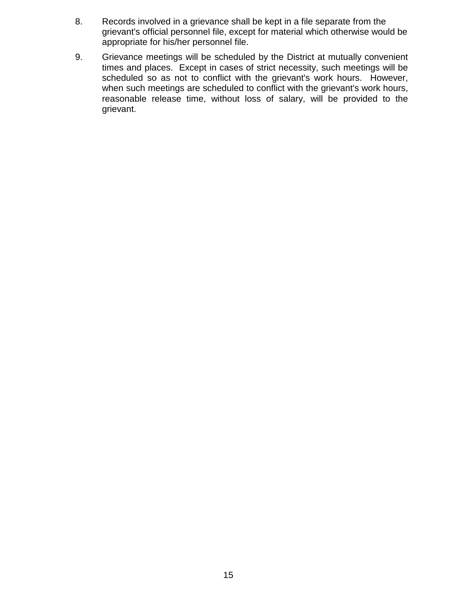- 8. Records involved in a grievance shall be kept in a file separate from the grievant's official personnel file, except for material which otherwise would be appropriate for his/her personnel file.
- 9. Grievance meetings will be scheduled by the District at mutually convenient times and places. Except in cases of strict necessity, such meetings will be scheduled so as not to conflict with the grievant's work hours. However, when such meetings are scheduled to conflict with the grievant's work hours, reasonable release time, without loss of salary, will be provided to the grievant.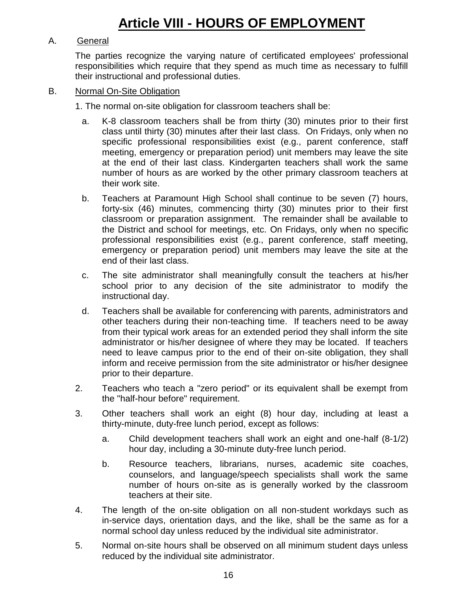## **Article VIII - HOURS OF EMPLOYMENT**

### A. General

The parties recognize the varying nature of certificated employees' professional responsibilities which require that they spend as much time as necessary to fulfill their instructional and professional duties.

#### B. Normal On-Site Obligation

1. The normal on-site obligation for classroom teachers shall be:

- a. K-8 classroom teachers shall be from thirty (30) minutes prior to their first class until thirty (30) minutes after their last class. On Fridays, only when no specific professional responsibilities exist (e.g., parent conference, staff meeting, emergency or preparation period) unit members may leave the site at the end of their last class. Kindergarten teachers shall work the same number of hours as are worked by the other primary classroom teachers at their work site.
- b. Teachers at Paramount High School shall continue to be seven (7) hours, forty-six (46) minutes, commencing thirty (30) minutes prior to their first classroom or preparation assignment. The remainder shall be available to the District and school for meetings, etc. On Fridays, only when no specific professional responsibilities exist (e.g., parent conference, staff meeting, emergency or preparation period) unit members may leave the site at the end of their last class.
- c. The site administrator shall meaningfully consult the teachers at his/her school prior to any decision of the site administrator to modify the instructional day.
- d. Teachers shall be available for conferencing with parents, administrators and other teachers during their non-teaching time. If teachers need to be away from their typical work areas for an extended period they shall inform the site administrator or his/her designee of where they may be located. If teachers need to leave campus prior to the end of their on-site obligation, they shall inform and receive permission from the site administrator or his/her designee prior to their departure.
- 2. Teachers who teach a "zero period" or its equivalent shall be exempt from the "half-hour before" requirement.
- 3. Other teachers shall work an eight (8) hour day, including at least a thirty-minute, duty-free lunch period, except as follows:
	- a. Child development teachers shall work an eight and one-half (8-1/2) hour day, including a 30-minute duty-free lunch period.
	- b. Resource teachers, librarians, nurses, academic site coaches, counselors, and language/speech specialists shall work the same number of hours on-site as is generally worked by the classroom teachers at their site.
- 4. The length of the on-site obligation on all non-student workdays such as in-service days, orientation days, and the like, shall be the same as for a normal school day unless reduced by the individual site administrator.
- 5. Normal on-site hours shall be observed on all minimum student days unless reduced by the individual site administrator.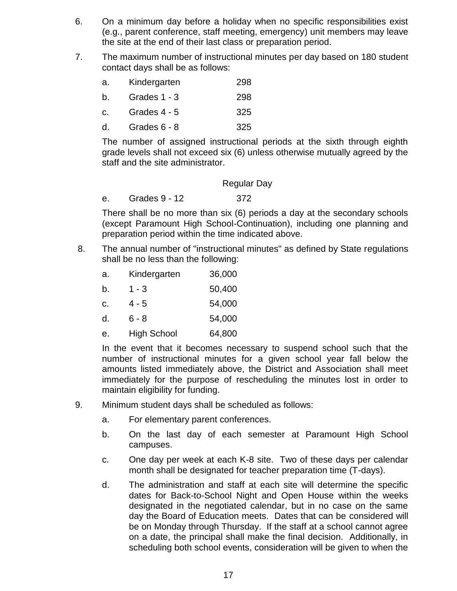- 6. On a minimum day before a holiday when no specific responsibilities exist (e.g., parent conference, staff meeting, emergency) unit members may leave the site at the end of their last class or preparation period.
- 7. The maximum number of instructional minutes per day based on 180 student contact days shall be as follows:

| а. | Kindergarten | 298 |
|----|--------------|-----|
|    |              |     |

- b. Grades 1 3 298
- c. Grades 4 5 325
- d. Grades 6 8 325

The number of assigned instructional periods at the sixth through eighth grade levels shall not exceed six (6) unless otherwise mutually agreed by the staff and the site administrator.

#### Regular Day

e. Grades 9 - 12 372

There shall be no more than six (6) periods a day at the secondary schools (except Paramount High School-Continuation), including one planning and preparation period within the time indicated above.

8. The annual number of "instructional minutes" as defined by State regulations shall be no less than the following:

| a. | Kindergarten | 36,000 |
|----|--------------|--------|
|----|--------------|--------|

- b.  $1 3$  50,400
- c. 4 5 54,000
- d. 6 8 54,000
- e. High School 64,800

In the event that it becomes necessary to suspend school such that the number of instructional minutes for a given school year fall below the amounts listed immediately above, the District and Association shall meet immediately for the purpose of rescheduling the minutes lost in order to maintain eligibility for funding.

- 9. Minimum student days shall be scheduled as follows:
	- a. For elementary parent conferences.
	- b. On the last day of each semester at Paramount High School campuses.
	- c. One day per week at each K-8 site. Two of these days per calendar month shall be designated for teacher preparation time (T-days).
	- d. The administration and staff at each site will determine the specific dates for Back-to-School Night and Open House within the weeks designated in the negotiated calendar, but in no case on the same day the Board of Education meets. Dates that can be considered will be on Monday through Thursday. If the staff at a school cannot agree on a date, the principal shall make the final decision. Additionally, in scheduling both school events, consideration will be given to when the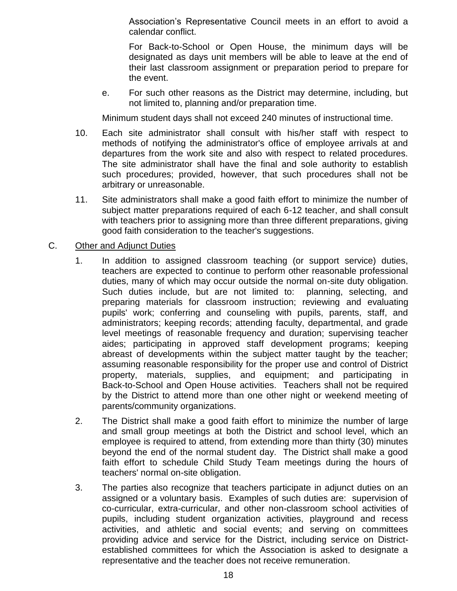Association's Representative Council meets in an effort to avoid a calendar conflict.

For Back-to-School or Open House, the minimum days will be designated as days unit members will be able to leave at the end of their last classroom assignment or preparation period to prepare for the event.

e. For such other reasons as the District may determine, including, but not limited to, planning and/or preparation time.

Minimum student days shall not exceed 240 minutes of instructional time.

- 10. Each site administrator shall consult with his/her staff with respect to methods of notifying the administrator's office of employee arrivals at and departures from the work site and also with respect to related procedures. The site administrator shall have the final and sole authority to establish such procedures; provided, however, that such procedures shall not be arbitrary or unreasonable.
- 11. Site administrators shall make a good faith effort to minimize the number of subject matter preparations required of each 6-12 teacher, and shall consult with teachers prior to assigning more than three different preparations, giving good faith consideration to the teacher's suggestions.

### C. Other and Adjunct Duties

- 1. In addition to assigned classroom teaching (or support service) duties, teachers are expected to continue to perform other reasonable professional duties, many of which may occur outside the normal on-site duty obligation. Such duties include, but are not limited to: planning, selecting, and preparing materials for classroom instruction; reviewing and evaluating pupils' work; conferring and counseling with pupils, parents, staff, and administrators; keeping records; attending faculty, departmental, and grade level meetings of reasonable frequency and duration; supervising teacher aides; participating in approved staff development programs; keeping abreast of developments within the subject matter taught by the teacher; assuming reasonable responsibility for the proper use and control of District property, materials, supplies, and equipment; and participating in Back-to-School and Open House activities. Teachers shall not be required by the District to attend more than one other night or weekend meeting of parents/community organizations.
- 2. The District shall make a good faith effort to minimize the number of large and small group meetings at both the District and school level, which an employee is required to attend, from extending more than thirty (30) minutes beyond the end of the normal student day. The District shall make a good faith effort to schedule Child Study Team meetings during the hours of teachers' normal on-site obligation.
- 3. The parties also recognize that teachers participate in adjunct duties on an assigned or a voluntary basis. Examples of such duties are: supervision of co-curricular, extra-curricular, and other non-classroom school activities of pupils, including student organization activities, playground and recess activities, and athletic and social events; and serving on committees providing advice and service for the District, including service on Districtestablished committees for which the Association is asked to designate a representative and the teacher does not receive remuneration.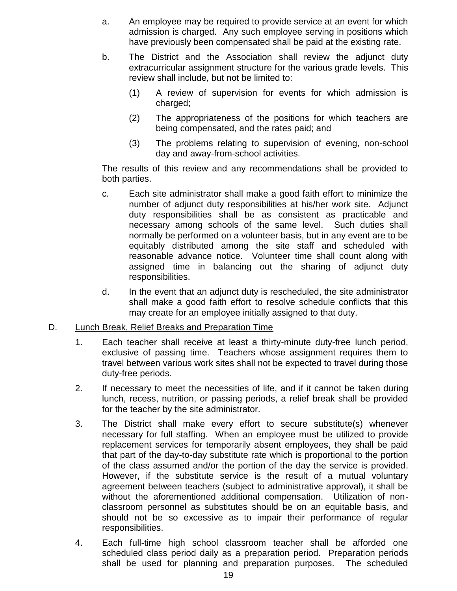- a. An employee may be required to provide service at an event for which admission is charged. Any such employee serving in positions which have previously been compensated shall be paid at the existing rate.
- b. The District and the Association shall review the adjunct duty extracurricular assignment structure for the various grade levels. This review shall include, but not be limited to:
	- (1) A review of supervision for events for which admission is charged;
	- (2) The appropriateness of the positions for which teachers are being compensated, and the rates paid; and
	- (3) The problems relating to supervision of evening, non-school day and away-from-school activities.

The results of this review and any recommendations shall be provided to both parties.

- c. Each site administrator shall make a good faith effort to minimize the number of adjunct duty responsibilities at his/her work site. Adjunct duty responsibilities shall be as consistent as practicable and necessary among schools of the same level. Such duties shall normally be performed on a volunteer basis, but in any event are to be equitably distributed among the site staff and scheduled with reasonable advance notice. Volunteer time shall count along with assigned time in balancing out the sharing of adjunct duty responsibilities.
- d. In the event that an adjunct duty is rescheduled, the site administrator shall make a good faith effort to resolve schedule conflicts that this may create for an employee initially assigned to that duty.

#### D. Lunch Break, Relief Breaks and Preparation Time

- 1. Each teacher shall receive at least a thirty-minute duty-free lunch period, exclusive of passing time. Teachers whose assignment requires them to travel between various work sites shall not be expected to travel during those duty-free periods.
- 2. If necessary to meet the necessities of life, and if it cannot be taken during lunch, recess, nutrition, or passing periods, a relief break shall be provided for the teacher by the site administrator.
- 3. The District shall make every effort to secure substitute(s) whenever necessary for full staffing. When an employee must be utilized to provide replacement services for temporarily absent employees, they shall be paid that part of the day-to-day substitute rate which is proportional to the portion of the class assumed and/or the portion of the day the service is provided. However, if the substitute service is the result of a mutual voluntary agreement between teachers (subject to administrative approval), it shall be without the aforementioned additional compensation. Utilization of nonclassroom personnel as substitutes should be on an equitable basis, and should not be so excessive as to impair their performance of regular responsibilities.
- 4. Each full-time high school classroom teacher shall be afforded one scheduled class period daily as a preparation period. Preparation periods shall be used for planning and preparation purposes. The scheduled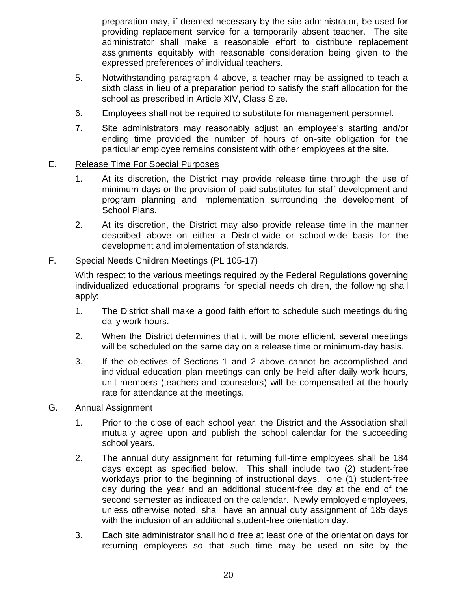preparation may, if deemed necessary by the site administrator, be used for providing replacement service for a temporarily absent teacher. The site administrator shall make a reasonable effort to distribute replacement assignments equitably with reasonable consideration being given to the expressed preferences of individual teachers.

- 5. Notwithstanding paragraph 4 above, a teacher may be assigned to teach a sixth class in lieu of a preparation period to satisfy the staff allocation for the school as prescribed in Article XIV, Class Size.
- 6. Employees shall not be required to substitute for management personnel.
- 7. Site administrators may reasonably adjust an employee's starting and/or ending time provided the number of hours of on-site obligation for the particular employee remains consistent with other employees at the site.
- E. Release Time For Special Purposes
	- 1. At its discretion, the District may provide release time through the use of minimum days or the provision of paid substitutes for staff development and program planning and implementation surrounding the development of School Plans.
	- 2. At its discretion, the District may also provide release time in the manner described above on either a District-wide or school-wide basis for the development and implementation of standards.

#### F. Special Needs Children Meetings (PL 105-17)

With respect to the various meetings required by the Federal Regulations governing individualized educational programs for special needs children, the following shall apply:

- 1. The District shall make a good faith effort to schedule such meetings during daily work hours.
- 2. When the District determines that it will be more efficient, several meetings will be scheduled on the same day on a release time or minimum-day basis.
- 3. If the objectives of Sections 1 and 2 above cannot be accomplished and individual education plan meetings can only be held after daily work hours, unit members (teachers and counselors) will be compensated at the hourly rate for attendance at the meetings.
- G. Annual Assignment
	- 1. Prior to the close of each school year, the District and the Association shall mutually agree upon and publish the school calendar for the succeeding school years.
	- 2. The annual duty assignment for returning full-time employees shall be 184 days except as specified below. This shall include two (2) student-free workdays prior to the beginning of instructional days, one (1) student-free day during the year and an additional student-free day at the end of the second semester as indicated on the calendar. Newly employed employees, unless otherwise noted, shall have an annual duty assignment of 185 days with the inclusion of an additional student-free orientation day.
	- 3. Each site administrator shall hold free at least one of the orientation days for returning employees so that such time may be used on site by the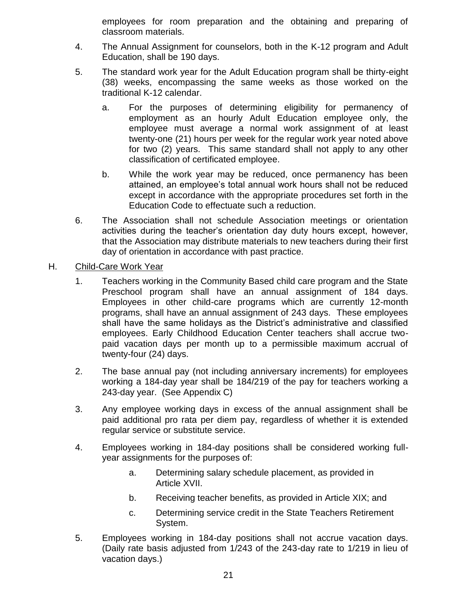employees for room preparation and the obtaining and preparing of classroom materials.

- 4. The Annual Assignment for counselors, both in the K-12 program and Adult Education, shall be 190 days.
- 5. The standard work year for the Adult Education program shall be thirty-eight (38) weeks, encompassing the same weeks as those worked on the traditional K-12 calendar.
	- a. For the purposes of determining eligibility for permanency of employment as an hourly Adult Education employee only, the employee must average a normal work assignment of at least twenty-one (21) hours per week for the regular work year noted above for two (2) years. This same standard shall not apply to any other classification of certificated employee.
	- b. While the work year may be reduced, once permanency has been attained, an employee's total annual work hours shall not be reduced except in accordance with the appropriate procedures set forth in the Education Code to effectuate such a reduction.
- 6. The Association shall not schedule Association meetings or orientation activities during the teacher's orientation day duty hours except, however, that the Association may distribute materials to new teachers during their first day of orientation in accordance with past practice.

### H. Child-Care Work Year

- 1. Teachers working in the Community Based child care program and the State Preschool program shall have an annual assignment of 184 days. Employees in other child-care programs which are currently 12-month programs, shall have an annual assignment of 243 days. These employees shall have the same holidays as the District's administrative and classified employees. Early Childhood Education Center teachers shall accrue twopaid vacation days per month up to a permissible maximum accrual of twenty-four (24) days.
- 2. The base annual pay (not including anniversary increments) for employees working a 184-day year shall be 184/219 of the pay for teachers working a 243-day year. (See Appendix C)
- 3. Any employee working days in excess of the annual assignment shall be paid additional pro rata per diem pay, regardless of whether it is extended regular service or substitute service.
- 4. Employees working in 184-day positions shall be considered working fullyear assignments for the purposes of:
	- a. Determining salary schedule placement, as provided in Article XVII.
	- b. Receiving teacher benefits, as provided in Article XIX; and
	- c. Determining service credit in the State Teachers Retirement System.
- 5. Employees working in 184-day positions shall not accrue vacation days. (Daily rate basis adjusted from 1/243 of the 243-day rate to 1/219 in lieu of vacation days.)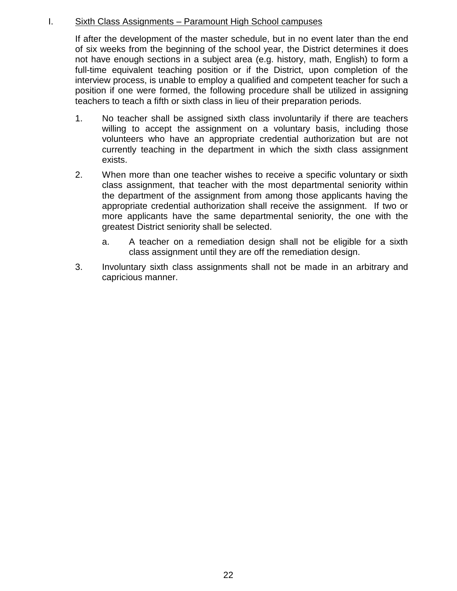### I. Sixth Class Assignments – Paramount High School campuses

If after the development of the master schedule, but in no event later than the end of six weeks from the beginning of the school year, the District determines it does not have enough sections in a subject area (e.g. history, math, English) to form a full-time equivalent teaching position or if the District, upon completion of the interview process, is unable to employ a qualified and competent teacher for such a position if one were formed, the following procedure shall be utilized in assigning teachers to teach a fifth or sixth class in lieu of their preparation periods.

- 1. No teacher shall be assigned sixth class involuntarily if there are teachers willing to accept the assignment on a voluntary basis, including those volunteers who have an appropriate credential authorization but are not currently teaching in the department in which the sixth class assignment exists.
- 2. When more than one teacher wishes to receive a specific voluntary or sixth class assignment, that teacher with the most departmental seniority within the department of the assignment from among those applicants having the appropriate credential authorization shall receive the assignment. If two or more applicants have the same departmental seniority, the one with the greatest District seniority shall be selected.
	- a. A teacher on a remediation design shall not be eligible for a sixth class assignment until they are off the remediation design.
- 3. Involuntary sixth class assignments shall not be made in an arbitrary and capricious manner.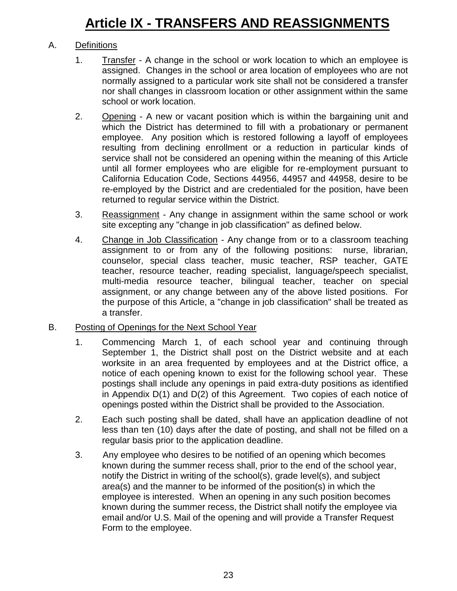### A. Definitions

- 1. Transfer A change in the school or work location to which an employee is assigned. Changes in the school or area location of employees who are not normally assigned to a particular work site shall not be considered a transfer nor shall changes in classroom location or other assignment within the same school or work location.
- 2. Opening A new or vacant position which is within the bargaining unit and which the District has determined to fill with a probationary or permanent employee. Any position which is restored following a layoff of employees resulting from declining enrollment or a reduction in particular kinds of service shall not be considered an opening within the meaning of this Article until all former employees who are eligible for re-employment pursuant to California Education Code, Sections 44956, 44957 and 44958, desire to be re-employed by the District and are credentialed for the position, have been returned to regular service within the District.
- 3. Reassignment Any change in assignment within the same school or work site excepting any "change in job classification" as defined below.
- 4. Change in Job Classification Any change from or to a classroom teaching assignment to or from any of the following positions: nurse, librarian, counselor, special class teacher, music teacher, RSP teacher, GATE teacher, resource teacher, reading specialist, language/speech specialist, multi-media resource teacher, bilingual teacher, teacher on special assignment, or any change between any of the above listed positions. For the purpose of this Article, a "change in job classification" shall be treated as a transfer.

### B. Posting of Openings for the Next School Year

- 1. Commencing March 1, of each school year and continuing through September 1, the District shall post on the District website and at each worksite in an area frequented by employees and at the District office, a notice of each opening known to exist for the following school year. These postings shall include any openings in paid extra-duty positions as identified in Appendix D(1) and D(2) of this Agreement. Two copies of each notice of openings posted within the District shall be provided to the Association.
- 2. Each such posting shall be dated, shall have an application deadline of not less than ten (10) days after the date of posting, and shall not be filled on a regular basis prior to the application deadline.
- 3. Any employee who desires to be notified of an opening which becomes known during the summer recess shall, prior to the end of the school year, notify the District in writing of the school(s), grade level(s), and subject area(s) and the manner to be informed of the position(s) in which the employee is interested. When an opening in any such position becomes known during the summer recess, the District shall notify the employee via email and/or U.S. Mail of the opening and will provide a Transfer Request Form to the employee.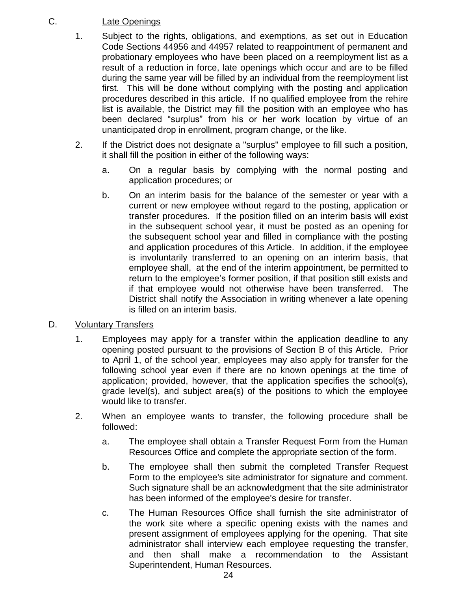### C. Late Openings

- 1. Subject to the rights, obligations, and exemptions, as set out in Education Code Sections 44956 and 44957 related to reappointment of permanent and probationary employees who have been placed on a reemployment list as a result of a reduction in force, late openings which occur and are to be filled during the same year will be filled by an individual from the reemployment list first. This will be done without complying with the posting and application procedures described in this article. If no qualified employee from the rehire list is available, the District may fill the position with an employee who has been declared "surplus" from his or her work location by virtue of an unanticipated drop in enrollment, program change, or the like.
- 2. If the District does not designate a "surplus" employee to fill such a position, it shall fill the position in either of the following ways:
	- a. On a regular basis by complying with the normal posting and application procedures; or
	- b. On an interim basis for the balance of the semester or year with a current or new employee without regard to the posting, application or transfer procedures. If the position filled on an interim basis will exist in the subsequent school year, it must be posted as an opening for the subsequent school year and filled in compliance with the posting and application procedures of this Article. In addition, if the employee is involuntarily transferred to an opening on an interim basis, that employee shall, at the end of the interim appointment, be permitted to return to the employee's former position, if that position still exists and if that employee would not otherwise have been transferred. The District shall notify the Association in writing whenever a late opening is filled on an interim basis.

### D. Voluntary Transfers

- 1. Employees may apply for a transfer within the application deadline to any opening posted pursuant to the provisions of Section B of this Article. Prior to April 1, of the school year, employees may also apply for transfer for the following school year even if there are no known openings at the time of application; provided, however, that the application specifies the school(s), grade level(s), and subject area(s) of the positions to which the employee would like to transfer.
- 2. When an employee wants to transfer, the following procedure shall be followed:
	- a. The employee shall obtain a Transfer Request Form from the Human Resources Office and complete the appropriate section of the form.
	- b. The employee shall then submit the completed Transfer Request Form to the employee's site administrator for signature and comment. Such signature shall be an acknowledgment that the site administrator has been informed of the employee's desire for transfer.
	- c. The Human Resources Office shall furnish the site administrator of the work site where a specific opening exists with the names and present assignment of employees applying for the opening. That site administrator shall interview each employee requesting the transfer, and then shall make a recommendation to the Assistant Superintendent, Human Resources.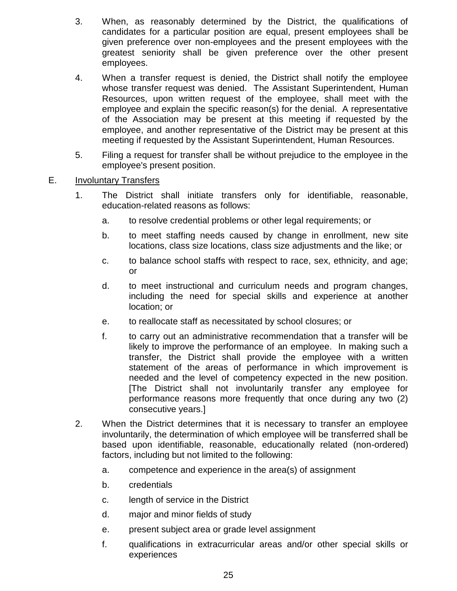- 3. When, as reasonably determined by the District, the qualifications of candidates for a particular position are equal, present employees shall be given preference over non-employees and the present employees with the greatest seniority shall be given preference over the other present employees.
- 4. When a transfer request is denied, the District shall notify the employee whose transfer request was denied. The Assistant Superintendent, Human Resources, upon written request of the employee, shall meet with the employee and explain the specific reason(s) for the denial. A representative of the Association may be present at this meeting if requested by the employee, and another representative of the District may be present at this meeting if requested by the Assistant Superintendent, Human Resources.
- 5. Filing a request for transfer shall be without prejudice to the employee in the employee's present position.

### E. Involuntary Transfers

- 1. The District shall initiate transfers only for identifiable, reasonable, education-related reasons as follows:
	- a. to resolve credential problems or other legal requirements; or
	- b. to meet staffing needs caused by change in enrollment, new site locations, class size locations, class size adjustments and the like; or
	- c. to balance school staffs with respect to race, sex, ethnicity, and age; or
	- d. to meet instructional and curriculum needs and program changes, including the need for special skills and experience at another location; or
	- e. to reallocate staff as necessitated by school closures; or
	- f. to carry out an administrative recommendation that a transfer will be likely to improve the performance of an employee. In making such a transfer, the District shall provide the employee with a written statement of the areas of performance in which improvement is needed and the level of competency expected in the new position. [The District shall not involuntarily transfer any employee for performance reasons more frequently that once during any two (2) consecutive years.]
- 2. When the District determines that it is necessary to transfer an employee involuntarily, the determination of which employee will be transferred shall be based upon identifiable, reasonable, educationally related (non-ordered) factors, including but not limited to the following:
	- a. competence and experience in the area(s) of assignment
	- b. credentials
	- c. length of service in the District
	- d. major and minor fields of study
	- e. present subject area or grade level assignment
	- f. qualifications in extracurricular areas and/or other special skills or experiences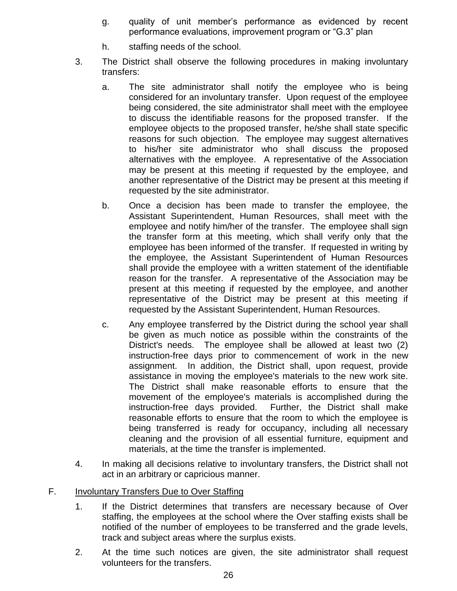- g. quality of unit member's performance as evidenced by recent performance evaluations, improvement program or "G.3" plan
- h. staffing needs of the school.
- 3. The District shall observe the following procedures in making involuntary transfers:
	- a. The site administrator shall notify the employee who is being considered for an involuntary transfer. Upon request of the employee being considered, the site administrator shall meet with the employee to discuss the identifiable reasons for the proposed transfer. If the employee objects to the proposed transfer, he/she shall state specific reasons for such objection. The employee may suggest alternatives to his/her site administrator who shall discuss the proposed alternatives with the employee. A representative of the Association may be present at this meeting if requested by the employee, and another representative of the District may be present at this meeting if requested by the site administrator.
	- b. Once a decision has been made to transfer the employee, the Assistant Superintendent, Human Resources, shall meet with the employee and notify him/her of the transfer. The employee shall sign the transfer form at this meeting, which shall verify only that the employee has been informed of the transfer. If requested in writing by the employee, the Assistant Superintendent of Human Resources shall provide the employee with a written statement of the identifiable reason for the transfer. A representative of the Association may be present at this meeting if requested by the employee, and another representative of the District may be present at this meeting if requested by the Assistant Superintendent, Human Resources.
	- c. Any employee transferred by the District during the school year shall be given as much notice as possible within the constraints of the District's needs. The employee shall be allowed at least two (2) instruction-free days prior to commencement of work in the new assignment. In addition, the District shall, upon request, provide assistance in moving the employee's materials to the new work site. The District shall make reasonable efforts to ensure that the movement of the employee's materials is accomplished during the instruction-free days provided. Further, the District shall make reasonable efforts to ensure that the room to which the employee is being transferred is ready for occupancy, including all necessary cleaning and the provision of all essential furniture, equipment and materials, at the time the transfer is implemented.
- 4. In making all decisions relative to involuntary transfers, the District shall not act in an arbitrary or capricious manner.

### F. Involuntary Transfers Due to Over Staffing

- 1. If the District determines that transfers are necessary because of Over staffing, the employees at the school where the Over staffing exists shall be notified of the number of employees to be transferred and the grade levels, track and subject areas where the surplus exists.
- 2. At the time such notices are given, the site administrator shall request volunteers for the transfers.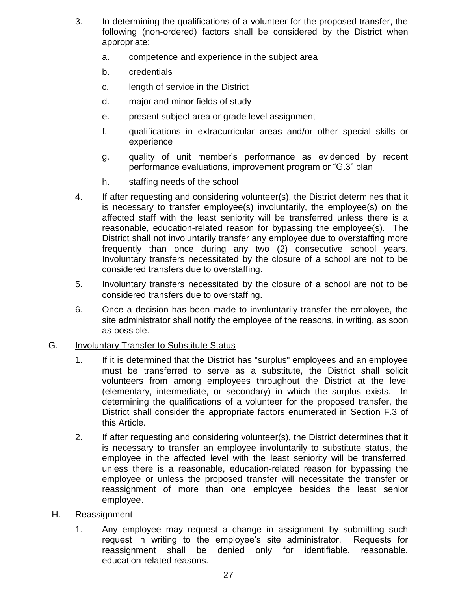- 3. In determining the qualifications of a volunteer for the proposed transfer, the following (non-ordered) factors shall be considered by the District when appropriate:
	- a. competence and experience in the subject area
	- b. credentials
	- c. length of service in the District
	- d. major and minor fields of study
	- e. present subject area or grade level assignment
	- f. qualifications in extracurricular areas and/or other special skills or experience
	- g. quality of unit member's performance as evidenced by recent performance evaluations, improvement program or "G.3" plan
	- h. staffing needs of the school
- 4. If after requesting and considering volunteer(s), the District determines that it is necessary to transfer employee(s) involuntarily, the employee(s) on the affected staff with the least seniority will be transferred unless there is a reasonable, education-related reason for bypassing the employee(s). The District shall not involuntarily transfer any employee due to overstaffing more frequently than once during any two (2) consecutive school years. Involuntary transfers necessitated by the closure of a school are not to be considered transfers due to overstaffing.
- 5. Involuntary transfers necessitated by the closure of a school are not to be considered transfers due to overstaffing.
- 6. Once a decision has been made to involuntarily transfer the employee, the site administrator shall notify the employee of the reasons, in writing, as soon as possible.

#### G. Involuntary Transfer to Substitute Status

- 1. If it is determined that the District has "surplus" employees and an employee must be transferred to serve as a substitute, the District shall solicit volunteers from among employees throughout the District at the level (elementary, intermediate, or secondary) in which the surplus exists. In determining the qualifications of a volunteer for the proposed transfer, the District shall consider the appropriate factors enumerated in Section F.3 of this Article.
- 2. If after requesting and considering volunteer(s), the District determines that it is necessary to transfer an employee involuntarily to substitute status, the employee in the affected level with the least seniority will be transferred, unless there is a reasonable, education-related reason for bypassing the employee or unless the proposed transfer will necessitate the transfer or reassignment of more than one employee besides the least senior employee.

#### H. Reassignment

1. Any employee may request a change in assignment by submitting such request in writing to the employee's site administrator. Requests for reassignment shall be denied only for identifiable, reasonable, education-related reasons.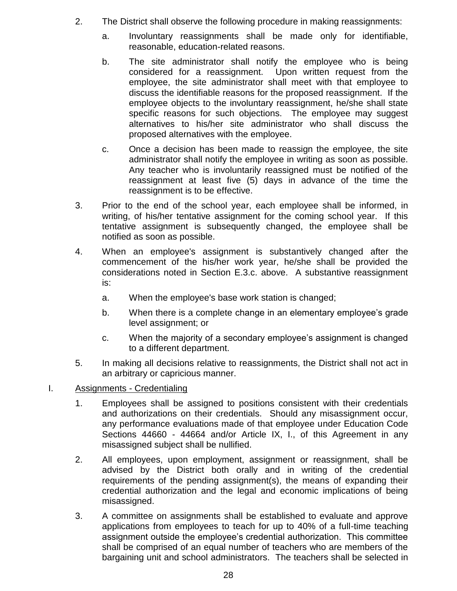- 2. The District shall observe the following procedure in making reassignments:
	- a. Involuntary reassignments shall be made only for identifiable, reasonable, education-related reasons.
	- b. The site administrator shall notify the employee who is being considered for a reassignment. Upon written request from the employee, the site administrator shall meet with that employee to discuss the identifiable reasons for the proposed reassignment. If the employee objects to the involuntary reassignment, he/she shall state specific reasons for such objections. The employee may suggest alternatives to his/her site administrator who shall discuss the proposed alternatives with the employee.
	- c. Once a decision has been made to reassign the employee, the site administrator shall notify the employee in writing as soon as possible. Any teacher who is involuntarily reassigned must be notified of the reassignment at least five (5) days in advance of the time the reassignment is to be effective.
- 3. Prior to the end of the school year, each employee shall be informed, in writing, of his/her tentative assignment for the coming school year. If this tentative assignment is subsequently changed, the employee shall be notified as soon as possible.
- 4. When an employee's assignment is substantively changed after the commencement of the his/her work year, he/she shall be provided the considerations noted in Section E.3.c. above. A substantive reassignment is:
	- a. When the employee's base work station is changed;
	- b. When there is a complete change in an elementary employee's grade level assignment; or
	- c. When the majority of a secondary employee's assignment is changed to a different department.
- 5. In making all decisions relative to reassignments, the District shall not act in an arbitrary or capricious manner.
- I. Assignments Credentialing
	- 1. Employees shall be assigned to positions consistent with their credentials and authorizations on their credentials. Should any misassignment occur, any performance evaluations made of that employee under Education Code Sections 44660 - 44664 and/or Article IX, I., of this Agreement in any misassigned subject shall be nullified.
	- 2. All employees, upon employment, assignment or reassignment, shall be advised by the District both orally and in writing of the credential requirements of the pending assignment(s), the means of expanding their credential authorization and the legal and economic implications of being misassigned.
	- 3. A committee on assignments shall be established to evaluate and approve applications from employees to teach for up to 40% of a full-time teaching assignment outside the employee's credential authorization. This committee shall be comprised of an equal number of teachers who are members of the bargaining unit and school administrators. The teachers shall be selected in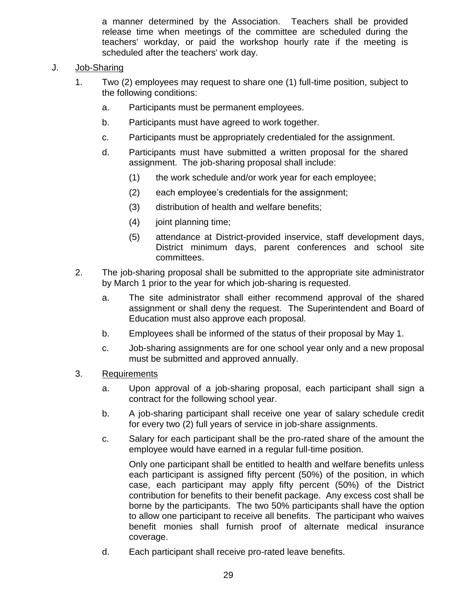a manner determined by the Association. Teachers shall be provided release time when meetings of the committee are scheduled during the teachers' workday, or paid the workshop hourly rate if the meeting is scheduled after the teachers' work day.

#### J. Job-Sharing

- 1. Two (2) employees may request to share one (1) full-time position, subject to the following conditions:
	- a. Participants must be permanent employees.
	- b. Participants must have agreed to work together.
	- c. Participants must be appropriately credentialed for the assignment.
	- d. Participants must have submitted a written proposal for the shared assignment. The job-sharing proposal shall include:
		- (1) the work schedule and/or work year for each employee;
		- (2) each employee's credentials for the assignment;
		- (3) distribution of health and welfare benefits;
		- (4) joint planning time;
		- (5) attendance at District-provided inservice, staff development days, District minimum days, parent conferences and school site committees.
- 2. The job-sharing proposal shall be submitted to the appropriate site administrator by March 1 prior to the year for which job-sharing is requested.
	- a. The site administrator shall either recommend approval of the shared assignment or shall deny the request. The Superintendent and Board of Education must also approve each proposal.
	- b. Employees shall be informed of the status of their proposal by May 1.
	- c. Job-sharing assignments are for one school year only and a new proposal must be submitted and approved annually.
- 3. Requirements
	- a. Upon approval of a job-sharing proposal, each participant shall sign a contract for the following school year.
	- b. A job-sharing participant shall receive one year of salary schedule credit for every two (2) full years of service in job-share assignments.
	- c. Salary for each participant shall be the pro-rated share of the amount the employee would have earned in a regular full-time position.

Only one participant shall be entitled to health and welfare benefits unless each participant is assigned fifty percent (50%) of the position, in which case, each participant may apply fifty percent (50%) of the District contribution for benefits to their benefit package. Any excess cost shall be borne by the participants. The two 50% participants shall have the option to allow one participant to receive all benefits. The participant who waives benefit monies shall furnish proof of alternate medical insurance coverage.

d. Each participant shall receive pro-rated leave benefits.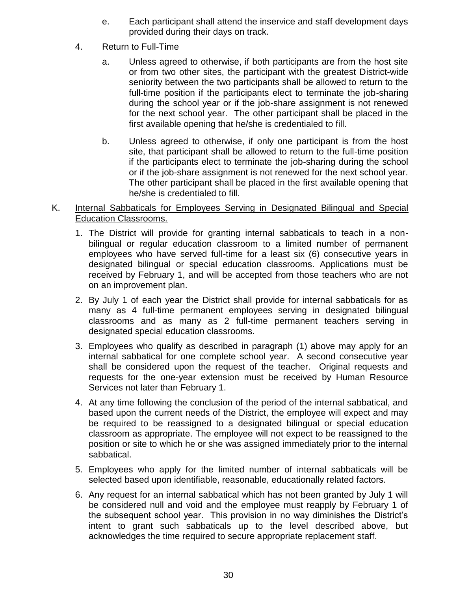- e. Each participant shall attend the inservice and staff development days provided during their days on track.
- 4. Return to Full-Time
	- a. Unless agreed to otherwise, if both participants are from the host site or from two other sites, the participant with the greatest District-wide seniority between the two participants shall be allowed to return to the full-time position if the participants elect to terminate the job-sharing during the school year or if the job-share assignment is not renewed for the next school year. The other participant shall be placed in the first available opening that he/she is credentialed to fill.
	- b. Unless agreed to otherwise, if only one participant is from the host site, that participant shall be allowed to return to the full-time position if the participants elect to terminate the job-sharing during the school or if the job-share assignment is not renewed for the next school year. The other participant shall be placed in the first available opening that he/she is credentialed to fill.
- K. Internal Sabbaticals for Employees Serving in Designated Bilingual and Special Education Classrooms.
	- 1. The District will provide for granting internal sabbaticals to teach in a nonbilingual or regular education classroom to a limited number of permanent employees who have served full-time for a least six (6) consecutive years in designated bilingual or special education classrooms. Applications must be received by February 1, and will be accepted from those teachers who are not on an improvement plan.
	- 2. By July 1 of each year the District shall provide for internal sabbaticals for as many as 4 full-time permanent employees serving in designated bilingual classrooms and as many as 2 full-time permanent teachers serving in designated special education classrooms.
	- 3. Employees who qualify as described in paragraph (1) above may apply for an internal sabbatical for one complete school year. A second consecutive year shall be considered upon the request of the teacher. Original requests and requests for the one-year extension must be received by Human Resource Services not later than February 1.
	- 4. At any time following the conclusion of the period of the internal sabbatical, and based upon the current needs of the District, the employee will expect and may be required to be reassigned to a designated bilingual or special education classroom as appropriate. The employee will not expect to be reassigned to the position or site to which he or she was assigned immediately prior to the internal sabbatical.
	- 5. Employees who apply for the limited number of internal sabbaticals will be selected based upon identifiable, reasonable, educationally related factors.
	- 6. Any request for an internal sabbatical which has not been granted by July 1 will be considered null and void and the employee must reapply by February 1 of the subsequent school year. This provision in no way diminishes the District's intent to grant such sabbaticals up to the level described above, but acknowledges the time required to secure appropriate replacement staff.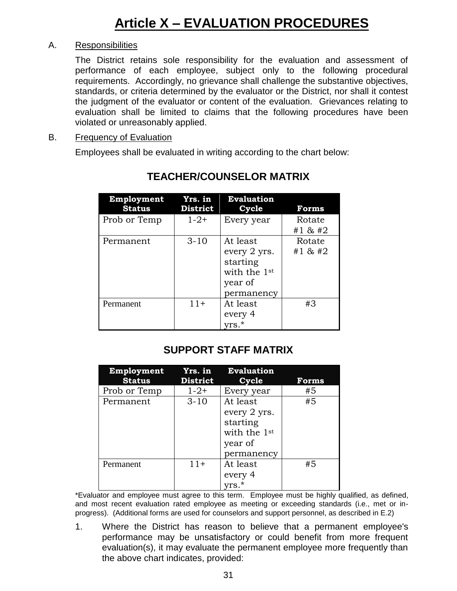### A. Responsibilities

The District retains sole responsibility for the evaluation and assessment of performance of each employee, subject only to the following procedural requirements. Accordingly, no grievance shall challenge the substantive objectives, standards, or criteria determined by the evaluator or the District, nor shall it contest the judgment of the evaluator or content of the evaluation. Grievances relating to evaluation shall be limited to claims that the following procedures have been violated or unreasonably applied.

#### B. Frequency of Evaluation

Employees shall be evaluated in writing according to the chart below:

| Employment<br><b>Status</b> | Yrs. in<br><b>District</b> | <b>Evaluation</b><br>Cycle                                                    | <b>Forms</b>      |
|-----------------------------|----------------------------|-------------------------------------------------------------------------------|-------------------|
| Prob or Temp                | $1 - 2 +$                  | Every year                                                                    | Rotate<br>#1 & #2 |
| Permanent                   | $3 - 10$                   | At least<br>every 2 yrs.<br>starting<br>with the 1st<br>year of<br>permanency | Rotate<br>#1 & #2 |
| Permanent                   | $11+$                      | At least<br>every 4<br>yrs.*                                                  | #3                |

## **TEACHER/COUNSELOR MATRIX**

## **SUPPORT STAFF MATRIX**

| Employment    | Yrs. in         | <b>Evaluation</b>        |              |
|---------------|-----------------|--------------------------|--------------|
| <b>Status</b> | <b>District</b> | Cycle                    | <b>Forms</b> |
| Prob or Temp  | $1 - 2 +$       | Every year               | #5           |
| Permanent     | $3 - 10$        | At least                 | #5           |
|               |                 | every 2 yrs.             |              |
|               |                 | starting                 |              |
|               |                 | with the 1 <sup>st</sup> |              |
|               |                 | year of                  |              |
|               |                 | permanency               |              |
| Permanent     | $11+$           | At least                 | #5           |
|               |                 | every 4                  |              |
|               |                 |                          |              |

\*Evaluator and employee must agree to this term. Employee must be highly qualified, as defined, and most recent evaluation rated employee as meeting or exceeding standards (i.e., met or inprogress). (Additional forms are used for counselors and support personnel, as described in E.2)

1. Where the District has reason to believe that a permanent employee's performance may be unsatisfactory or could benefit from more frequent evaluation(s), it may evaluate the permanent employee more frequently than the above chart indicates, provided: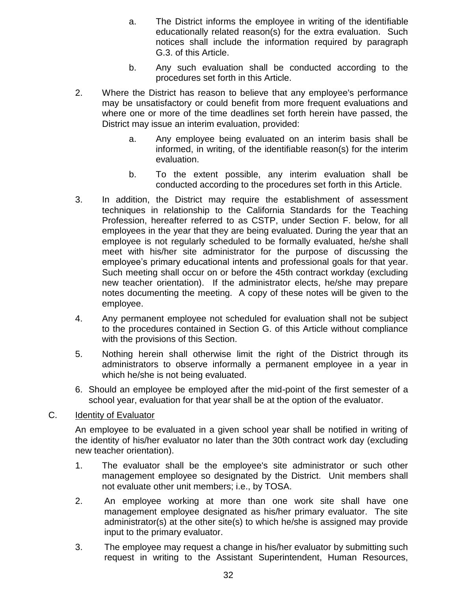- a. The District informs the employee in writing of the identifiable educationally related reason(s) for the extra evaluation. Such notices shall include the information required by paragraph G.3. of this Article.
- b. Any such evaluation shall be conducted according to the procedures set forth in this Article.
- 2. Where the District has reason to believe that any employee's performance may be unsatisfactory or could benefit from more frequent evaluations and where one or more of the time deadlines set forth herein have passed, the District may issue an interim evaluation, provided:
	- a. Any employee being evaluated on an interim basis shall be informed, in writing, of the identifiable reason(s) for the interim evaluation.
	- b. To the extent possible, any interim evaluation shall be conducted according to the procedures set forth in this Article.
- 3. In addition, the District may require the establishment of assessment techniques in relationship to the California Standards for the Teaching Profession, hereafter referred to as CSTP, under Section F. below, for all employees in the year that they are being evaluated. During the year that an employee is not regularly scheduled to be formally evaluated, he/she shall meet with his/her site administrator for the purpose of discussing the employee's primary educational intents and professional goals for that year. Such meeting shall occur on or before the 45th contract workday (excluding new teacher orientation). If the administrator elects, he/she may prepare notes documenting the meeting. A copy of these notes will be given to the employee.
- 4. Any permanent employee not scheduled for evaluation shall not be subject to the procedures contained in Section G. of this Article without compliance with the provisions of this Section.
- 5. Nothing herein shall otherwise limit the right of the District through its administrators to observe informally a permanent employee in a year in which he/she is not being evaluated.
- 6. Should an employee be employed after the mid-point of the first semester of a school year, evaluation for that year shall be at the option of the evaluator.

## C. Identity of Evaluator

An employee to be evaluated in a given school year shall be notified in writing of the identity of his/her evaluator no later than the 30th contract work day (excluding new teacher orientation).

- 1. The evaluator shall be the employee's site administrator or such other management employee so designated by the District. Unit members shall not evaluate other unit members; i.e., by TOSA.
- 2. An employee working at more than one work site shall have one management employee designated as his/her primary evaluator. The site administrator(s) at the other site(s) to which he/she is assigned may provide input to the primary evaluator.
- 3. The employee may request a change in his/her evaluator by submitting such request in writing to the Assistant Superintendent, Human Resources,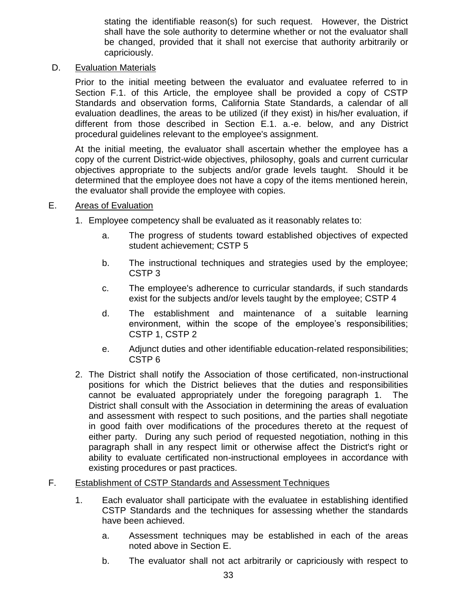stating the identifiable reason(s) for such request. However, the District shall have the sole authority to determine whether or not the evaluator shall be changed, provided that it shall not exercise that authority arbitrarily or capriciously.

### D. Evaluation Materials

Prior to the initial meeting between the evaluator and evaluatee referred to in Section F.1. of this Article, the employee shall be provided a copy of CSTP Standards and observation forms, California State Standards, a calendar of all evaluation deadlines, the areas to be utilized (if they exist) in his/her evaluation, if different from those described in Section E.1. a.-e. below, and any District procedural guidelines relevant to the employee's assignment.

At the initial meeting, the evaluator shall ascertain whether the employee has a copy of the current District-wide objectives, philosophy, goals and current curricular objectives appropriate to the subjects and/or grade levels taught. Should it be determined that the employee does not have a copy of the items mentioned herein, the evaluator shall provide the employee with copies.

## E. Areas of Evaluation

- 1. Employee competency shall be evaluated as it reasonably relates to:
	- a. The progress of students toward established objectives of expected student achievement; CSTP 5
	- b. The instructional techniques and strategies used by the employee; CSTP 3
	- c. The employee's adherence to curricular standards, if such standards exist for the subjects and/or levels taught by the employee; CSTP 4
	- d. The establishment and maintenance of a suitable learning environment, within the scope of the employee's responsibilities; CSTP 1, CSTP 2
	- e. Adjunct duties and other identifiable education-related responsibilities; CSTP 6
- 2. The District shall notify the Association of those certificated, non-instructional positions for which the District believes that the duties and responsibilities cannot be evaluated appropriately under the foregoing paragraph 1. The District shall consult with the Association in determining the areas of evaluation and assessment with respect to such positions, and the parties shall negotiate in good faith over modifications of the procedures thereto at the request of either party. During any such period of requested negotiation, nothing in this paragraph shall in any respect limit or otherwise affect the District's right or ability to evaluate certificated non-instructional employees in accordance with existing procedures or past practices.

### F. Establishment of CSTP Standards and Assessment Techniques

- 1. Each evaluator shall participate with the evaluatee in establishing identified CSTP Standards and the techniques for assessing whether the standards have been achieved.
	- a. Assessment techniques may be established in each of the areas noted above in Section E.
	- b. The evaluator shall not act arbitrarily or capriciously with respect to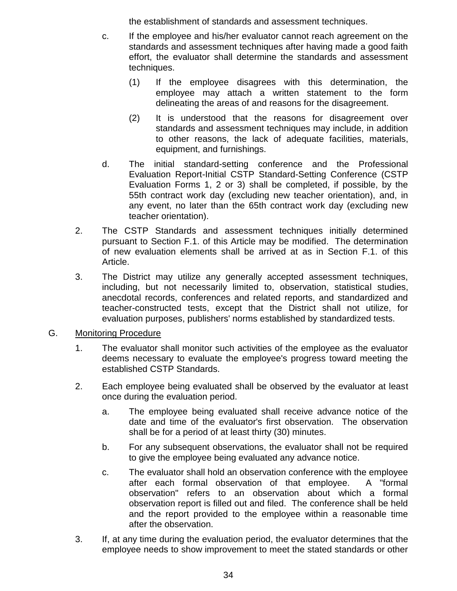the establishment of standards and assessment techniques.

- c. If the employee and his/her evaluator cannot reach agreement on the standards and assessment techniques after having made a good faith effort, the evaluator shall determine the standards and assessment techniques.
	- (1) If the employee disagrees with this determination, the employee may attach a written statement to the form delineating the areas of and reasons for the disagreement.
	- (2) It is understood that the reasons for disagreement over standards and assessment techniques may include, in addition to other reasons, the lack of adequate facilities, materials, equipment, and furnishings.
- d. The initial standard-setting conference and the Professional Evaluation Report-Initial CSTP Standard-Setting Conference (CSTP Evaluation Forms 1, 2 or 3) shall be completed, if possible, by the 55th contract work day (excluding new teacher orientation), and, in any event, no later than the 65th contract work day (excluding new teacher orientation).
- 2. The CSTP Standards and assessment techniques initially determined pursuant to Section F.1. of this Article may be modified. The determination of new evaluation elements shall be arrived at as in Section F.1. of this Article.
- 3. The District may utilize any generally accepted assessment techniques, including, but not necessarily limited to, observation, statistical studies, anecdotal records, conferences and related reports, and standardized and teacher-constructed tests, except that the District shall not utilize, for evaluation purposes, publishers' norms established by standardized tests.
- G. Monitoring Procedure
	- 1. The evaluator shall monitor such activities of the employee as the evaluator deems necessary to evaluate the employee's progress toward meeting the established CSTP Standards.
	- 2. Each employee being evaluated shall be observed by the evaluator at least once during the evaluation period.
		- a. The employee being evaluated shall receive advance notice of the date and time of the evaluator's first observation. The observation shall be for a period of at least thirty (30) minutes.
		- b. For any subsequent observations, the evaluator shall not be required to give the employee being evaluated any advance notice.
		- c. The evaluator shall hold an observation conference with the employee after each formal observation of that employee. A "formal observation" refers to an observation about which a formal observation report is filled out and filed. The conference shall be held and the report provided to the employee within a reasonable time after the observation.
	- 3. If, at any time during the evaluation period, the evaluator determines that the employee needs to show improvement to meet the stated standards or other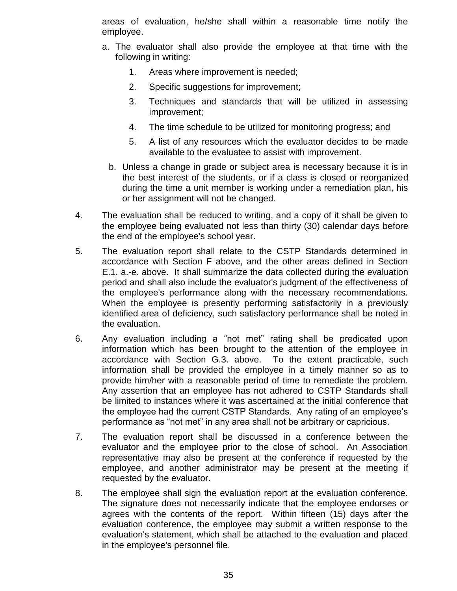areas of evaluation, he/she shall within a reasonable time notify the employee.

- a. The evaluator shall also provide the employee at that time with the following in writing:
	- 1. Areas where improvement is needed;
	- 2. Specific suggestions for improvement;
	- 3. Techniques and standards that will be utilized in assessing improvement;
	- 4. The time schedule to be utilized for monitoring progress; and
	- 5. A list of any resources which the evaluator decides to be made available to the evaluatee to assist with improvement.
	- b. Unless a change in grade or subject area is necessary because it is in the best interest of the students, or if a class is closed or reorganized during the time a unit member is working under a remediation plan, his or her assignment will not be changed.
- 4. The evaluation shall be reduced to writing, and a copy of it shall be given to the employee being evaluated not less than thirty (30) calendar days before the end of the employee's school year.
- 5. The evaluation report shall relate to the CSTP Standards determined in accordance with Section F above, and the other areas defined in Section E.1. a.-e. above. It shall summarize the data collected during the evaluation period and shall also include the evaluator's judgment of the effectiveness of the employee's performance along with the necessary recommendations. When the employee is presently performing satisfactorily in a previously identified area of deficiency, such satisfactory performance shall be noted in the evaluation.
- 6. Any evaluation including a "not met" rating shall be predicated upon information which has been brought to the attention of the employee in accordance with Section G.3. above. To the extent practicable, such information shall be provided the employee in a timely manner so as to provide him/her with a reasonable period of time to remediate the problem. Any assertion that an employee has not adhered to CSTP Standards shall be limited to instances where it was ascertained at the initial conference that the employee had the current CSTP Standards. Any rating of an employee's performance as "not met" in any area shall not be arbitrary or capricious.
- 7. The evaluation report shall be discussed in a conference between the evaluator and the employee prior to the close of school. An Association representative may also be present at the conference if requested by the employee, and another administrator may be present at the meeting if requested by the evaluator.
- 8. The employee shall sign the evaluation report at the evaluation conference. The signature does not necessarily indicate that the employee endorses or agrees with the contents of the report. Within fifteen (15) days after the evaluation conference, the employee may submit a written response to the evaluation's statement, which shall be attached to the evaluation and placed in the employee's personnel file.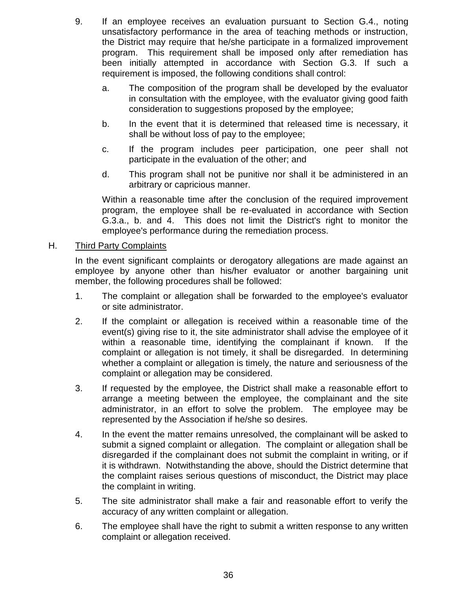- 9. If an employee receives an evaluation pursuant to Section G.4., noting unsatisfactory performance in the area of teaching methods or instruction, the District may require that he/she participate in a formalized improvement program. This requirement shall be imposed only after remediation has been initially attempted in accordance with Section G.3. If such a requirement is imposed, the following conditions shall control:
	- a. The composition of the program shall be developed by the evaluator in consultation with the employee, with the evaluator giving good faith consideration to suggestions proposed by the employee;
	- b. In the event that it is determined that released time is necessary, it shall be without loss of pay to the employee;
	- c. If the program includes peer participation, one peer shall not participate in the evaluation of the other; and
	- d. This program shall not be punitive nor shall it be administered in an arbitrary or capricious manner.

Within a reasonable time after the conclusion of the required improvement program, the employee shall be re-evaluated in accordance with Section G.3.a., b. and 4. This does not limit the District's right to monitor the employee's performance during the remediation process.

### H. Third Party Complaints

In the event significant complaints or derogatory allegations are made against an employee by anyone other than his/her evaluator or another bargaining unit member, the following procedures shall be followed:

- 1. The complaint or allegation shall be forwarded to the employee's evaluator or site administrator.
- 2. If the complaint or allegation is received within a reasonable time of the event(s) giving rise to it, the site administrator shall advise the employee of it within a reasonable time, identifying the complainant if known. If the complaint or allegation is not timely, it shall be disregarded. In determining whether a complaint or allegation is timely, the nature and seriousness of the complaint or allegation may be considered.
- 3. If requested by the employee, the District shall make a reasonable effort to arrange a meeting between the employee, the complainant and the site administrator, in an effort to solve the problem. The employee may be represented by the Association if he/she so desires.
- 4. In the event the matter remains unresolved, the complainant will be asked to submit a signed complaint or allegation. The complaint or allegation shall be disregarded if the complainant does not submit the complaint in writing, or if it is withdrawn. Notwithstanding the above, should the District determine that the complaint raises serious questions of misconduct, the District may place the complaint in writing.
- 5. The site administrator shall make a fair and reasonable effort to verify the accuracy of any written complaint or allegation.
- 6. The employee shall have the right to submit a written response to any written complaint or allegation received.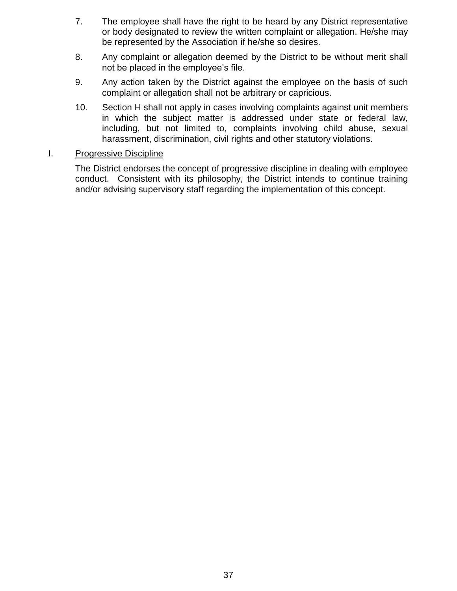- 7. The employee shall have the right to be heard by any District representative or body designated to review the written complaint or allegation. He/she may be represented by the Association if he/she so desires.
- 8. Any complaint or allegation deemed by the District to be without merit shall not be placed in the employee's file.
- 9. Any action taken by the District against the employee on the basis of such complaint or allegation shall not be arbitrary or capricious.
- 10. Section H shall not apply in cases involving complaints against unit members in which the subject matter is addressed under state or federal law, including, but not limited to, complaints involving child abuse, sexual harassment, discrimination, civil rights and other statutory violations.

#### I. Progressive Discipline

The District endorses the concept of progressive discipline in dealing with employee conduct. Consistent with its philosophy, the District intends to continue training and/or advising supervisory staff regarding the implementation of this concept.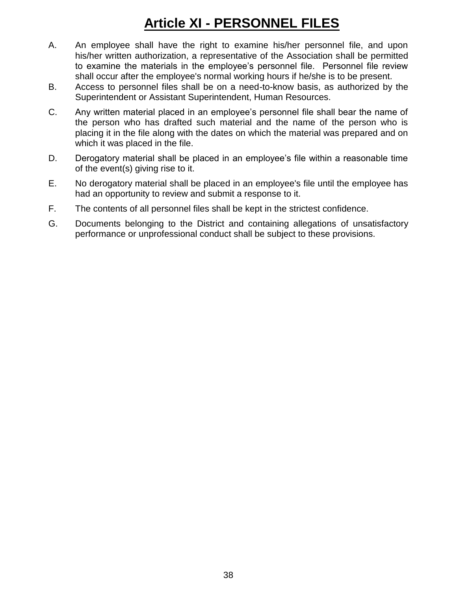# **Article XI - PERSONNEL FILES**

- A. An employee shall have the right to examine his/her personnel file, and upon his/her written authorization, a representative of the Association shall be permitted to examine the materials in the employee's personnel file. Personnel file review shall occur after the employee's normal working hours if he/she is to be present.
- B. Access to personnel files shall be on a need-to-know basis, as authorized by the Superintendent or Assistant Superintendent, Human Resources.
- C. Any written material placed in an employee's personnel file shall bear the name of the person who has drafted such material and the name of the person who is placing it in the file along with the dates on which the material was prepared and on which it was placed in the file.
- D. Derogatory material shall be placed in an employee's file within a reasonable time of the event(s) giving rise to it.
- E. No derogatory material shall be placed in an employee's file until the employee has had an opportunity to review and submit a response to it.
- F. The contents of all personnel files shall be kept in the strictest confidence.
- G. Documents belonging to the District and containing allegations of unsatisfactory performance or unprofessional conduct shall be subject to these provisions.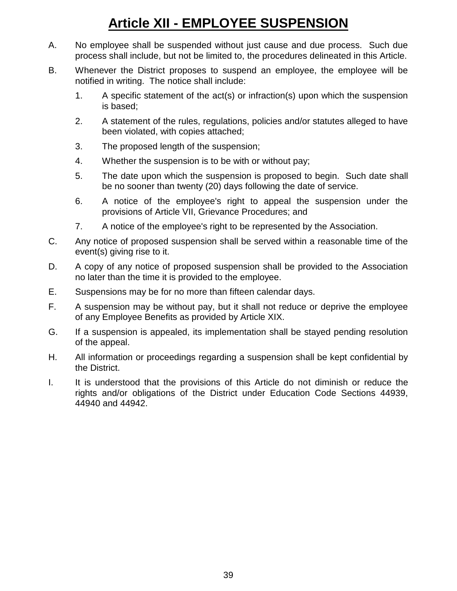# **Article XII - EMPLOYEE SUSPENSION**

- A. No employee shall be suspended without just cause and due process. Such due process shall include, but not be limited to, the procedures delineated in this Article.
- B. Whenever the District proposes to suspend an employee, the employee will be notified in writing. The notice shall include:
	- 1. A specific statement of the act(s) or infraction(s) upon which the suspension is based;
	- 2. A statement of the rules, regulations, policies and/or statutes alleged to have been violated, with copies attached;
	- 3. The proposed length of the suspension;
	- 4. Whether the suspension is to be with or without pay;
	- 5. The date upon which the suspension is proposed to begin. Such date shall be no sooner than twenty (20) days following the date of service.
	- 6. A notice of the employee's right to appeal the suspension under the provisions of Article VII, Grievance Procedures; and
	- 7. A notice of the employee's right to be represented by the Association.
- C. Any notice of proposed suspension shall be served within a reasonable time of the event(s) giving rise to it.
- D. A copy of any notice of proposed suspension shall be provided to the Association no later than the time it is provided to the employee.
- E. Suspensions may be for no more than fifteen calendar days.
- F. A suspension may be without pay, but it shall not reduce or deprive the employee of any Employee Benefits as provided by Article XIX.
- G. If a suspension is appealed, its implementation shall be stayed pending resolution of the appeal.
- H. All information or proceedings regarding a suspension shall be kept confidential by the District.
- I. It is understood that the provisions of this Article do not diminish or reduce the rights and/or obligations of the District under Education Code Sections 44939, 44940 and 44942.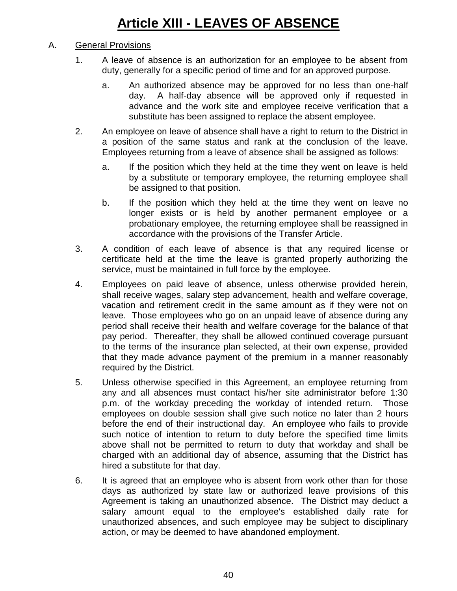# A. General Provisions

- 1. A leave of absence is an authorization for an employee to be absent from duty, generally for a specific period of time and for an approved purpose.
	- a. An authorized absence may be approved for no less than one-half day. A half-day absence will be approved only if requested in advance and the work site and employee receive verification that a substitute has been assigned to replace the absent employee.
- 2. An employee on leave of absence shall have a right to return to the District in a position of the same status and rank at the conclusion of the leave. Employees returning from a leave of absence shall be assigned as follows:
	- a. If the position which they held at the time they went on leave is held by a substitute or temporary employee, the returning employee shall be assigned to that position.
	- b. If the position which they held at the time they went on leave no longer exists or is held by another permanent employee or a probationary employee, the returning employee shall be reassigned in accordance with the provisions of the Transfer Article.
- 3. A condition of each leave of absence is that any required license or certificate held at the time the leave is granted properly authorizing the service, must be maintained in full force by the employee.
- 4. Employees on paid leave of absence, unless otherwise provided herein, shall receive wages, salary step advancement, health and welfare coverage, vacation and retirement credit in the same amount as if they were not on leave. Those employees who go on an unpaid leave of absence during any period shall receive their health and welfare coverage for the balance of that pay period. Thereafter, they shall be allowed continued coverage pursuant to the terms of the insurance plan selected, at their own expense, provided that they made advance payment of the premium in a manner reasonably required by the District.
- 5. Unless otherwise specified in this Agreement, an employee returning from any and all absences must contact his/her site administrator before 1:30 p.m. of the workday preceding the workday of intended return. Those employees on double session shall give such notice no later than 2 hours before the end of their instructional day. An employee who fails to provide such notice of intention to return to duty before the specified time limits above shall not be permitted to return to duty that workday and shall be charged with an additional day of absence, assuming that the District has hired a substitute for that day.
- 6. It is agreed that an employee who is absent from work other than for those days as authorized by state law or authorized leave provisions of this Agreement is taking an unauthorized absence. The District may deduct a salary amount equal to the employee's established daily rate for unauthorized absences, and such employee may be subject to disciplinary action, or may be deemed to have abandoned employment.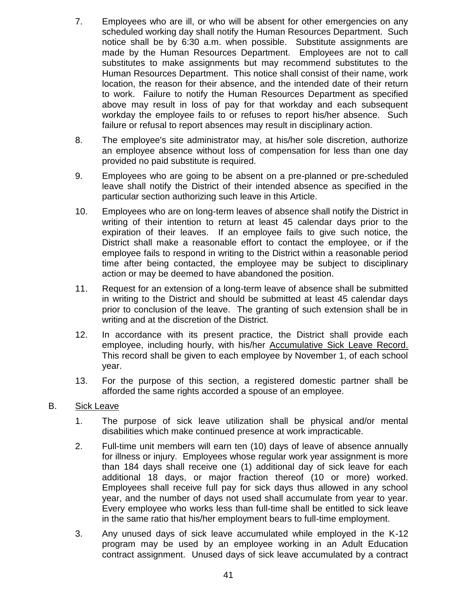- 7. Employees who are ill, or who will be absent for other emergencies on any scheduled working day shall notify the Human Resources Department. Such notice shall be by 6:30 a.m. when possible. Substitute assignments are made by the Human Resources Department. Employees are not to call substitutes to make assignments but may recommend substitutes to the Human Resources Department. This notice shall consist of their name, work location, the reason for their absence, and the intended date of their return to work. Failure to notify the Human Resources Department as specified above may result in loss of pay for that workday and each subsequent workday the employee fails to or refuses to report his/her absence. Such failure or refusal to report absences may result in disciplinary action.
- 8. The employee's site administrator may, at his/her sole discretion, authorize an employee absence without loss of compensation for less than one day provided no paid substitute is required.
- 9. Employees who are going to be absent on a pre-planned or pre-scheduled leave shall notify the District of their intended absence as specified in the particular section authorizing such leave in this Article.
- 10. Employees who are on long-term leaves of absence shall notify the District in writing of their intention to return at least 45 calendar days prior to the expiration of their leaves. If an employee fails to give such notice, the District shall make a reasonable effort to contact the employee, or if the employee fails to respond in writing to the District within a reasonable period time after being contacted, the employee may be subject to disciplinary action or may be deemed to have abandoned the position.
- 11. Request for an extension of a long-term leave of absence shall be submitted in writing to the District and should be submitted at least 45 calendar days prior to conclusion of the leave. The granting of such extension shall be in writing and at the discretion of the District.
- 12. In accordance with its present practice, the District shall provide each employee, including hourly, with his/her Accumulative Sick Leave Record. This record shall be given to each employee by November 1, of each school year.
- 13. For the purpose of this section, a registered domestic partner shall be afforded the same rights accorded a spouse of an employee.
- B. Sick Leave
	- 1. The purpose of sick leave utilization shall be physical and/or mental disabilities which make continued presence at work impracticable.
	- 2. Full-time unit members will earn ten (10) days of leave of absence annually for illness or injury. Employees whose regular work year assignment is more than 184 days shall receive one (1) additional day of sick leave for each additional 18 days, or major fraction thereof (10 or more) worked. Employees shall receive full pay for sick days thus allowed in any school year, and the number of days not used shall accumulate from year to year. Every employee who works less than full-time shall be entitled to sick leave in the same ratio that his/her employment bears to full-time employment.
	- 3. Any unused days of sick leave accumulated while employed in the K-12 program may be used by an employee working in an Adult Education contract assignment. Unused days of sick leave accumulated by a contract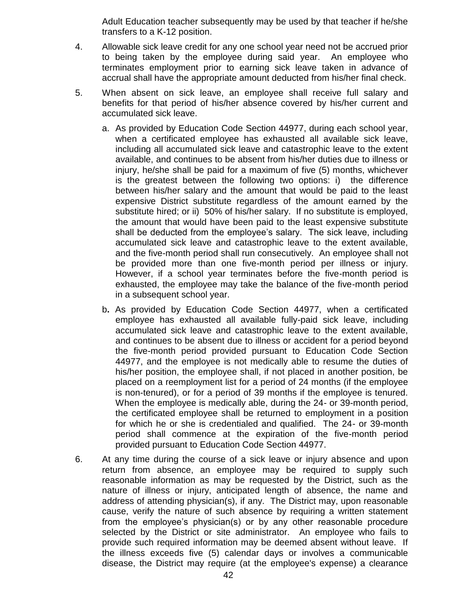Adult Education teacher subsequently may be used by that teacher if he/she transfers to a K-12 position.

- 4. Allowable sick leave credit for any one school year need not be accrued prior to being taken by the employee during said year. An employee who terminates employment prior to earning sick leave taken in advance of accrual shall have the appropriate amount deducted from his/her final check.
- 5. When absent on sick leave, an employee shall receive full salary and benefits for that period of his/her absence covered by his/her current and accumulated sick leave.
	- a. As provided by Education Code Section 44977, during each school year, when a certificated employee has exhausted all available sick leave, including all accumulated sick leave and catastrophic leave to the extent available, and continues to be absent from his/her duties due to illness or injury, he/she shall be paid for a maximum of five (5) months, whichever is the greatest between the following two options: i) the difference between his/her salary and the amount that would be paid to the least expensive District substitute regardless of the amount earned by the substitute hired; or ii) 50% of his/her salary. If no substitute is employed, the amount that would have been paid to the least expensive substitute shall be deducted from the employee's salary. The sick leave, including accumulated sick leave and catastrophic leave to the extent available, and the five-month period shall run consecutively. An employee shall not be provided more than one five-month period per illness or injury. However, if a school year terminates before the five-month period is exhausted, the employee may take the balance of the five-month period in a subsequent school year.
	- b**.** As provided by Education Code Section 44977, when a certificated employee has exhausted all available fully-paid sick leave, including accumulated sick leave and catastrophic leave to the extent available, and continues to be absent due to illness or accident for a period beyond the five-month period provided pursuant to Education Code Section 44977, and the employee is not medically able to resume the duties of his/her position, the employee shall, if not placed in another position, be placed on a reemployment list for a period of 24 months (if the employee is non-tenured), or for a period of 39 months if the employee is tenured. When the employee is medically able, during the 24- or 39-month period, the certificated employee shall be returned to employment in a position for which he or she is credentialed and qualified. The 24- or 39-month period shall commence at the expiration of the five-month period provided pursuant to Education Code Section 44977.
- 6. At any time during the course of a sick leave or injury absence and upon return from absence, an employee may be required to supply such reasonable information as may be requested by the District, such as the nature of illness or injury, anticipated length of absence, the name and address of attending physician(s), if any. The District may, upon reasonable cause, verify the nature of such absence by requiring a written statement from the employee's physician(s) or by any other reasonable procedure selected by the District or site administrator. An employee who fails to provide such required information may be deemed absent without leave. If the illness exceeds five (5) calendar days or involves a communicable disease, the District may require (at the employee's expense) a clearance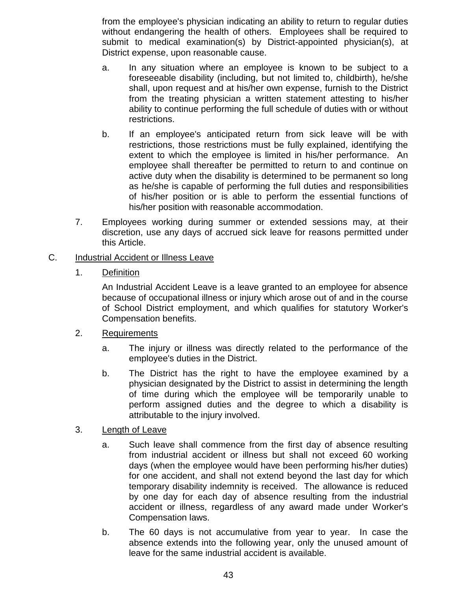from the employee's physician indicating an ability to return to regular duties without endangering the health of others. Employees shall be required to submit to medical examination(s) by District-appointed physician(s), at District expense, upon reasonable cause.

- a. In any situation where an employee is known to be subject to a foreseeable disability (including, but not limited to, childbirth), he/she shall, upon request and at his/her own expense, furnish to the District from the treating physician a written statement attesting to his/her ability to continue performing the full schedule of duties with or without restrictions.
- b. If an employee's anticipated return from sick leave will be with restrictions, those restrictions must be fully explained, identifying the extent to which the employee is limited in his/her performance. An employee shall thereafter be permitted to return to and continue on active duty when the disability is determined to be permanent so long as he/she is capable of performing the full duties and responsibilities of his/her position or is able to perform the essential functions of his/her position with reasonable accommodation.
- 7. Employees working during summer or extended sessions may, at their discretion, use any days of accrued sick leave for reasons permitted under this Article.

## C. Industrial Accident or Illness Leave

1. Definition

An Industrial Accident Leave is a leave granted to an employee for absence because of occupational illness or injury which arose out of and in the course of School District employment, and which qualifies for statutory Worker's Compensation benefits.

### 2. Requirements

- a. The injury or illness was directly related to the performance of the employee's duties in the District.
- b. The District has the right to have the employee examined by a physician designated by the District to assist in determining the length of time during which the employee will be temporarily unable to perform assigned duties and the degree to which a disability is attributable to the injury involved.

### 3. Length of Leave

- a. Such leave shall commence from the first day of absence resulting from industrial accident or illness but shall not exceed 60 working days (when the employee would have been performing his/her duties) for one accident, and shall not extend beyond the last day for which temporary disability indemnity is received. The allowance is reduced by one day for each day of absence resulting from the industrial accident or illness, regardless of any award made under Worker's Compensation laws.
- b. The 60 days is not accumulative from year to year. In case the absence extends into the following year, only the unused amount of leave for the same industrial accident is available.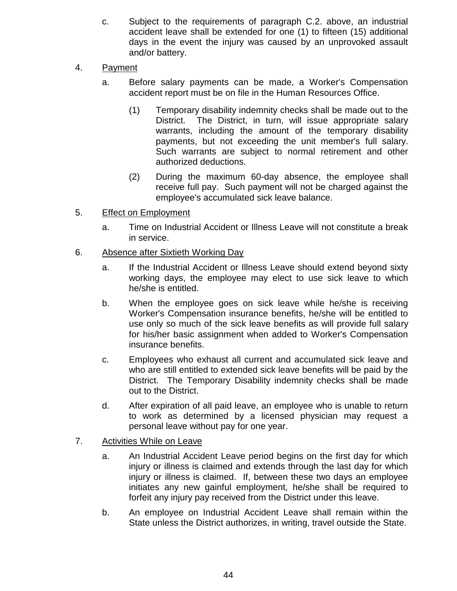- c. Subject to the requirements of paragraph C.2. above, an industrial accident leave shall be extended for one (1) to fifteen (15) additional days in the event the injury was caused by an unprovoked assault and/or battery.
- 4. Payment
	- a. Before salary payments can be made, a Worker's Compensation accident report must be on file in the Human Resources Office.
		- (1) Temporary disability indemnity checks shall be made out to the District. The District, in turn, will issue appropriate salary warrants, including the amount of the temporary disability payments, but not exceeding the unit member's full salary. Such warrants are subject to normal retirement and other authorized deductions.
		- (2) During the maximum 60-day absence, the employee shall receive full pay. Such payment will not be charged against the employee's accumulated sick leave balance.
- 5. Effect on Employment
	- a. Time on Industrial Accident or Illness Leave will not constitute a break in service.
- 6. Absence after Sixtieth Working Day
	- a. If the Industrial Accident or Illness Leave should extend beyond sixty working days, the employee may elect to use sick leave to which he/she is entitled.
	- b. When the employee goes on sick leave while he/she is receiving Worker's Compensation insurance benefits, he/she will be entitled to use only so much of the sick leave benefits as will provide full salary for his/her basic assignment when added to Worker's Compensation insurance benefits.
	- c. Employees who exhaust all current and accumulated sick leave and who are still entitled to extended sick leave benefits will be paid by the District. The Temporary Disability indemnity checks shall be made out to the District.
	- d. After expiration of all paid leave, an employee who is unable to return to work as determined by a licensed physician may request a personal leave without pay for one year.
- 7. Activities While on Leave
	- a. An Industrial Accident Leave period begins on the first day for which injury or illness is claimed and extends through the last day for which injury or illness is claimed. If, between these two days an employee initiates any new gainful employment, he/she shall be required to forfeit any injury pay received from the District under this leave.
	- b. An employee on Industrial Accident Leave shall remain within the State unless the District authorizes, in writing, travel outside the State.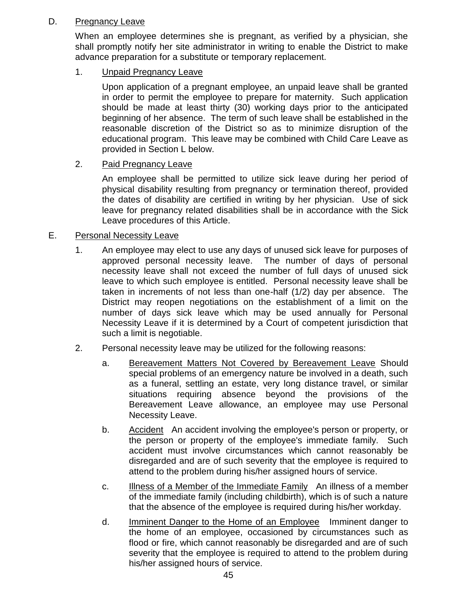## D. Pregnancy Leave

When an employee determines she is pregnant, as verified by a physician, she shall promptly notify her site administrator in writing to enable the District to make advance preparation for a substitute or temporary replacement.

1. Unpaid Pregnancy Leave

Upon application of a pregnant employee, an unpaid leave shall be granted in order to permit the employee to prepare for maternity. Such application should be made at least thirty (30) working days prior to the anticipated beginning of her absence. The term of such leave shall be established in the reasonable discretion of the District so as to minimize disruption of the educational program. This leave may be combined with Child Care Leave as provided in Section L below.

## 2. Paid Pregnancy Leave

An employee shall be permitted to utilize sick leave during her period of physical disability resulting from pregnancy or termination thereof, provided the dates of disability are certified in writing by her physician. Use of sick leave for pregnancy related disabilities shall be in accordance with the Sick Leave procedures of this Article.

## E. Personal Necessity Leave

- 1. An employee may elect to use any days of unused sick leave for purposes of approved personal necessity leave. The number of days of personal necessity leave shall not exceed the number of full days of unused sick leave to which such employee is entitled. Personal necessity leave shall be taken in increments of not less than one-half (1/2) day per absence. The District may reopen negotiations on the establishment of a limit on the number of days sick leave which may be used annually for Personal Necessity Leave if it is determined by a Court of competent jurisdiction that such a limit is negotiable.
- 2. Personal necessity leave may be utilized for the following reasons:
	- a. Bereavement Matters Not Covered by Bereavement Leave Should special problems of an emergency nature be involved in a death, such as a funeral, settling an estate, very long distance travel, or similar situations requiring absence beyond the provisions of the Bereavement Leave allowance, an employee may use Personal Necessity Leave.
	- b. Accident An accident involving the employee's person or property, or the person or property of the employee's immediate family. Such accident must involve circumstances which cannot reasonably be disregarded and are of such severity that the employee is required to attend to the problem during his/her assigned hours of service.
	- c. Illness of a Member of the Immediate Family An illness of a member of the immediate family (including childbirth), which is of such a nature that the absence of the employee is required during his/her workday.
	- d. Imminent Danger to the Home of an Employee Imminent danger to the home of an employee, occasioned by circumstances such as flood or fire, which cannot reasonably be disregarded and are of such severity that the employee is required to attend to the problem during his/her assigned hours of service.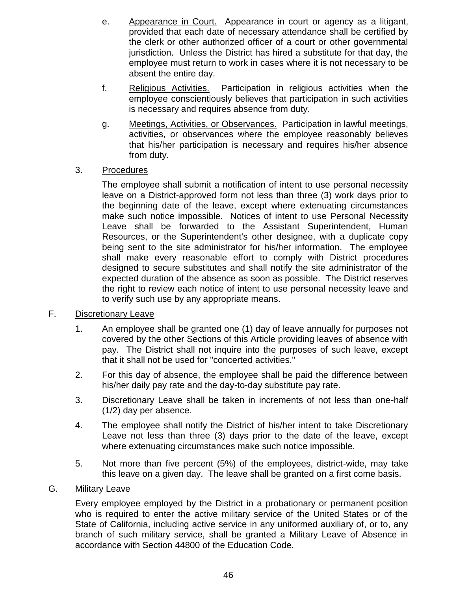- e. Appearance in Court. Appearance in court or agency as a litigant, provided that each date of necessary attendance shall be certified by the clerk or other authorized officer of a court or other governmental jurisdiction. Unless the District has hired a substitute for that day, the employee must return to work in cases where it is not necessary to be absent the entire day.
- f. Religious Activities. Participation in religious activities when the employee conscientiously believes that participation in such activities is necessary and requires absence from duty.
- g. Meetings, Activities, or Observances. Participation in lawful meetings, activities, or observances where the employee reasonably believes that his/her participation is necessary and requires his/her absence from duty.

## 3. Procedures

The employee shall submit a notification of intent to use personal necessity leave on a District-approved form not less than three (3) work days prior to the beginning date of the leave, except where extenuating circumstances make such notice impossible. Notices of intent to use Personal Necessity Leave shall be forwarded to the Assistant Superintendent, Human Resources, or the Superintendent's other designee, with a duplicate copy being sent to the site administrator for his/her information. The employee shall make every reasonable effort to comply with District procedures designed to secure substitutes and shall notify the site administrator of the expected duration of the absence as soon as possible. The District reserves the right to review each notice of intent to use personal necessity leave and to verify such use by any appropriate means.

### F. Discretionary Leave

- 1. An employee shall be granted one (1) day of leave annually for purposes not covered by the other Sections of this Article providing leaves of absence with pay. The District shall not inquire into the purposes of such leave, except that it shall not be used for "concerted activities."
- 2. For this day of absence, the employee shall be paid the difference between his/her daily pay rate and the day-to-day substitute pay rate.
- 3. Discretionary Leave shall be taken in increments of not less than one-half (1/2) day per absence.
- 4. The employee shall notify the District of his/her intent to take Discretionary Leave not less than three (3) days prior to the date of the leave, except where extenuating circumstances make such notice impossible.
- 5. Not more than five percent (5%) of the employees, district-wide, may take this leave on a given day. The leave shall be granted on a first come basis.

# G. Military Leave

Every employee employed by the District in a probationary or permanent position who is required to enter the active military service of the United States or of the State of California, including active service in any uniformed auxiliary of, or to, any branch of such military service, shall be granted a Military Leave of Absence in accordance with Section 44800 of the Education Code.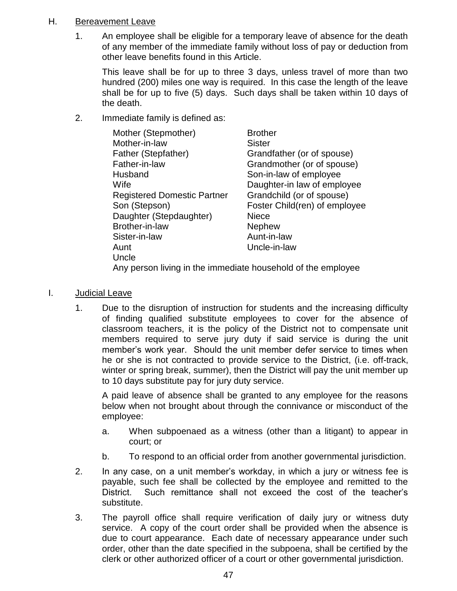## H. Bereavement Leave

1. An employee shall be eligible for a temporary leave of absence for the death of any member of the immediate family without loss of pay or deduction from other leave benefits found in this Article.

This leave shall be for up to three 3 days, unless travel of more than two hundred (200) miles one way is required. In this case the length of the leave shall be for up to five (5) days. Such days shall be taken within 10 days of the death.

2. Immediate family is defined as:

| Mother (Stepmother)                | <b>Brother</b>                |
|------------------------------------|-------------------------------|
| Mother-in-law                      | <b>Sister</b>                 |
| Father (Stepfather)                | Grandfather (or of spouse)    |
| Father-in-law                      | Grandmother (or of spouse)    |
| Husband                            | Son-in-law of employee        |
| Wife                               | Daughter-in law of employee   |
| <b>Registered Domestic Partner</b> | Grandchild (or of spouse)     |
| Son (Stepson)                      | Foster Child(ren) of employee |
| Daughter (Stepdaughter)            | <b>Niece</b>                  |
| Brother-in-law                     | <b>Nephew</b>                 |
| Sister-in-law                      | Aunt-in-law                   |
| Aunt                               | Uncle-in-law                  |
| Uncle                              |                               |
|                                    |                               |

Any person living in the immediate household of the employee

- I. Judicial Leave
	- 1. Due to the disruption of instruction for students and the increasing difficulty of finding qualified substitute employees to cover for the absence of classroom teachers, it is the policy of the District not to compensate unit members required to serve jury duty if said service is during the unit member's work year. Should the unit member defer service to times when he or she is not contracted to provide service to the District, (i.e. off-track, winter or spring break, summer), then the District will pay the unit member up to 10 days substitute pay for jury duty service.

A paid leave of absence shall be granted to any employee for the reasons below when not brought about through the connivance or misconduct of the employee:

- a. When subpoenaed as a witness (other than a litigant) to appear in court; or
- b. To respond to an official order from another governmental jurisdiction.
- 2. In any case, on a unit member's workday, in which a jury or witness fee is payable, such fee shall be collected by the employee and remitted to the District. Such remittance shall not exceed the cost of the teacher's substitute.
- 3. The payroll office shall require verification of daily jury or witness duty service. A copy of the court order shall be provided when the absence is due to court appearance. Each date of necessary appearance under such order, other than the date specified in the subpoena, shall be certified by the clerk or other authorized officer of a court or other governmental jurisdiction.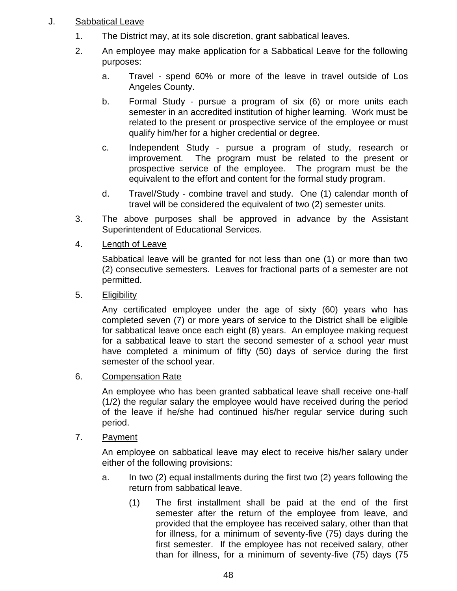## J. Sabbatical Leave

- 1. The District may, at its sole discretion, grant sabbatical leaves.
- 2. An employee may make application for a Sabbatical Leave for the following purposes:
	- a. Travel spend 60% or more of the leave in travel outside of Los Angeles County.
	- b. Formal Study pursue a program of six (6) or more units each semester in an accredited institution of higher learning. Work must be related to the present or prospective service of the employee or must qualify him/her for a higher credential or degree.
	- c. Independent Study pursue a program of study, research or improvement. The program must be related to the present or prospective service of the employee. The program must be the equivalent to the effort and content for the formal study program.
	- d. Travel/Study combine travel and study. One (1) calendar month of travel will be considered the equivalent of two (2) semester units.
- 3. The above purposes shall be approved in advance by the Assistant Superintendent of Educational Services.
- 4. Length of Leave

Sabbatical leave will be granted for not less than one (1) or more than two (2) consecutive semesters. Leaves for fractional parts of a semester are not permitted.

5. Eligibility

Any certificated employee under the age of sixty (60) years who has completed seven (7) or more years of service to the District shall be eligible for sabbatical leave once each eight (8) years. An employee making request for a sabbatical leave to start the second semester of a school year must have completed a minimum of fifty (50) days of service during the first semester of the school year.

6. Compensation Rate

An employee who has been granted sabbatical leave shall receive one-half (1/2) the regular salary the employee would have received during the period of the leave if he/she had continued his/her regular service during such period.

7. Payment

An employee on sabbatical leave may elect to receive his/her salary under either of the following provisions:

- a. In two (2) equal installments during the first two (2) years following the return from sabbatical leave.
	- (1) The first installment shall be paid at the end of the first semester after the return of the employee from leave, and provided that the employee has received salary, other than that for illness, for a minimum of seventy-five (75) days during the first semester. If the employee has not received salary, other than for illness, for a minimum of seventy-five (75) days (75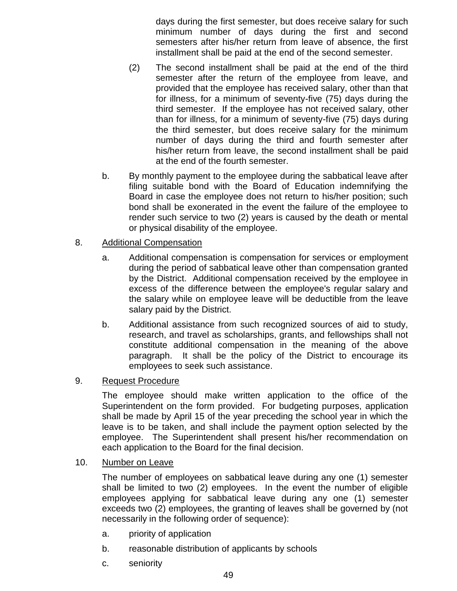days during the first semester, but does receive salary for such minimum number of days during the first and second semesters after his/her return from leave of absence, the first installment shall be paid at the end of the second semester.

- (2) The second installment shall be paid at the end of the third semester after the return of the employee from leave, and provided that the employee has received salary, other than that for illness, for a minimum of seventy-five (75) days during the third semester. If the employee has not received salary, other than for illness, for a minimum of seventy-five (75) days during the third semester, but does receive salary for the minimum number of days during the third and fourth semester after his/her return from leave, the second installment shall be paid at the end of the fourth semester.
- b. By monthly payment to the employee during the sabbatical leave after filing suitable bond with the Board of Education indemnifying the Board in case the employee does not return to his/her position; such bond shall be exonerated in the event the failure of the employee to render such service to two (2) years is caused by the death or mental or physical disability of the employee.
- 8. Additional Compensation
	- a. Additional compensation is compensation for services or employment during the period of sabbatical leave other than compensation granted by the District. Additional compensation received by the employee in excess of the difference between the employee's regular salary and the salary while on employee leave will be deductible from the leave salary paid by the District.
	- b. Additional assistance from such recognized sources of aid to study, research, and travel as scholarships, grants, and fellowships shall not constitute additional compensation in the meaning of the above paragraph. It shall be the policy of the District to encourage its employees to seek such assistance.

### 9. Request Procedure

The employee should make written application to the office of the Superintendent on the form provided. For budgeting purposes, application shall be made by April 15 of the year preceding the school year in which the leave is to be taken, and shall include the payment option selected by the employee. The Superintendent shall present his/her recommendation on each application to the Board for the final decision.

10. Number on Leave

The number of employees on sabbatical leave during any one (1) semester shall be limited to two (2) employees. In the event the number of eligible employees applying for sabbatical leave during any one (1) semester exceeds two (2) employees, the granting of leaves shall be governed by (not necessarily in the following order of sequence):

- a. priority of application
- b. reasonable distribution of applicants by schools
- c. seniority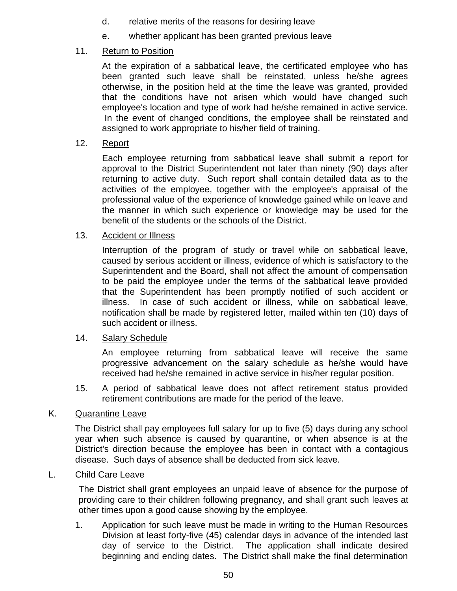- d. relative merits of the reasons for desiring leave
- e. whether applicant has been granted previous leave

# 11. Return to Position

At the expiration of a sabbatical leave, the certificated employee who has been granted such leave shall be reinstated, unless he/she agrees otherwise, in the position held at the time the leave was granted, provided that the conditions have not arisen which would have changed such employee's location and type of work had he/she remained in active service. In the event of changed conditions, the employee shall be reinstated and assigned to work appropriate to his/her field of training.

## 12. Report

Each employee returning from sabbatical leave shall submit a report for approval to the District Superintendent not later than ninety (90) days after returning to active duty. Such report shall contain detailed data as to the activities of the employee, together with the employee's appraisal of the professional value of the experience of knowledge gained while on leave and the manner in which such experience or knowledge may be used for the benefit of the students or the schools of the District.

### 13. Accident or Illness

Interruption of the program of study or travel while on sabbatical leave, caused by serious accident or illness, evidence of which is satisfactory to the Superintendent and the Board, shall not affect the amount of compensation to be paid the employee under the terms of the sabbatical leave provided that the Superintendent has been promptly notified of such accident or illness. In case of such accident or illness, while on sabbatical leave, notification shall be made by registered letter, mailed within ten (10) days of such accident or illness.

### 14. Salary Schedule

An employee returning from sabbatical leave will receive the same progressive advancement on the salary schedule as he/she would have received had he/she remained in active service in his/her regular position.

15. A period of sabbatical leave does not affect retirement status provided retirement contributions are made for the period of the leave.

## K. Quarantine Leave

The District shall pay employees full salary for up to five (5) days during any school year when such absence is caused by quarantine, or when absence is at the District's direction because the employee has been in contact with a contagious disease. Such days of absence shall be deducted from sick leave.

### L. Child Care Leave

The District shall grant employees an unpaid leave of absence for the purpose of providing care to their children following pregnancy, and shall grant such leaves at other times upon a good cause showing by the employee.

1. Application for such leave must be made in writing to the Human Resources Division at least forty-five (45) calendar days in advance of the intended last day of service to the District. The application shall indicate desired beginning and ending dates. The District shall make the final determination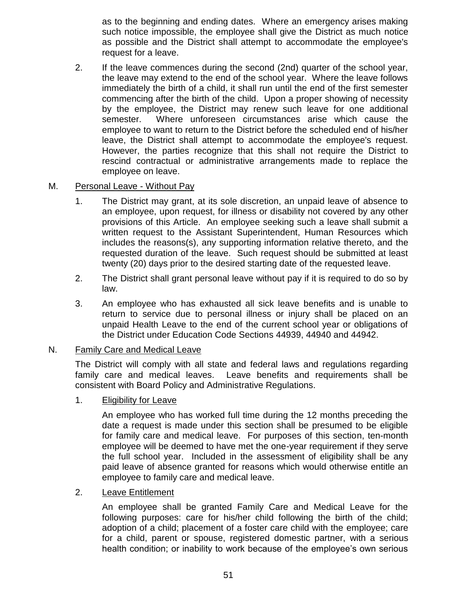as to the beginning and ending dates. Where an emergency arises making such notice impossible, the employee shall give the District as much notice as possible and the District shall attempt to accommodate the employee's request for a leave.

2. If the leave commences during the second (2nd) quarter of the school year, the leave may extend to the end of the school year. Where the leave follows immediately the birth of a child, it shall run until the end of the first semester commencing after the birth of the child. Upon a proper showing of necessity by the employee, the District may renew such leave for one additional semester. Where unforeseen circumstances arise which cause the employee to want to return to the District before the scheduled end of his/her leave, the District shall attempt to accommodate the employee's request. However, the parties recognize that this shall not require the District to rescind contractual or administrative arrangements made to replace the employee on leave.

### M. Personal Leave - Without Pay

- 1. The District may grant, at its sole discretion, an unpaid leave of absence to an employee, upon request, for illness or disability not covered by any other provisions of this Article. An employee seeking such a leave shall submit a written request to the Assistant Superintendent, Human Resources which includes the reasons(s), any supporting information relative thereto, and the requested duration of the leave. Such request should be submitted at least twenty (20) days prior to the desired starting date of the requested leave.
- 2. The District shall grant personal leave without pay if it is required to do so by law.
- 3. An employee who has exhausted all sick leave benefits and is unable to return to service due to personal illness or injury shall be placed on an unpaid Health Leave to the end of the current school year or obligations of the District under Education Code Sections 44939, 44940 and 44942.

### N. Family Care and Medical Leave

The District will comply with all state and federal laws and regulations regarding family care and medical leaves. Leave benefits and requirements shall be consistent with Board Policy and Administrative Regulations.

## 1. Eligibility for Leave

An employee who has worked full time during the 12 months preceding the date a request is made under this section shall be presumed to be eligible for family care and medical leave. For purposes of this section, ten-month employee will be deemed to have met the one-year requirement if they serve the full school year. Included in the assessment of eligibility shall be any paid leave of absence granted for reasons which would otherwise entitle an employee to family care and medical leave.

### 2. Leave Entitlement

An employee shall be granted Family Care and Medical Leave for the following purposes: care for his/her child following the birth of the child; adoption of a child; placement of a foster care child with the employee; care for a child, parent or spouse, registered domestic partner, with a serious health condition; or inability to work because of the employee's own serious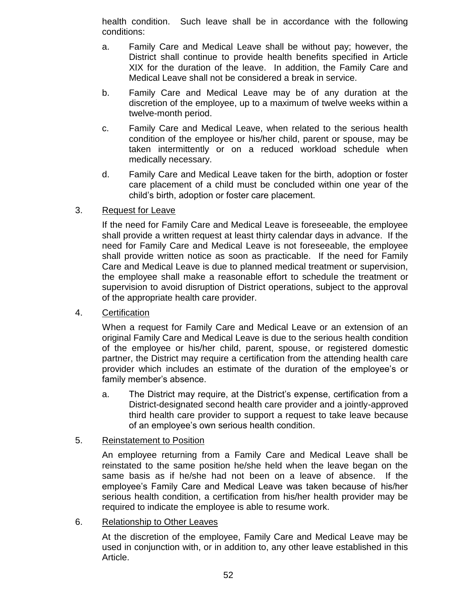health condition. Such leave shall be in accordance with the following conditions:

- a. Family Care and Medical Leave shall be without pay; however, the District shall continue to provide health benefits specified in Article XIX for the duration of the leave. In addition, the Family Care and Medical Leave shall not be considered a break in service.
- b. Family Care and Medical Leave may be of any duration at the discretion of the employee, up to a maximum of twelve weeks within a twelve-month period.
- c. Family Care and Medical Leave, when related to the serious health condition of the employee or his/her child, parent or spouse, may be taken intermittently or on a reduced workload schedule when medically necessary.
- d. Family Care and Medical Leave taken for the birth, adoption or foster care placement of a child must be concluded within one year of the child's birth, adoption or foster care placement.

### 3. Request for Leave

If the need for Family Care and Medical Leave is foreseeable, the employee shall provide a written request at least thirty calendar days in advance. If the need for Family Care and Medical Leave is not foreseeable, the employee shall provide written notice as soon as practicable. If the need for Family Care and Medical Leave is due to planned medical treatment or supervision, the employee shall make a reasonable effort to schedule the treatment or supervision to avoid disruption of District operations, subject to the approval of the appropriate health care provider.

#### 4. Certification

When a request for Family Care and Medical Leave or an extension of an original Family Care and Medical Leave is due to the serious health condition of the employee or his/her child, parent, spouse, or registered domestic partner, the District may require a certification from the attending health care provider which includes an estimate of the duration of the employee's or family member's absence.

a. The District may require, at the District's expense, certification from a District-designated second health care provider and a jointly-approved third health care provider to support a request to take leave because of an employee's own serious health condition.

### 5. Reinstatement to Position

An employee returning from a Family Care and Medical Leave shall be reinstated to the same position he/she held when the leave began on the same basis as if he/she had not been on a leave of absence. If the employee's Family Care and Medical Leave was taken because of his/her serious health condition, a certification from his/her health provider may be required to indicate the employee is able to resume work.

#### 6. Relationship to Other Leaves

At the discretion of the employee, Family Care and Medical Leave may be used in conjunction with, or in addition to, any other leave established in this Article.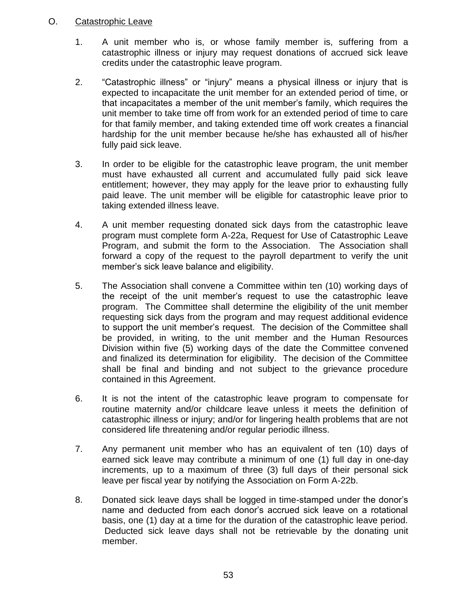### O. Catastrophic Leave

- 1. A unit member who is, or whose family member is, suffering from a catastrophic illness or injury may request donations of accrued sick leave credits under the catastrophic leave program.
- 2. "Catastrophic illness" or "injury" means a physical illness or injury that is expected to incapacitate the unit member for an extended period of time, or that incapacitates a member of the unit member's family, which requires the unit member to take time off from work for an extended period of time to care for that family member, and taking extended time off work creates a financial hardship for the unit member because he/she has exhausted all of his/her fully paid sick leave.
- 3. In order to be eligible for the catastrophic leave program, the unit member must have exhausted all current and accumulated fully paid sick leave entitlement; however, they may apply for the leave prior to exhausting fully paid leave. The unit member will be eligible for catastrophic leave prior to taking extended illness leave.
- 4. A unit member requesting donated sick days from the catastrophic leave program must complete form A-22a, Request for Use of Catastrophic Leave Program, and submit the form to the Association. The Association shall forward a copy of the request to the payroll department to verify the unit member's sick leave balance and eligibility.
- 5. The Association shall convene a Committee within ten (10) working days of the receipt of the unit member's request to use the catastrophic leave program. The Committee shall determine the eligibility of the unit member requesting sick days from the program and may request additional evidence to support the unit member's request. The decision of the Committee shall be provided, in writing, to the unit member and the Human Resources Division within five (5) working days of the date the Committee convened and finalized its determination for eligibility. The decision of the Committee shall be final and binding and not subject to the grievance procedure contained in this Agreement.
- 6. It is not the intent of the catastrophic leave program to compensate for routine maternity and/or childcare leave unless it meets the definition of catastrophic illness or injury; and/or for lingering health problems that are not considered life threatening and/or regular periodic illness.
- 7. Any permanent unit member who has an equivalent of ten (10) days of earned sick leave may contribute a minimum of one (1) full day in one-day increments, up to a maximum of three (3) full days of their personal sick leave per fiscal year by notifying the Association on Form A-22b.
- 8. Donated sick leave days shall be logged in time-stamped under the donor's name and deducted from each donor's accrued sick leave on a rotational basis, one (1) day at a time for the duration of the catastrophic leave period. Deducted sick leave days shall not be retrievable by the donating unit member.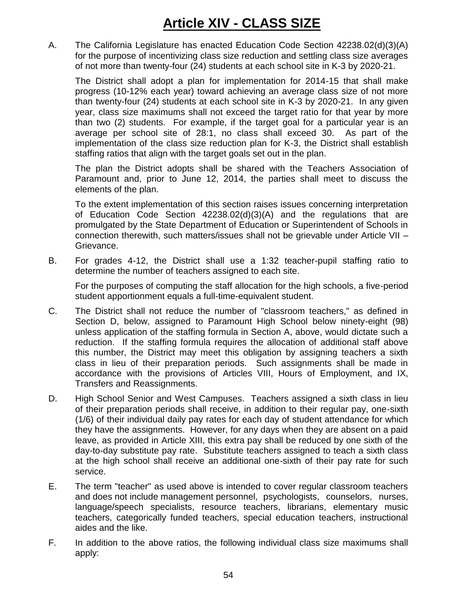# **Article XIV - CLASS SIZE**

A. The California Legislature has enacted Education Code Section 42238.02(d)(3)(A) for the purpose of incentivizing class size reduction and settling class size averages of not more than twenty-four (24) students at each school site in K-3 by 2020-21.

The District shall adopt a plan for implementation for 2014-15 that shall make progress (10-12% each year) toward achieving an average class size of not more than twenty-four (24) students at each school site in K-3 by 2020-21. In any given year, class size maximums shall not exceed the target ratio for that year by more than two (2) students. For example, if the target goal for a particular year is an average per school site of 28:1, no class shall exceed 30. As part of the implementation of the class size reduction plan for K-3, the District shall establish staffing ratios that align with the target goals set out in the plan.

The plan the District adopts shall be shared with the Teachers Association of Paramount and, prior to June 12, 2014, the parties shall meet to discuss the elements of the plan.

To the extent implementation of this section raises issues concerning interpretation of Education Code Section 42238.02(d)(3)(A) and the regulations that are promulgated by the State Department of Education or Superintendent of Schools in connection therewith, such matters/issues shall not be grievable under Article VII – Grievance.

B. For grades 4-12, the District shall use a 1:32 teacher-pupil staffing ratio to determine the number of teachers assigned to each site.

For the purposes of computing the staff allocation for the high schools, a five-period student apportionment equals a full-time-equivalent student.

- C. The District shall not reduce the number of "classroom teachers," as defined in Section D, below, assigned to Paramount High School below ninety-eight (98) unless application of the staffing formula in Section A, above, would dictate such a reduction. If the staffing formula requires the allocation of additional staff above this number, the District may meet this obligation by assigning teachers a sixth class in lieu of their preparation periods. Such assignments shall be made in accordance with the provisions of Articles VIII, Hours of Employment, and IX, Transfers and Reassignments.
- D. High School Senior and West Campuses. Teachers assigned a sixth class in lieu of their preparation periods shall receive, in addition to their regular pay, one-sixth (1/6) of their individual daily pay rates for each day of student attendance for which they have the assignments. However, for any days when they are absent on a paid leave, as provided in Article XIII, this extra pay shall be reduced by one sixth of the day-to-day substitute pay rate. Substitute teachers assigned to teach a sixth class at the high school shall receive an additional one-sixth of their pay rate for such service.
- E. The term "teacher" as used above is intended to cover regular classroom teachers and does not include management personnel, psychologists, counselors, nurses, language/speech specialists, resource teachers, librarians, elementary music teachers, categorically funded teachers, special education teachers, instructional aides and the like.
- F. In addition to the above ratios, the following individual class size maximums shall apply: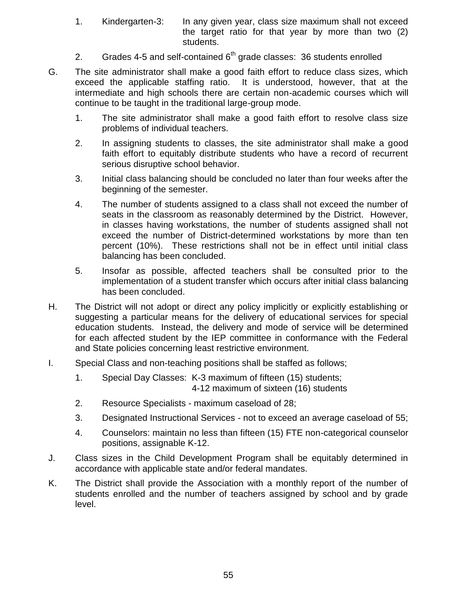- 1. Kindergarten-3: In any given year, class size maximum shall not exceed the target ratio for that year by more than two (2) students.
- 2. Grades 4-5 and self-contained  $6<sup>th</sup>$  grade classes: 36 students enrolled
- G. The site administrator shall make a good faith effort to reduce class sizes, which exceed the applicable staffing ratio. It is understood, however, that at the intermediate and high schools there are certain non-academic courses which will continue to be taught in the traditional large-group mode.
	- 1. The site administrator shall make a good faith effort to resolve class size problems of individual teachers.
	- 2. In assigning students to classes, the site administrator shall make a good faith effort to equitably distribute students who have a record of recurrent serious disruptive school behavior.
	- 3. Initial class balancing should be concluded no later than four weeks after the beginning of the semester.
	- 4. The number of students assigned to a class shall not exceed the number of seats in the classroom as reasonably determined by the District. However, in classes having workstations, the number of students assigned shall not exceed the number of District-determined workstations by more than ten percent (10%). These restrictions shall not be in effect until initial class balancing has been concluded.
	- 5. Insofar as possible, affected teachers shall be consulted prior to the implementation of a student transfer which occurs after initial class balancing has been concluded.
- H. The District will not adopt or direct any policy implicitly or explicitly establishing or suggesting a particular means for the delivery of educational services for special education students. Instead, the delivery and mode of service will be determined for each affected student by the IEP committee in conformance with the Federal and State policies concerning least restrictive environment.
- I. Special Class and non-teaching positions shall be staffed as follows;
	- 1. Special Day Classes: K-3 maximum of fifteen (15) students; 4-12 maximum of sixteen (16) students
	- 2. Resource Specialists maximum caseload of 28;
	- 3. Designated Instructional Services not to exceed an average caseload of 55;
	- 4. Counselors: maintain no less than fifteen (15) FTE non-categorical counselor positions, assignable K-12.
- J. Class sizes in the Child Development Program shall be equitably determined in accordance with applicable state and/or federal mandates.
- K. The District shall provide the Association with a monthly report of the number of students enrolled and the number of teachers assigned by school and by grade level.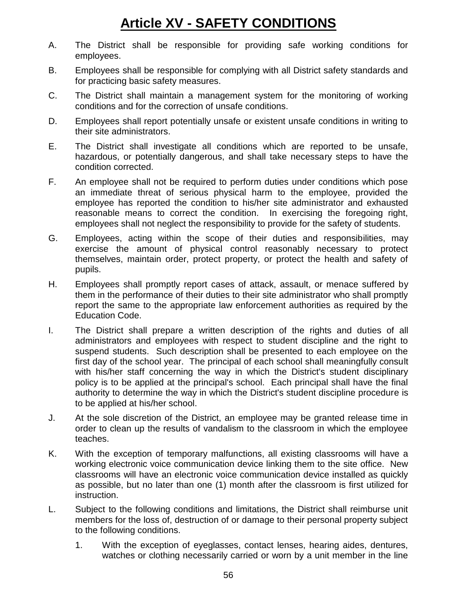# **Article XV - SAFETY CONDITIONS**

- A. The District shall be responsible for providing safe working conditions for employees.
- B. Employees shall be responsible for complying with all District safety standards and for practicing basic safety measures.
- C. The District shall maintain a management system for the monitoring of working conditions and for the correction of unsafe conditions.
- D. Employees shall report potentially unsafe or existent unsafe conditions in writing to their site administrators.
- E. The District shall investigate all conditions which are reported to be unsafe, hazardous, or potentially dangerous, and shall take necessary steps to have the condition corrected.
- F. An employee shall not be required to perform duties under conditions which pose an immediate threat of serious physical harm to the employee, provided the employee has reported the condition to his/her site administrator and exhausted reasonable means to correct the condition. In exercising the foregoing right, employees shall not neglect the responsibility to provide for the safety of students.
- G. Employees, acting within the scope of their duties and responsibilities, may exercise the amount of physical control reasonably necessary to protect themselves, maintain order, protect property, or protect the health and safety of pupils.
- H. Employees shall promptly report cases of attack, assault, or menace suffered by them in the performance of their duties to their site administrator who shall promptly report the same to the appropriate law enforcement authorities as required by the Education Code.
- I. The District shall prepare a written description of the rights and duties of all administrators and employees with respect to student discipline and the right to suspend students. Such description shall be presented to each employee on the first day of the school year. The principal of each school shall meaningfully consult with his/her staff concerning the way in which the District's student disciplinary policy is to be applied at the principal's school. Each principal shall have the final authority to determine the way in which the District's student discipline procedure is to be applied at his/her school.
- J. At the sole discretion of the District, an employee may be granted release time in order to clean up the results of vandalism to the classroom in which the employee teaches.
- K. With the exception of temporary malfunctions, all existing classrooms will have a working electronic voice communication device linking them to the site office. New classrooms will have an electronic voice communication device installed as quickly as possible, but no later than one (1) month after the classroom is first utilized for instruction.
- L. Subject to the following conditions and limitations, the District shall reimburse unit members for the loss of, destruction of or damage to their personal property subject to the following conditions.
	- 1. With the exception of eyeglasses, contact lenses, hearing aides, dentures, watches or clothing necessarily carried or worn by a unit member in the line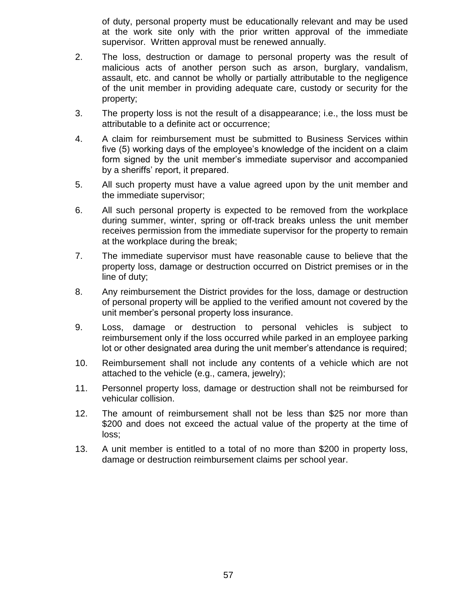of duty, personal property must be educationally relevant and may be used at the work site only with the prior written approval of the immediate supervisor. Written approval must be renewed annually.

- 2. The loss, destruction or damage to personal property was the result of malicious acts of another person such as arson, burglary, vandalism, assault, etc. and cannot be wholly or partially attributable to the negligence of the unit member in providing adequate care, custody or security for the property;
- 3. The property loss is not the result of a disappearance; i.e., the loss must be attributable to a definite act or occurrence;
- 4. A claim for reimbursement must be submitted to Business Services within five (5) working days of the employee's knowledge of the incident on a claim form signed by the unit member's immediate supervisor and accompanied by a sheriffs' report, it prepared.
- 5. All such property must have a value agreed upon by the unit member and the immediate supervisor;
- 6. All such personal property is expected to be removed from the workplace during summer, winter, spring or off-track breaks unless the unit member receives permission from the immediate supervisor for the property to remain at the workplace during the break;
- 7. The immediate supervisor must have reasonable cause to believe that the property loss, damage or destruction occurred on District premises or in the line of duty;
- 8. Any reimbursement the District provides for the loss, damage or destruction of personal property will be applied to the verified amount not covered by the unit member's personal property loss insurance.
- 9. Loss, damage or destruction to personal vehicles is subject to reimbursement only if the loss occurred while parked in an employee parking lot or other designated area during the unit member's attendance is required;
- 10. Reimbursement shall not include any contents of a vehicle which are not attached to the vehicle (e.g., camera, jewelry);
- 11. Personnel property loss, damage or destruction shall not be reimbursed for vehicular collision.
- 12. The amount of reimbursement shall not be less than \$25 nor more than \$200 and does not exceed the actual value of the property at the time of loss;
- 13. A unit member is entitled to a total of no more than \$200 in property loss, damage or destruction reimbursement claims per school year.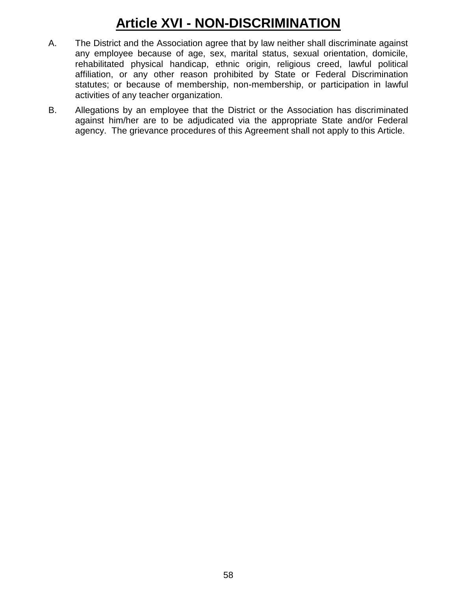# **Article XVI - NON-DISCRIMINATION**

- A. The District and the Association agree that by law neither shall discriminate against any employee because of age, sex, marital status, sexual orientation, domicile, rehabilitated physical handicap, ethnic origin, religious creed, lawful political affiliation, or any other reason prohibited by State or Federal Discrimination statutes; or because of membership, non-membership, or participation in lawful activities of any teacher organization.
- B. Allegations by an employee that the District or the Association has discriminated against him/her are to be adjudicated via the appropriate State and/or Federal agency. The grievance procedures of this Agreement shall not apply to this Article.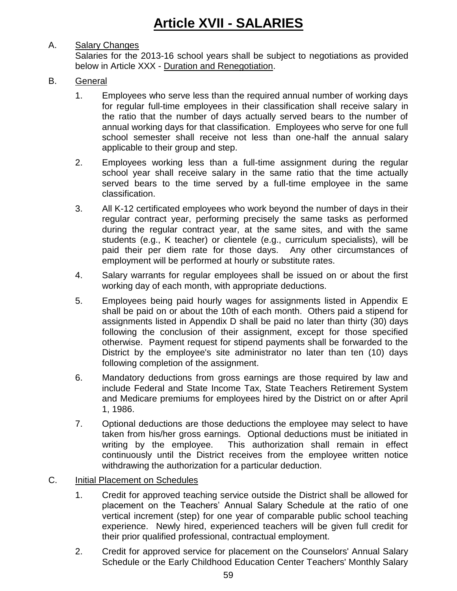# A. Salary Changes

Salaries for the 2013-16 school years shall be subject to negotiations as provided below in Article XXX - Duration and Renegotiation.

# B. General

- 1. Employees who serve less than the required annual number of working days for regular full-time employees in their classification shall receive salary in the ratio that the number of days actually served bears to the number of annual working days for that classification. Employees who serve for one full school semester shall receive not less than one-half the annual salary applicable to their group and step.
- 2. Employees working less than a full-time assignment during the regular school year shall receive salary in the same ratio that the time actually served bears to the time served by a full-time employee in the same classification.
- 3. All K-12 certificated employees who work beyond the number of days in their regular contract year, performing precisely the same tasks as performed during the regular contract year, at the same sites, and with the same students (e.g., K teacher) or clientele (e.g., curriculum specialists), will be paid their per diem rate for those days. Any other circumstances of employment will be performed at hourly or substitute rates.
- 4. Salary warrants for regular employees shall be issued on or about the first working day of each month, with appropriate deductions.
- 5. Employees being paid hourly wages for assignments listed in Appendix E shall be paid on or about the 10th of each month. Others paid a stipend for assignments listed in Appendix D shall be paid no later than thirty (30) days following the conclusion of their assignment, except for those specified otherwise. Payment request for stipend payments shall be forwarded to the District by the employee's site administrator no later than ten (10) days following completion of the assignment.
- 6. Mandatory deductions from gross earnings are those required by law and include Federal and State Income Tax, State Teachers Retirement System and Medicare premiums for employees hired by the District on or after April 1, 1986.
- 7. Optional deductions are those deductions the employee may select to have taken from his/her gross earnings. Optional deductions must be initiated in writing by the employee. This authorization shall remain in effect continuously until the District receives from the employee written notice withdrawing the authorization for a particular deduction.
- C. Initial Placement on Schedules
	- 1. Credit for approved teaching service outside the District shall be allowed for placement on the Teachers' Annual Salary Schedule at the ratio of one vertical increment (step) for one year of comparable public school teaching experience. Newly hired, experienced teachers will be given full credit for their prior qualified professional, contractual employment.
	- 2. Credit for approved service for placement on the Counselors' Annual Salary Schedule or the Early Childhood Education Center Teachers' Monthly Salary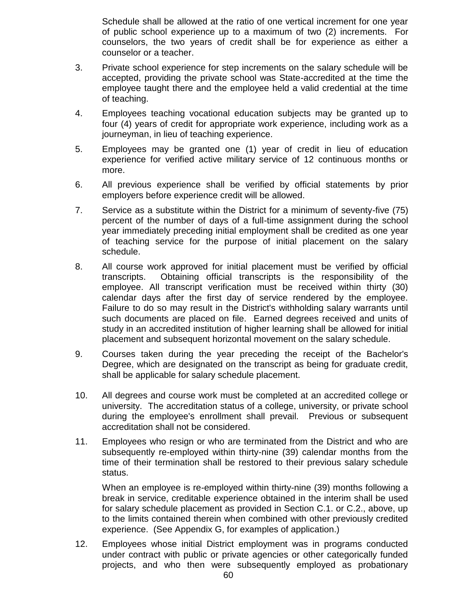Schedule shall be allowed at the ratio of one vertical increment for one year of public school experience up to a maximum of two (2) increments. For counselors, the two years of credit shall be for experience as either a counselor or a teacher.

- 3. Private school experience for step increments on the salary schedule will be accepted, providing the private school was State-accredited at the time the employee taught there and the employee held a valid credential at the time of teaching.
- 4. Employees teaching vocational education subjects may be granted up to four (4) years of credit for appropriate work experience, including work as a journeyman, in lieu of teaching experience.
- 5. Employees may be granted one (1) year of credit in lieu of education experience for verified active military service of 12 continuous months or more.
- 6. All previous experience shall be verified by official statements by prior employers before experience credit will be allowed.
- 7. Service as a substitute within the District for a minimum of seventy-five (75) percent of the number of days of a full-time assignment during the school year immediately preceding initial employment shall be credited as one year of teaching service for the purpose of initial placement on the salary schedule.
- 8. All course work approved for initial placement must be verified by official transcripts. Obtaining official transcripts is the responsibility of the employee. All transcript verification must be received within thirty (30) calendar days after the first day of service rendered by the employee. Failure to do so may result in the District's withholding salary warrants until such documents are placed on file. Earned degrees received and units of study in an accredited institution of higher learning shall be allowed for initial placement and subsequent horizontal movement on the salary schedule.
- 9. Courses taken during the year preceding the receipt of the Bachelor's Degree, which are designated on the transcript as being for graduate credit, shall be applicable for salary schedule placement.
- 10. All degrees and course work must be completed at an accredited college or university. The accreditation status of a college, university, or private school during the employee's enrollment shall prevail. Previous or subsequent accreditation shall not be considered.
- 11. Employees who resign or who are terminated from the District and who are subsequently re-employed within thirty-nine (39) calendar months from the time of their termination shall be restored to their previous salary schedule status.

When an employee is re-employed within thirty-nine (39) months following a break in service, creditable experience obtained in the interim shall be used for salary schedule placement as provided in Section C.1. or C.2., above, up to the limits contained therein when combined with other previously credited experience. (See Appendix G, for examples of application.)

12. Employees whose initial District employment was in programs conducted under contract with public or private agencies or other categorically funded projects, and who then were subsequently employed as probationary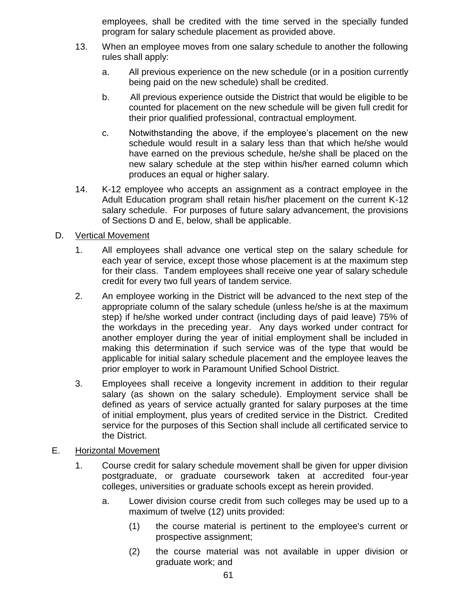employees, shall be credited with the time served in the specially funded program for salary schedule placement as provided above.

- 13. When an employee moves from one salary schedule to another the following rules shall apply:
	- a. All previous experience on the new schedule (or in a position currently being paid on the new schedule) shall be credited.
	- b. All previous experience outside the District that would be eligible to be counted for placement on the new schedule will be given full credit for their prior qualified professional, contractual employment.
	- c. Notwithstanding the above, if the employee's placement on the new schedule would result in a salary less than that which he/she would have earned on the previous schedule, he/she shall be placed on the new salary schedule at the step within his/her earned column which produces an equal or higher salary.
- 14. K-12 employee who accepts an assignment as a contract employee in the Adult Education program shall retain his/her placement on the current K-12 salary schedule. For purposes of future salary advancement, the provisions of Sections D and E, below, shall be applicable.

## D. Vertical Movement

- 1. All employees shall advance one vertical step on the salary schedule for each year of service, except those whose placement is at the maximum step for their class. Tandem employees shall receive one year of salary schedule credit for every two full years of tandem service.
- 2. An employee working in the District will be advanced to the next step of the appropriate column of the salary schedule (unless he/she is at the maximum step) if he/she worked under contract (including days of paid leave) 75% of the workdays in the preceding year. Any days worked under contract for another employer during the year of initial employment shall be included in making this determination if such service was of the type that would be applicable for initial salary schedule placement and the employee leaves the prior employer to work in Paramount Unified School District.
- 3. Employees shall receive a longevity increment in addition to their regular salary (as shown on the salary schedule). Employment service shall be defined as years of service actually granted for salary purposes at the time of initial employment, plus years of credited service in the District. Credited service for the purposes of this Section shall include all certificated service to the District.

## E. Horizontal Movement

- 1. Course credit for salary schedule movement shall be given for upper division postgraduate, or graduate coursework taken at accredited four-year colleges, universities or graduate schools except as herein provided.
	- a. Lower division course credit from such colleges may be used up to a maximum of twelve (12) units provided:
		- (1) the course material is pertinent to the employee's current or prospective assignment;
		- (2) the course material was not available in upper division or graduate work; and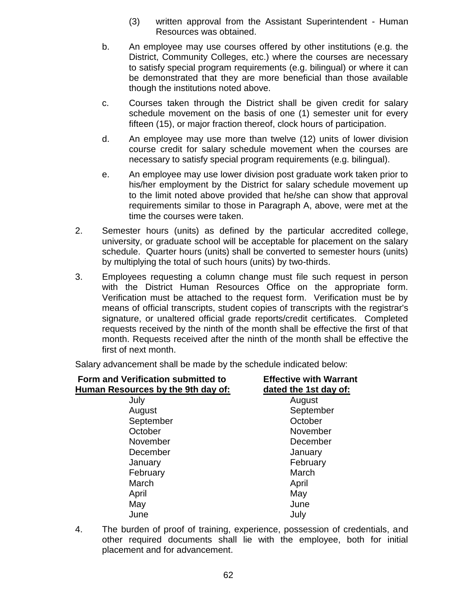- (3) written approval from the Assistant Superintendent Human Resources was obtained.
- b. An employee may use courses offered by other institutions (e.g. the District, Community Colleges, etc.) where the courses are necessary to satisfy special program requirements (e.g. bilingual) or where it can be demonstrated that they are more beneficial than those available though the institutions noted above.
- c. Courses taken through the District shall be given credit for salary schedule movement on the basis of one (1) semester unit for every fifteen (15), or major fraction thereof, clock hours of participation.
- d. An employee may use more than twelve (12) units of lower division course credit for salary schedule movement when the courses are necessary to satisfy special program requirements (e.g. bilingual).
- e. An employee may use lower division post graduate work taken prior to his/her employment by the District for salary schedule movement up to the limit noted above provided that he/she can show that approval requirements similar to those in Paragraph A, above, were met at the time the courses were taken.
- 2. Semester hours (units) as defined by the particular accredited college, university, or graduate school will be acceptable for placement on the salary schedule. Quarter hours (units) shall be converted to semester hours (units) by multiplying the total of such hours (units) by two-thirds.
- 3. Employees requesting a column change must file such request in person with the District Human Resources Office on the appropriate form. Verification must be attached to the request form. Verification must be by means of official transcripts, student copies of transcripts with the registrar's signature, or unaltered official grade reports/credit certificates. Completed requests received by the ninth of the month shall be effective the first of that month. Requests received after the ninth of the month shall be effective the first of next month.

Salary advancement shall be made by the schedule indicated below:

| Form and Verification submitted to<br>Human Resources by the 9th day of: | <b>Effective with Warrant</b><br>dated the 1st day of: |
|--------------------------------------------------------------------------|--------------------------------------------------------|
| July                                                                     | August                                                 |
| August                                                                   | September                                              |
| September                                                                | October                                                |
| October                                                                  | November                                               |
| November                                                                 | December                                               |
| December                                                                 | January                                                |
| January                                                                  | February                                               |
| February                                                                 | March                                                  |
| March                                                                    | April                                                  |
| April                                                                    | May                                                    |
| May                                                                      | June                                                   |
| June                                                                     | July                                                   |

4. The burden of proof of training, experience, possession of credentials, and other required documents shall lie with the employee, both for initial placement and for advancement.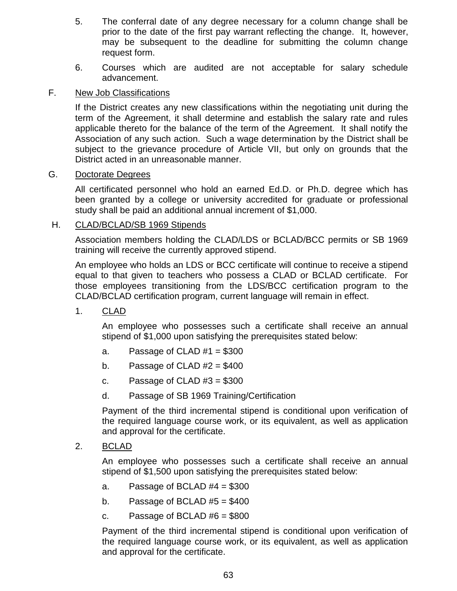- 5. The conferral date of any degree necessary for a column change shall be prior to the date of the first pay warrant reflecting the change. It, however, may be subsequent to the deadline for submitting the column change request form.
- 6. Courses which are audited are not acceptable for salary schedule advancement.

## F. New Job Classifications

If the District creates any new classifications within the negotiating unit during the term of the Agreement, it shall determine and establish the salary rate and rules applicable thereto for the balance of the term of the Agreement. It shall notify the Association of any such action. Such a wage determination by the District shall be subject to the grievance procedure of Article VII, but only on grounds that the District acted in an unreasonable manner.

### G. Doctorate Degrees

All certificated personnel who hold an earned Ed.D. or Ph.D. degree which has been granted by a college or university accredited for graduate or professional study shall be paid an additional annual increment of \$1,000.

## H. CLAD/BCLAD/SB 1969 Stipends

Association members holding the CLAD/LDS or BCLAD/BCC permits or SB 1969 training will receive the currently approved stipend.

An employee who holds an LDS or BCC certificate will continue to receive a stipend equal to that given to teachers who possess a CLAD or BCLAD certificate. For those employees transitioning from the LDS/BCC certification program to the CLAD/BCLAD certification program, current language will remain in effect.

1. CLAD

An employee who possesses such a certificate shall receive an annual stipend of \$1,000 upon satisfying the prerequisites stated below:

- a. Passage of CLAD  $#1 = $300$
- b. Passage of CLAD  $#2 = $400$
- c. Passage of CLAD  $#3 = $300$
- d. Passage of SB 1969 Training/Certification

Payment of the third incremental stipend is conditional upon verification of the required language course work, or its equivalent, as well as application and approval for the certificate.

2. BCLAD

An employee who possesses such a certificate shall receive an annual stipend of \$1,500 upon satisfying the prerequisites stated below:

- a. Passage of BCLAD  $#4 = $300$
- b. Passage of BCLAD  $#5 = $400$
- c. Passage of BCLAD  $#6 = $800$

Payment of the third incremental stipend is conditional upon verification of the required language course work, or its equivalent, as well as application and approval for the certificate.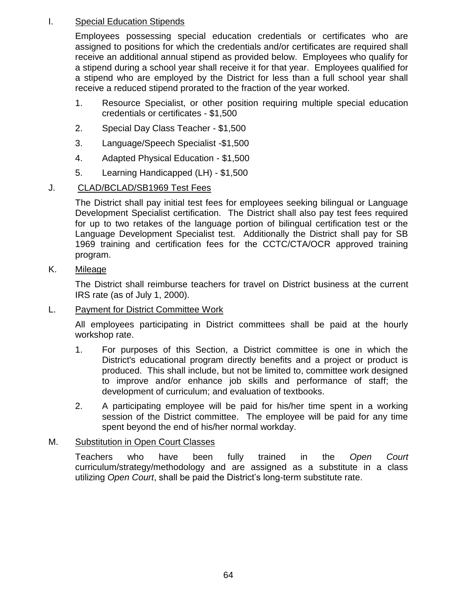# I. Special Education Stipends

Employees possessing special education credentials or certificates who are assigned to positions for which the credentials and/or certificates are required shall receive an additional annual stipend as provided below. Employees who qualify for a stipend during a school year shall receive it for that year. Employees qualified for a stipend who are employed by the District for less than a full school year shall receive a reduced stipend prorated to the fraction of the year worked.

- 1. Resource Specialist, or other position requiring multiple special education credentials or certificates - \$1,500
- 2. Special Day Class Teacher \$1,500
- 3. Language/Speech Specialist -\$1,500
- 4. Adapted Physical Education \$1,500
- 5. Learning Handicapped (LH) \$1,500

# J. CLAD/BCLAD/SB1969 Test Fees

The District shall pay initial test fees for employees seeking bilingual or Language Development Specialist certification. The District shall also pay test fees required for up to two retakes of the language portion of bilingual certification test or the Language Development Specialist test. Additionally the District shall pay for SB 1969 training and certification fees for the CCTC/CTA/OCR approved training program.

## K. Mileage

The District shall reimburse teachers for travel on District business at the current IRS rate (as of July 1, 2000).

## L. Payment for District Committee Work

All employees participating in District committees shall be paid at the hourly workshop rate.

- 1. For purposes of this Section, a District committee is one in which the District's educational program directly benefits and a project or product is produced. This shall include, but not be limited to, committee work designed to improve and/or enhance job skills and performance of staff; the development of curriculum; and evaluation of textbooks.
- 2. A participating employee will be paid for his/her time spent in a working session of the District committee. The employee will be paid for any time spent beyond the end of his/her normal workday.

## M. Substitution in Open Court Classes

Teachers who have been fully trained in the *Open Court* curriculum/strategy/methodology and are assigned as a substitute in a class utilizing *Open Court*, shall be paid the District's long-term substitute rate.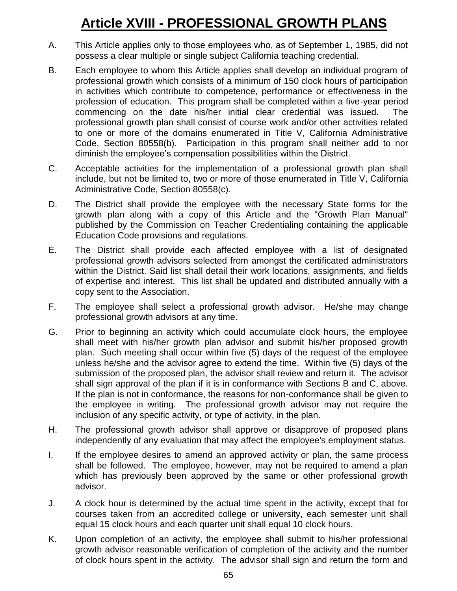# **Article XVIII - PROFESSIONAL GROWTH PLANS**

- A. This Article applies only to those employees who, as of September 1, 1985, did not possess a clear multiple or single subject California teaching credential.
- B. Each employee to whom this Article applies shall develop an individual program of professional growth which consists of a minimum of 150 clock hours of participation in activities which contribute to competence, performance or effectiveness in the profession of education. This program shall be completed within a five-year period commencing on the date his/her initial clear credential was issued. The professional growth plan shall consist of course work and/or other activities related to one or more of the domains enumerated in Title V, California Administrative Code, Section 80558(b). Participation in this program shall neither add to nor diminish the employee's compensation possibilities within the District.
- C. Acceptable activities for the implementation of a professional growth plan shall include, but not be limited to, two or more of those enumerated in Title V, California Administrative Code, Section 80558(c).
- D. The District shall provide the employee with the necessary State forms for the growth plan along with a copy of this Article and the "Growth Plan Manual" published by the Commission on Teacher Credentialing containing the applicable Education Code provisions and regulations.
- E. The District shall provide each affected employee with a list of designated professional growth advisors selected from amongst the certificated administrators within the District. Said list shall detail their work locations, assignments, and fields of expertise and interest. This list shall be updated and distributed annually with a copy sent to the Association.
- F. The employee shall select a professional growth advisor. He/she may change professional growth advisors at any time.
- G. Prior to beginning an activity which could accumulate clock hours, the employee shall meet with his/her growth plan advisor and submit his/her proposed growth plan. Such meeting shall occur within five (5) days of the request of the employee unless he/she and the advisor agree to extend the time. Within five (5) days of the submission of the proposed plan, the advisor shall review and return it. The advisor shall sign approval of the plan if it is in conformance with Sections B and C, above. If the plan is not in conformance, the reasons for non-conformance shall be given to the employee in writing. The professional growth advisor may not require the inclusion of any specific activity, or type of activity, in the plan.
- H. The professional growth advisor shall approve or disapprove of proposed plans independently of any evaluation that may affect the employee's employment status.
- I. If the employee desires to amend an approved activity or plan, the same process shall be followed. The employee, however, may not be required to amend a plan which has previously been approved by the same or other professional growth advisor.
- J. A clock hour is determined by the actual time spent in the activity, except that for courses taken from an accredited college or university, each semester unit shall equal 15 clock hours and each quarter unit shall equal 10 clock hours.
- K. Upon completion of an activity, the employee shall submit to his/her professional growth advisor reasonable verification of completion of the activity and the number of clock hours spent in the activity. The advisor shall sign and return the form and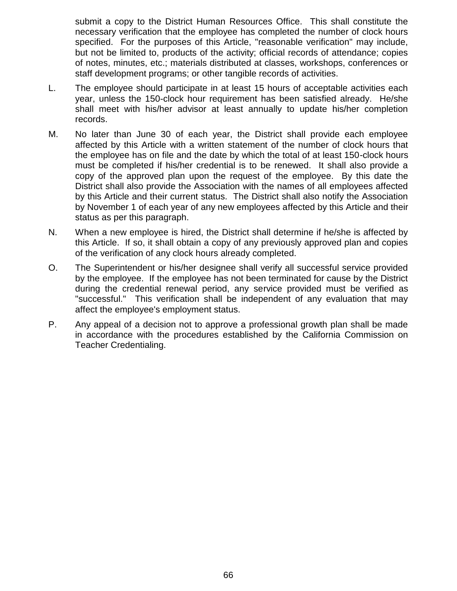submit a copy to the District Human Resources Office. This shall constitute the necessary verification that the employee has completed the number of clock hours specified. For the purposes of this Article, "reasonable verification" may include, but not be limited to, products of the activity; official records of attendance; copies of notes, minutes, etc.; materials distributed at classes, workshops, conferences or staff development programs; or other tangible records of activities.

- L. The employee should participate in at least 15 hours of acceptable activities each year, unless the 150-clock hour requirement has been satisfied already. He/she shall meet with his/her advisor at least annually to update his/her completion records.
- M. No later than June 30 of each year, the District shall provide each employee affected by this Article with a written statement of the number of clock hours that the employee has on file and the date by which the total of at least 150-clock hours must be completed if his/her credential is to be renewed. It shall also provide a copy of the approved plan upon the request of the employee. By this date the District shall also provide the Association with the names of all employees affected by this Article and their current status. The District shall also notify the Association by November 1 of each year of any new employees affected by this Article and their status as per this paragraph.
- N. When a new employee is hired, the District shall determine if he/she is affected by this Article. If so, it shall obtain a copy of any previously approved plan and copies of the verification of any clock hours already completed.
- O. The Superintendent or his/her designee shall verify all successful service provided by the employee. If the employee has not been terminated for cause by the District during the credential renewal period, any service provided must be verified as "successful." This verification shall be independent of any evaluation that may affect the employee's employment status.
- P. Any appeal of a decision not to approve a professional growth plan shall be made in accordance with the procedures established by the California Commission on Teacher Credentialing.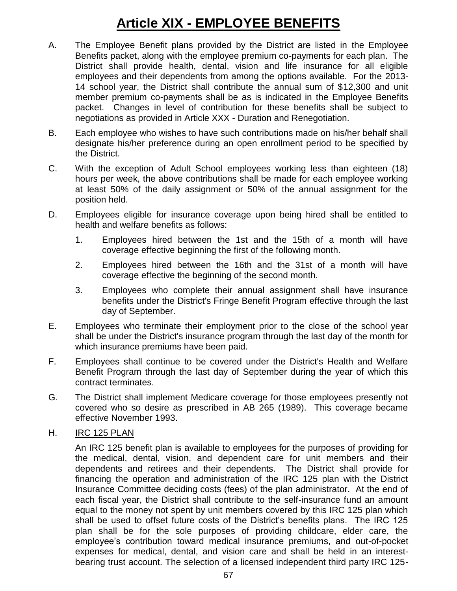# **Article XIX - EMPLOYEE BENEFITS**

- A. The Employee Benefit plans provided by the District are listed in the Employee Benefits packet, along with the employee premium co-payments for each plan. The District shall provide health, dental, vision and life insurance for all eligible employees and their dependents from among the options available. For the 2013- 14 school year, the District shall contribute the annual sum of \$12,300 and unit member premium co-payments shall be as is indicated in the Employee Benefits packet. Changes in level of contribution for these benefits shall be subject to negotiations as provided in Article XXX - Duration and Renegotiation.
- B. Each employee who wishes to have such contributions made on his/her behalf shall designate his/her preference during an open enrollment period to be specified by the District.
- C. With the exception of Adult School employees working less than eighteen (18) hours per week, the above contributions shall be made for each employee working at least 50% of the daily assignment or 50% of the annual assignment for the position held.
- D. Employees eligible for insurance coverage upon being hired shall be entitled to health and welfare benefits as follows:
	- 1. Employees hired between the 1st and the 15th of a month will have coverage effective beginning the first of the following month.
	- 2. Employees hired between the 16th and the 31st of a month will have coverage effective the beginning of the second month.
	- 3. Employees who complete their annual assignment shall have insurance benefits under the District's Fringe Benefit Program effective through the last day of September.
- E. Employees who terminate their employment prior to the close of the school year shall be under the District's insurance program through the last day of the month for which insurance premiums have been paid.
- F. Employees shall continue to be covered under the District's Health and Welfare Benefit Program through the last day of September during the year of which this contract terminates.
- G. The District shall implement Medicare coverage for those employees presently not covered who so desire as prescribed in AB 265 (1989). This coverage became effective November 1993.
- H. IRC 125 PLAN

An IRC 125 benefit plan is available to employees for the purposes of providing for the medical, dental, vision, and dependent care for unit members and their dependents and retirees and their dependents. The District shall provide for financing the operation and administration of the IRC 125 plan with the District Insurance Committee deciding costs (fees) of the plan administrator. At the end of each fiscal year, the District shall contribute to the self-insurance fund an amount equal to the money not spent by unit members covered by this IRC 125 plan which shall be used to offset future costs of the District's benefits plans. The IRC 125 plan shall be for the sole purposes of providing childcare, elder care, the employee's contribution toward medical insurance premiums, and out-of-pocket expenses for medical, dental, and vision care and shall be held in an interestbearing trust account. The selection of a licensed independent third party IRC 125-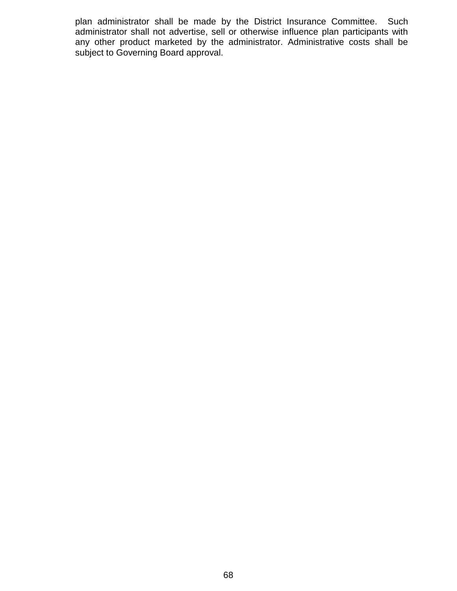plan administrator shall be made by the District Insurance Committee. Such administrator shall not advertise, sell or otherwise influence plan participants with any other product marketed by the administrator. Administrative costs shall be subject to Governing Board approval.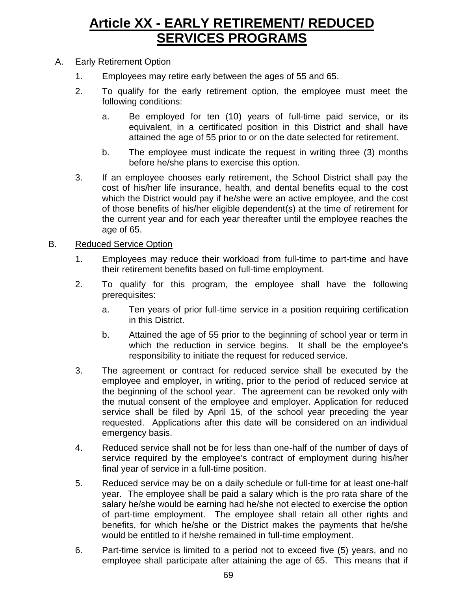## **Article XX - EARLY RETIREMENT/ REDUCED SERVICES PROGRAMS**

### A. Early Retirement Option

- 1. Employees may retire early between the ages of 55 and 65.
- 2. To qualify for the early retirement option, the employee must meet the following conditions:
	- a. Be employed for ten (10) years of full-time paid service, or its equivalent, in a certificated position in this District and shall have attained the age of 55 prior to or on the date selected for retirement.
	- b. The employee must indicate the request in writing three (3) months before he/she plans to exercise this option.
- 3. If an employee chooses early retirement, the School District shall pay the cost of his/her life insurance, health, and dental benefits equal to the cost which the District would pay if he/she were an active employee, and the cost of those benefits of his/her eligible dependent(s) at the time of retirement for the current year and for each year thereafter until the employee reaches the age of 65.

### B. Reduced Service Option

- 1. Employees may reduce their workload from full-time to part-time and have their retirement benefits based on full-time employment.
- 2. To qualify for this program, the employee shall have the following prerequisites:
	- a. Ten years of prior full-time service in a position requiring certification in this District.
	- b. Attained the age of 55 prior to the beginning of school year or term in which the reduction in service begins. It shall be the employee's responsibility to initiate the request for reduced service.
- 3. The agreement or contract for reduced service shall be executed by the employee and employer, in writing, prior to the period of reduced service at the beginning of the school year. The agreement can be revoked only with the mutual consent of the employee and employer. Application for reduced service shall be filed by April 15, of the school year preceding the year requested. Applications after this date will be considered on an individual emergency basis.
- 4. Reduced service shall not be for less than one-half of the number of days of service required by the employee's contract of employment during his/her final year of service in a full-time position.
- 5. Reduced service may be on a daily schedule or full-time for at least one-half year. The employee shall be paid a salary which is the pro rata share of the salary he/she would be earning had he/she not elected to exercise the option of part-time employment. The employee shall retain all other rights and benefits, for which he/she or the District makes the payments that he/she would be entitled to if he/she remained in full-time employment.
- 6. Part-time service is limited to a period not to exceed five (5) years, and no employee shall participate after attaining the age of 65. This means that if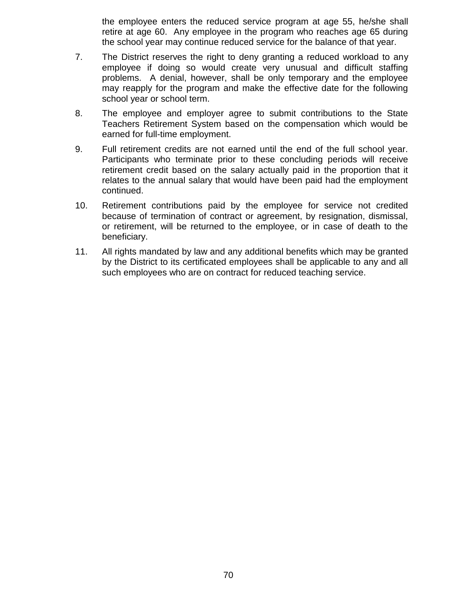the employee enters the reduced service program at age 55, he/she shall retire at age 60. Any employee in the program who reaches age 65 during the school year may continue reduced service for the balance of that year.

- 7. The District reserves the right to deny granting a reduced workload to any employee if doing so would create very unusual and difficult staffing problems. A denial, however, shall be only temporary and the employee may reapply for the program and make the effective date for the following school year or school term.
- 8. The employee and employer agree to submit contributions to the State Teachers Retirement System based on the compensation which would be earned for full-time employment.
- 9. Full retirement credits are not earned until the end of the full school year. Participants who terminate prior to these concluding periods will receive retirement credit based on the salary actually paid in the proportion that it relates to the annual salary that would have been paid had the employment continued.
- 10. Retirement contributions paid by the employee for service not credited because of termination of contract or agreement, by resignation, dismissal, or retirement, will be returned to the employee, or in case of death to the beneficiary.
- 11. All rights mandated by law and any additional benefits which may be granted by the District to its certificated employees shall be applicable to any and all such employees who are on contract for reduced teaching service.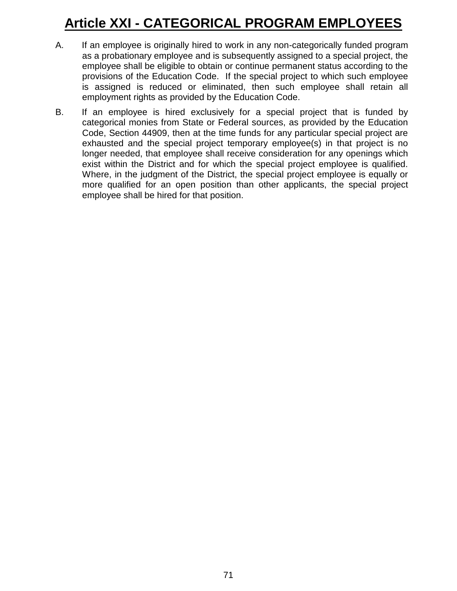# **Article XXI - CATEGORICAL PROGRAM EMPLOYEES**

- A. If an employee is originally hired to work in any non-categorically funded program as a probationary employee and is subsequently assigned to a special project, the employee shall be eligible to obtain or continue permanent status according to the provisions of the Education Code. If the special project to which such employee is assigned is reduced or eliminated, then such employee shall retain all employment rights as provided by the Education Code.
- B. If an employee is hired exclusively for a special project that is funded by categorical monies from State or Federal sources, as provided by the Education Code, Section 44909, then at the time funds for any particular special project are exhausted and the special project temporary employee(s) in that project is no longer needed, that employee shall receive consideration for any openings which exist within the District and for which the special project employee is qualified. Where, in the judgment of the District, the special project employee is equally or more qualified for an open position than other applicants, the special project employee shall be hired for that position.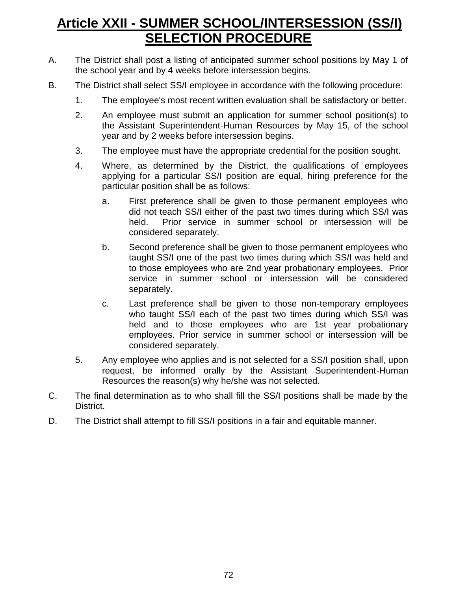## **Article XXII - SUMMER SCHOOL/INTERSESSION (SS/I) SELECTION PROCEDURE**

- A. The District shall post a listing of anticipated summer school positions by May 1 of the school year and by 4 weeks before intersession begins.
- B. The District shall select SS/I employee in accordance with the following procedure:
	- 1. The employee's most recent written evaluation shall be satisfactory or better.
	- 2. An employee must submit an application for summer school position(s) to the Assistant Superintendent-Human Resources by May 15, of the school year and by 2 weeks before intersession begins.
	- 3. The employee must have the appropriate credential for the position sought.
	- 4. Where, as determined by the District, the qualifications of employees applying for a particular SS/I position are equal, hiring preference for the particular position shall be as follows:
		- a. First preference shall be given to those permanent employees who did not teach SS/I either of the past two times during which SS/I was held. Prior service in summer school or intersession will be considered separately.
		- b. Second preference shall be given to those permanent employees who taught SS/I one of the past two times during which SS/I was held and to those employees who are 2nd year probationary employees. Prior service in summer school or intersession will be considered separately.
		- c. Last preference shall be given to those non-temporary employees who taught SS/I each of the past two times during which SS/I was held and to those employees who are 1st year probationary employees. Prior service in summer school or intersession will be considered separately.
	- 5. Any employee who applies and is not selected for a SS/I position shall, upon request, be informed orally by the Assistant Superintendent-Human Resources the reason(s) why he/she was not selected.
- C. The final determination as to who shall fill the SS/I positions shall be made by the District.
- D. The District shall attempt to fill SS/I positions in a fair and equitable manner.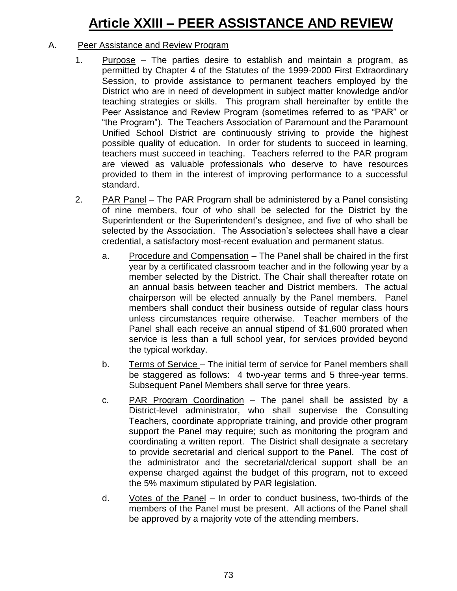# **Article XXIII – PEER ASSISTANCE AND REVIEW**

### A. Peer Assistance and Review Program

- 1. Purpose The parties desire to establish and maintain a program, as permitted by Chapter 4 of the Statutes of the 1999-2000 First Extraordinary Session, to provide assistance to permanent teachers employed by the District who are in need of development in subject matter knowledge and/or teaching strategies or skills. This program shall hereinafter by entitle the Peer Assistance and Review Program (sometimes referred to as "PAR" or "the Program"). The Teachers Association of Paramount and the Paramount Unified School District are continuously striving to provide the highest possible quality of education. In order for students to succeed in learning, teachers must succeed in teaching. Teachers referred to the PAR program are viewed as valuable professionals who deserve to have resources provided to them in the interest of improving performance to a successful standard.
- 2. PAR Panel The PAR Program shall be administered by a Panel consisting of nine members, four of who shall be selected for the District by the Superintendent or the Superintendent's designee, and five of who shall be selected by the Association. The Association's selectees shall have a clear credential, a satisfactory most-recent evaluation and permanent status.
	- a. Procedure and Compensation The Panel shall be chaired in the first year by a certificated classroom teacher and in the following year by a member selected by the District. The Chair shall thereafter rotate on an annual basis between teacher and District members. The actual chairperson will be elected annually by the Panel members. Panel members shall conduct their business outside of regular class hours unless circumstances require otherwise. Teacher members of the Panel shall each receive an annual stipend of \$1,600 prorated when service is less than a full school year, for services provided beyond the typical workday.
	- b. Terms of Service The initial term of service for Panel members shall be staggered as follows: 4 two-year terms and 5 three-year terms. Subsequent Panel Members shall serve for three years.
	- c. PAR Program Coordination The panel shall be assisted by a District-level administrator, who shall supervise the Consulting Teachers, coordinate appropriate training, and provide other program support the Panel may require; such as monitoring the program and coordinating a written report. The District shall designate a secretary to provide secretarial and clerical support to the Panel. The cost of the administrator and the secretarial/clerical support shall be an expense charged against the budget of this program, not to exceed the 5% maximum stipulated by PAR legislation.
	- d. Votes of the Panel In order to conduct business, two-thirds of the members of the Panel must be present. All actions of the Panel shall be approved by a majority vote of the attending members.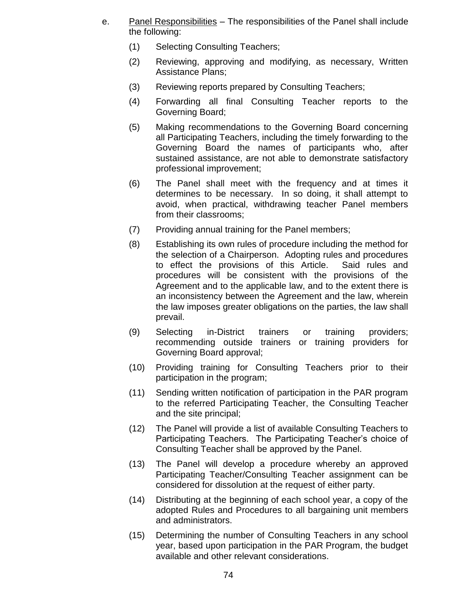- e. Panel Responsibilities The responsibilities of the Panel shall include the following:
	- (1) Selecting Consulting Teachers;
	- (2) Reviewing, approving and modifying, as necessary, Written Assistance Plans;
	- (3) Reviewing reports prepared by Consulting Teachers;
	- (4) Forwarding all final Consulting Teacher reports to the Governing Board;
	- (5) Making recommendations to the Governing Board concerning all Participating Teachers, including the timely forwarding to the Governing Board the names of participants who, after sustained assistance, are not able to demonstrate satisfactory professional improvement;
	- (6) The Panel shall meet with the frequency and at times it determines to be necessary. In so doing, it shall attempt to avoid, when practical, withdrawing teacher Panel members from their classrooms;
	- (7) Providing annual training for the Panel members;
	- (8) Establishing its own rules of procedure including the method for the selection of a Chairperson. Adopting rules and procedures to effect the provisions of this Article. Said rules and procedures will be consistent with the provisions of the Agreement and to the applicable law, and to the extent there is an inconsistency between the Agreement and the law, wherein the law imposes greater obligations on the parties, the law shall prevail.
	- (9) Selecting in-District trainers or training providers; recommending outside trainers or training providers for Governing Board approval;
	- (10) Providing training for Consulting Teachers prior to their participation in the program;
	- (11) Sending written notification of participation in the PAR program to the referred Participating Teacher, the Consulting Teacher and the site principal;
	- (12) The Panel will provide a list of available Consulting Teachers to Participating Teachers. The Participating Teacher's choice of Consulting Teacher shall be approved by the Panel.
	- (13) The Panel will develop a procedure whereby an approved Participating Teacher/Consulting Teacher assignment can be considered for dissolution at the request of either party.
	- (14) Distributing at the beginning of each school year, a copy of the adopted Rules and Procedures to all bargaining unit members and administrators.
	- (15) Determining the number of Consulting Teachers in any school year, based upon participation in the PAR Program, the budget available and other relevant considerations.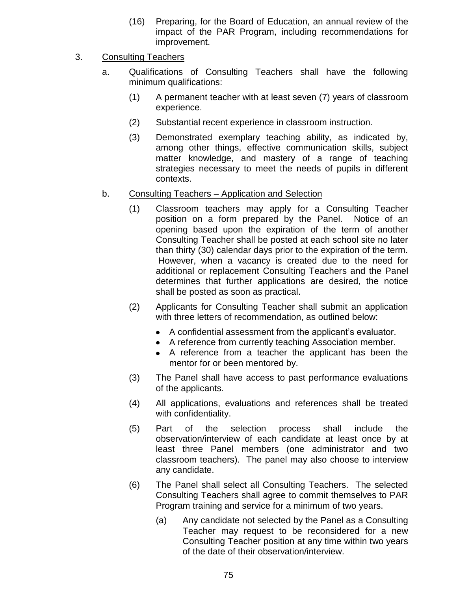(16) Preparing, for the Board of Education, an annual review of the impact of the PAR Program, including recommendations for improvement.

### 3. Consulting Teachers

- a. Qualifications of Consulting Teachers shall have the following minimum qualifications:
	- (1) A permanent teacher with at least seven (7) years of classroom experience.
	- (2) Substantial recent experience in classroom instruction.
	- (3) Demonstrated exemplary teaching ability, as indicated by, among other things, effective communication skills, subject matter knowledge, and mastery of a range of teaching strategies necessary to meet the needs of pupils in different contexts.
- b. Consulting Teachers Application and Selection
	- (1) Classroom teachers may apply for a Consulting Teacher position on a form prepared by the Panel. Notice of an opening based upon the expiration of the term of another Consulting Teacher shall be posted at each school site no later than thirty (30) calendar days prior to the expiration of the term. However, when a vacancy is created due to the need for additional or replacement Consulting Teachers and the Panel determines that further applications are desired, the notice shall be posted as soon as practical.
	- (2) Applicants for Consulting Teacher shall submit an application with three letters of recommendation, as outlined below:
		- A confidential assessment from the applicant's evaluator.
		- A reference from currently teaching Association member.
		- A reference from a teacher the applicant has been the mentor for or been mentored by.
	- (3) The Panel shall have access to past performance evaluations of the applicants.
	- (4) All applications, evaluations and references shall be treated with confidentiality.
	- (5) Part of the selection process shall include the observation/interview of each candidate at least once by at least three Panel members (one administrator and two classroom teachers). The panel may also choose to interview any candidate.
	- (6) The Panel shall select all Consulting Teachers. The selected Consulting Teachers shall agree to commit themselves to PAR Program training and service for a minimum of two years.
		- (a) Any candidate not selected by the Panel as a Consulting Teacher may request to be reconsidered for a new Consulting Teacher position at any time within two years of the date of their observation/interview.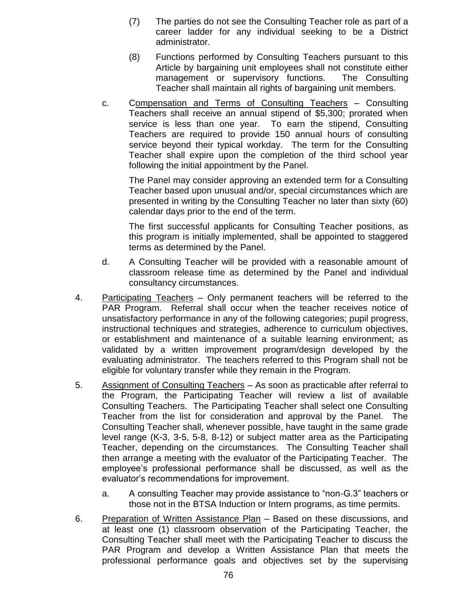- (7) The parties do not see the Consulting Teacher role as part of a career ladder for any individual seeking to be a District administrator.
- (8) Functions performed by Consulting Teachers pursuant to this Article by bargaining unit employees shall not constitute either management or supervisory functions. The Consulting Teacher shall maintain all rights of bargaining unit members.
- c. Compensation and Terms of Consulting Teachers Consulting Teachers shall receive an annual stipend of \$5,300; prorated when service is less than one year. To earn the stipend, Consulting Teachers are required to provide 150 annual hours of consulting service beyond their typical workday. The term for the Consulting Teacher shall expire upon the completion of the third school year following the initial appointment by the Panel.

The Panel may consider approving an extended term for a Consulting Teacher based upon unusual and/or, special circumstances which are presented in writing by the Consulting Teacher no later than sixty (60) calendar days prior to the end of the term.

The first successful applicants for Consulting Teacher positions, as this program is initially implemented, shall be appointed to staggered terms as determined by the Panel.

- d. A Consulting Teacher will be provided with a reasonable amount of classroom release time as determined by the Panel and individual consultancy circumstances.
- 4. Participating Teachers Only permanent teachers will be referred to the PAR Program. Referral shall occur when the teacher receives notice of unsatisfactory performance in any of the following categories; pupil progress, instructional techniques and strategies, adherence to curriculum objectives, or establishment and maintenance of a suitable learning environment; as validated by a written improvement program/design developed by the evaluating administrator. The teachers referred to this Program shall not be eligible for voluntary transfer while they remain in the Program.
- 5. Assignment of Consulting Teachers As soon as practicable after referral to the Program, the Participating Teacher will review a list of available Consulting Teachers. The Participating Teacher shall select one Consulting Teacher from the list for consideration and approval by the Panel. The Consulting Teacher shall, whenever possible, have taught in the same grade level range (K-3, 3-5, 5-8, 8-12) or subject matter area as the Participating Teacher, depending on the circumstances. The Consulting Teacher shall then arrange a meeting with the evaluator of the Participating Teacher. The employee's professional performance shall be discussed, as well as the evaluator's recommendations for improvement.
	- a. A consulting Teacher may provide assistance to "non-G.3" teachers or those not in the BTSA Induction or Intern programs, as time permits.
- 6. Preparation of Written Assistance Plan Based on these discussions, and at least one (1) classroom observation of the Participating Teacher, the Consulting Teacher shall meet with the Participating Teacher to discuss the PAR Program and develop a Written Assistance Plan that meets the professional performance goals and objectives set by the supervising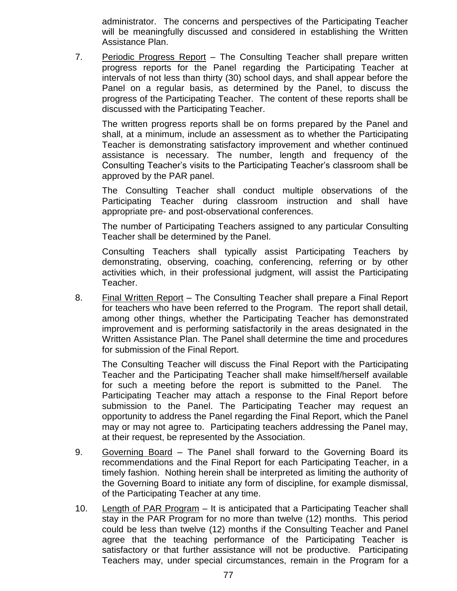administrator. The concerns and perspectives of the Participating Teacher will be meaningfully discussed and considered in establishing the Written Assistance Plan.

7. Periodic Progress Report – The Consulting Teacher shall prepare written progress reports for the Panel regarding the Participating Teacher at intervals of not less than thirty (30) school days, and shall appear before the Panel on a regular basis, as determined by the Panel, to discuss the progress of the Participating Teacher. The content of these reports shall be discussed with the Participating Teacher.

The written progress reports shall be on forms prepared by the Panel and shall, at a minimum, include an assessment as to whether the Participating Teacher is demonstrating satisfactory improvement and whether continued assistance is necessary. The number, length and frequency of the Consulting Teacher's visits to the Participating Teacher's classroom shall be approved by the PAR panel.

The Consulting Teacher shall conduct multiple observations of the Participating Teacher during classroom instruction and shall have appropriate pre- and post-observational conferences.

The number of Participating Teachers assigned to any particular Consulting Teacher shall be determined by the Panel.

Consulting Teachers shall typically assist Participating Teachers by demonstrating, observing, coaching, conferencing, referring or by other activities which, in their professional judgment, will assist the Participating Teacher.

8. Final Written Report – The Consulting Teacher shall prepare a Final Report for teachers who have been referred to the Program. The report shall detail, among other things, whether the Participating Teacher has demonstrated improvement and is performing satisfactorily in the areas designated in the Written Assistance Plan. The Panel shall determine the time and procedures for submission of the Final Report.

The Consulting Teacher will discuss the Final Report with the Participating Teacher and the Participating Teacher shall make himself/herself available for such a meeting before the report is submitted to the Panel. The Participating Teacher may attach a response to the Final Report before submission to the Panel. The Participating Teacher may request an opportunity to address the Panel regarding the Final Report, which the Panel may or may not agree to. Participating teachers addressing the Panel may, at their request, be represented by the Association.

- 9. Governing Board The Panel shall forward to the Governing Board its recommendations and the Final Report for each Participating Teacher, in a timely fashion. Nothing herein shall be interpreted as limiting the authority of the Governing Board to initiate any form of discipline, for example dismissal, of the Participating Teacher at any time.
- 10. Length of PAR Program It is anticipated that a Participating Teacher shall stay in the PAR Program for no more than twelve (12) months. This period could be less than twelve (12) months if the Consulting Teacher and Panel agree that the teaching performance of the Participating Teacher is satisfactory or that further assistance will not be productive. Participating Teachers may, under special circumstances, remain in the Program for a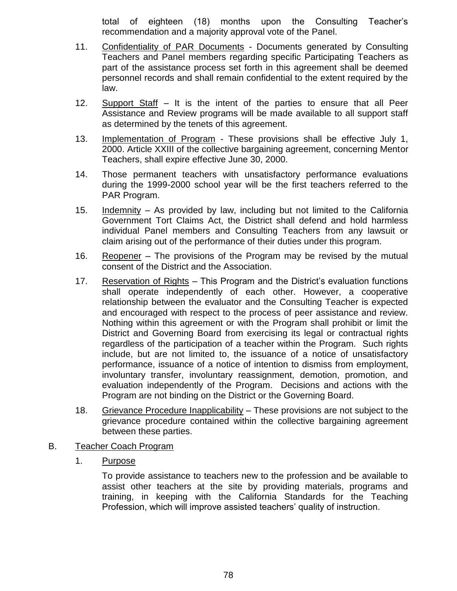total of eighteen (18) months upon the Consulting Teacher's recommendation and a majority approval vote of the Panel.

- 11. Confidentiality of PAR Documents Documents generated by Consulting Teachers and Panel members regarding specific Participating Teachers as part of the assistance process set forth in this agreement shall be deemed personnel records and shall remain confidential to the extent required by the law.
- 12. Support Staff It is the intent of the parties to ensure that all Peer Assistance and Review programs will be made available to all support staff as determined by the tenets of this agreement.
- 13. Implementation of Program These provisions shall be effective July 1, 2000. Article XXIII of the collective bargaining agreement, concerning Mentor Teachers, shall expire effective June 30, 2000.
- 14. Those permanent teachers with unsatisfactory performance evaluations during the 1999-2000 school year will be the first teachers referred to the PAR Program.
- 15. Indemnity As provided by law, including but not limited to the California Government Tort Claims Act, the District shall defend and hold harmless individual Panel members and Consulting Teachers from any lawsuit or claim arising out of the performance of their duties under this program.
- 16. Reopener The provisions of the Program may be revised by the mutual consent of the District and the Association.
- 17. Reservation of Rights This Program and the District's evaluation functions shall operate independently of each other. However, a cooperative relationship between the evaluator and the Consulting Teacher is expected and encouraged with respect to the process of peer assistance and review. Nothing within this agreement or with the Program shall prohibit or limit the District and Governing Board from exercising its legal or contractual rights regardless of the participation of a teacher within the Program. Such rights include, but are not limited to, the issuance of a notice of unsatisfactory performance, issuance of a notice of intention to dismiss from employment, involuntary transfer, involuntary reassignment, demotion, promotion, and evaluation independently of the Program. Decisions and actions with the Program are not binding on the District or the Governing Board.
- 18. Grievance Procedure Inapplicability These provisions are not subject to the grievance procedure contained within the collective bargaining agreement between these parties.
- B. Teacher Coach Program
	- 1. Purpose

To provide assistance to teachers new to the profession and be available to assist other teachers at the site by providing materials, programs and training, in keeping with the California Standards for the Teaching Profession, which will improve assisted teachers' quality of instruction.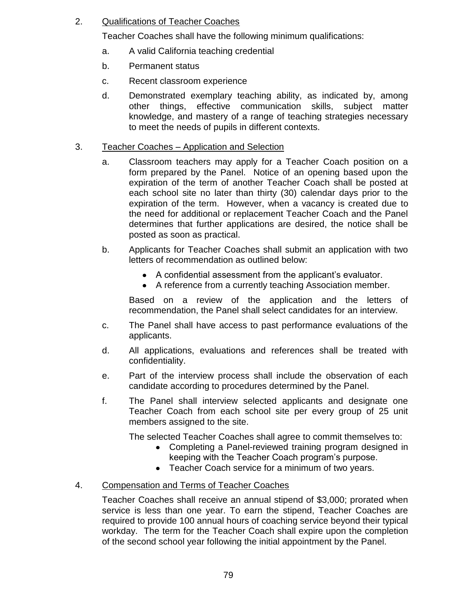### 2. Qualifications of Teacher Coaches

Teacher Coaches shall have the following minimum qualifications:

- a. A valid California teaching credential
- b. Permanent status
- c. Recent classroom experience
- d. Demonstrated exemplary teaching ability, as indicated by, among other things, effective communication skills, subject matter knowledge, and mastery of a range of teaching strategies necessary to meet the needs of pupils in different contexts.

### 3. Teacher Coaches – Application and Selection

- a. Classroom teachers may apply for a Teacher Coach position on a form prepared by the Panel. Notice of an opening based upon the expiration of the term of another Teacher Coach shall be posted at each school site no later than thirty (30) calendar days prior to the expiration of the term. However, when a vacancy is created due to the need for additional or replacement Teacher Coach and the Panel determines that further applications are desired, the notice shall be posted as soon as practical.
- b. Applicants for Teacher Coaches shall submit an application with two letters of recommendation as outlined below:
	- A confidential assessment from the applicant's evaluator.
	- A reference from a currently teaching Association member.

Based on a review of the application and the letters of recommendation, the Panel shall select candidates for an interview.

- c. The Panel shall have access to past performance evaluations of the applicants.
- d. All applications, evaluations and references shall be treated with confidentiality.
- e. Part of the interview process shall include the observation of each candidate according to procedures determined by the Panel.
- f. The Panel shall interview selected applicants and designate one Teacher Coach from each school site per every group of 25 unit members assigned to the site.

The selected Teacher Coaches shall agree to commit themselves to:

- Completing a Panel-reviewed training program designed in keeping with the Teacher Coach program's purpose.
- Teacher Coach service for a minimum of two years.

### 4. Compensation and Terms of Teacher Coaches

Teacher Coaches shall receive an annual stipend of \$3,000; prorated when service is less than one year. To earn the stipend, Teacher Coaches are required to provide 100 annual hours of coaching service beyond their typical workday. The term for the Teacher Coach shall expire upon the completion of the second school year following the initial appointment by the Panel.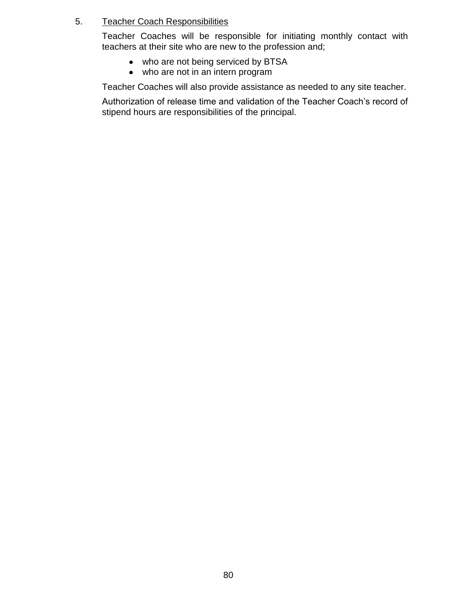### 5. Teacher Coach Responsibilities

Teacher Coaches will be responsible for initiating monthly contact with teachers at their site who are new to the profession and;

- who are not being serviced by BTSA
- $\bullet$  who are not in an intern program

Teacher Coaches will also provide assistance as needed to any site teacher.

Authorization of release time and validation of the Teacher Coach's record of stipend hours are responsibilities of the principal.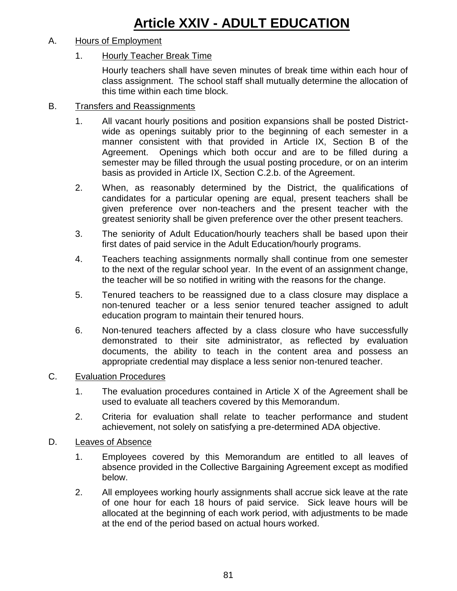# **Article XXIV - ADULT EDUCATION**

### A. Hours of Employment

### 1. Hourly Teacher Break Time

Hourly teachers shall have seven minutes of break time within each hour of class assignment. The school staff shall mutually determine the allocation of this time within each time block.

### B. Transfers and Reassignments

- 1. All vacant hourly positions and position expansions shall be posted Districtwide as openings suitably prior to the beginning of each semester in a manner consistent with that provided in Article IX, Section B of the Agreement. Openings which both occur and are to be filled during a semester may be filled through the usual posting procedure, or on an interim basis as provided in Article IX, Section C.2.b. of the Agreement.
- 2. When, as reasonably determined by the District, the qualifications of candidates for a particular opening are equal, present teachers shall be given preference over non-teachers and the present teacher with the greatest seniority shall be given preference over the other present teachers.
- 3. The seniority of Adult Education/hourly teachers shall be based upon their first dates of paid service in the Adult Education/hourly programs.
- 4. Teachers teaching assignments normally shall continue from one semester to the next of the regular school year. In the event of an assignment change, the teacher will be so notified in writing with the reasons for the change.
- 5. Tenured teachers to be reassigned due to a class closure may displace a non-tenured teacher or a less senior tenured teacher assigned to adult education program to maintain their tenured hours.
- 6. Non-tenured teachers affected by a class closure who have successfully demonstrated to their site administrator, as reflected by evaluation documents, the ability to teach in the content area and possess an appropriate credential may displace a less senior non-tenured teacher.

### C. Evaluation Procedures

- 1. The evaluation procedures contained in Article X of the Agreement shall be used to evaluate all teachers covered by this Memorandum.
- 2. Criteria for evaluation shall relate to teacher performance and student achievement, not solely on satisfying a pre-determined ADA objective.

### D. Leaves of Absence

- 1. Employees covered by this Memorandum are entitled to all leaves of absence provided in the Collective Bargaining Agreement except as modified below.
- 2. All employees working hourly assignments shall accrue sick leave at the rate of one hour for each 18 hours of paid service. Sick leave hours will be allocated at the beginning of each work period, with adjustments to be made at the end of the period based on actual hours worked.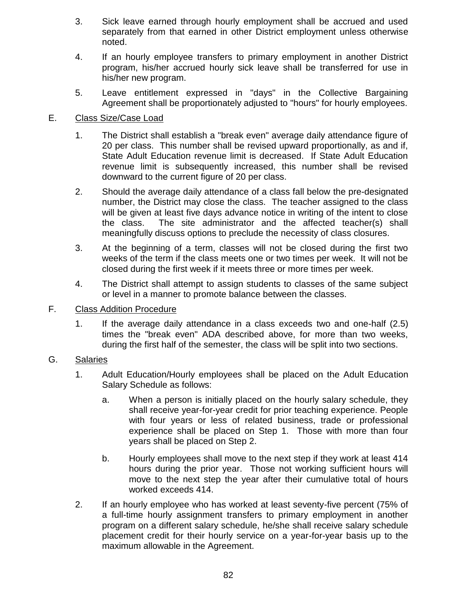- 3. Sick leave earned through hourly employment shall be accrued and used separately from that earned in other District employment unless otherwise noted.
- 4. If an hourly employee transfers to primary employment in another District program, his/her accrued hourly sick leave shall be transferred for use in his/her new program.
- 5. Leave entitlement expressed in "days" in the Collective Bargaining Agreement shall be proportionately adjusted to "hours" for hourly employees.

### E. Class Size/Case Load

- 1. The District shall establish a "break even" average daily attendance figure of 20 per class. This number shall be revised upward proportionally, as and if, State Adult Education revenue limit is decreased. If State Adult Education revenue limit is subsequently increased, this number shall be revised downward to the current figure of 20 per class.
- 2. Should the average daily attendance of a class fall below the pre-designated number, the District may close the class. The teacher assigned to the class will be given at least five days advance notice in writing of the intent to close the class. The site administrator and the affected teacher(s) shall meaningfully discuss options to preclude the necessity of class closures.
- 3. At the beginning of a term, classes will not be closed during the first two weeks of the term if the class meets one or two times per week. It will not be closed during the first week if it meets three or more times per week.
- 4. The District shall attempt to assign students to classes of the same subject or level in a manner to promote balance between the classes.

### F. Class Addition Procedure

1. If the average daily attendance in a class exceeds two and one-half (2.5) times the "break even" ADA described above, for more than two weeks, during the first half of the semester, the class will be split into two sections.

### G. Salaries

- 1. Adult Education/Hourly employees shall be placed on the Adult Education Salary Schedule as follows:
	- a. When a person is initially placed on the hourly salary schedule, they shall receive year-for-year credit for prior teaching experience. People with four years or less of related business, trade or professional experience shall be placed on Step 1. Those with more than four years shall be placed on Step 2.
	- b. Hourly employees shall move to the next step if they work at least 414 hours during the prior year. Those not working sufficient hours will move to the next step the year after their cumulative total of hours worked exceeds 414.
- 2. If an hourly employee who has worked at least seventy-five percent (75% of a full-time hourly assignment transfers to primary employment in another program on a different salary schedule, he/she shall receive salary schedule placement credit for their hourly service on a year-for-year basis up to the maximum allowable in the Agreement.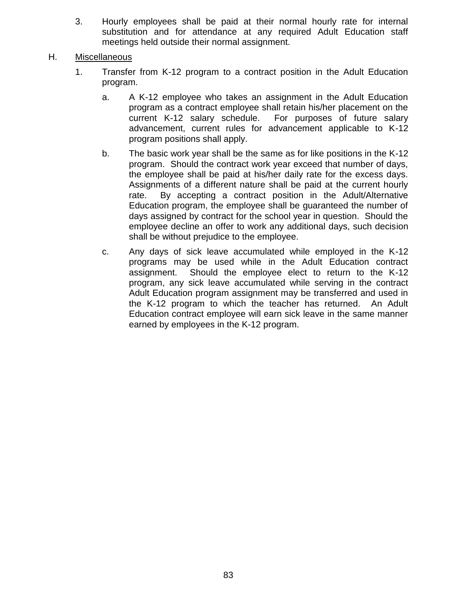3. Hourly employees shall be paid at their normal hourly rate for internal substitution and for attendance at any required Adult Education staff meetings held outside their normal assignment.

### H. Miscellaneous

- 1. Transfer from K-12 program to a contract position in the Adult Education program.
	- a. A K-12 employee who takes an assignment in the Adult Education program as a contract employee shall retain his/her placement on the current K-12 salary schedule. For purposes of future salary advancement, current rules for advancement applicable to K-12 program positions shall apply.
	- b. The basic work year shall be the same as for like positions in the K-12 program. Should the contract work year exceed that number of days, the employee shall be paid at his/her daily rate for the excess days. Assignments of a different nature shall be paid at the current hourly rate. By accepting a contract position in the Adult/Alternative Education program, the employee shall be guaranteed the number of days assigned by contract for the school year in question. Should the employee decline an offer to work any additional days, such decision shall be without prejudice to the employee.
	- c. Any days of sick leave accumulated while employed in the K-12 programs may be used while in the Adult Education contract assignment. Should the employee elect to return to the K-12 program, any sick leave accumulated while serving in the contract Adult Education program assignment may be transferred and used in the K-12 program to which the teacher has returned. An Adult Education contract employee will earn sick leave in the same manner earned by employees in the K-12 program.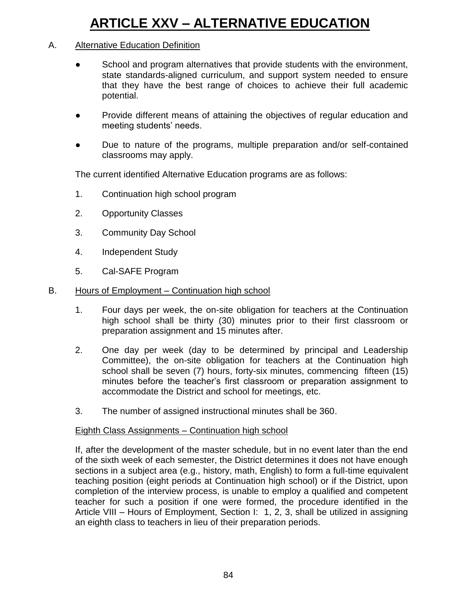# **ARTICLE XXV – ALTERNATIVE EDUCATION**

### A. Alternative Education Definition

- School and program alternatives that provide students with the environment, state standards-aligned curriculum, and support system needed to ensure that they have the best range of choices to achieve their full academic potential.
- Provide different means of attaining the objectives of regular education and meeting students' needs.
- Due to nature of the programs, multiple preparation and/or self-contained classrooms may apply.

The current identified Alternative Education programs are as follows:

- 1. Continuation high school program
- 2. Opportunity Classes
- 3. Community Day School
- 4. Independent Study
- 5. Cal-SAFE Program
- B. Hours of Employment Continuation high school
	- 1. Four days per week, the on-site obligation for teachers at the Continuation high school shall be thirty (30) minutes prior to their first classroom or preparation assignment and 15 minutes after.
	- 2. One day per week (day to be determined by principal and Leadership Committee), the on-site obligation for teachers at the Continuation high school shall be seven (7) hours, forty-six minutes, commencing fifteen (15) minutes before the teacher's first classroom or preparation assignment to accommodate the District and school for meetings, etc.
	- 3. The number of assigned instructional minutes shall be 360.

### Eighth Class Assignments – Continuation high school

If, after the development of the master schedule, but in no event later than the end of the sixth week of each semester, the District determines it does not have enough sections in a subject area (e.g., history, math, English) to form a full-time equivalent teaching position (eight periods at Continuation high school) or if the District, upon completion of the interview process, is unable to employ a qualified and competent teacher for such a position if one were formed, the procedure identified in the Article VIII – Hours of Employment, Section I: 1, 2, 3, shall be utilized in assigning an eighth class to teachers in lieu of their preparation periods.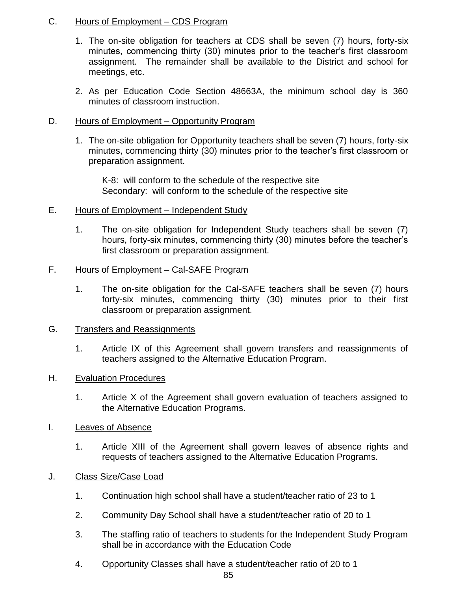### C. Hours of Employment – CDS Program

- 1. The on-site obligation for teachers at CDS shall be seven (7) hours, forty-six minutes, commencing thirty (30) minutes prior to the teacher's first classroom assignment. The remainder shall be available to the District and school for meetings, etc.
- 2. As per Education Code Section 48663A, the minimum school day is 360 minutes of classroom instruction.

### D. Hours of Employment – Opportunity Program

1. The on-site obligation for Opportunity teachers shall be seven (7) hours, forty-six minutes, commencing thirty (30) minutes prior to the teacher's first classroom or preparation assignment.

K-8: will conform to the schedule of the respective site Secondary: will conform to the schedule of the respective site

- E. Hours of Employment Independent Study
	- 1. The on-site obligation for Independent Study teachers shall be seven (7) hours, forty-six minutes, commencing thirty (30) minutes before the teacher's first classroom or preparation assignment.

### F. Hours of Employment - Cal-SAFE Program

1. The on-site obligation for the Cal-SAFE teachers shall be seven (7) hours forty-six minutes, commencing thirty (30) minutes prior to their first classroom or preparation assignment.

### G. Transfers and Reassignments

1. Article IX of this Agreement shall govern transfers and reassignments of teachers assigned to the Alternative Education Program.

### H. Evaluation Procedures

- 1. Article X of the Agreement shall govern evaluation of teachers assigned to the Alternative Education Programs.
- I. Leaves of Absence
	- 1. Article XIII of the Agreement shall govern leaves of absence rights and requests of teachers assigned to the Alternative Education Programs.
- J. Class Size/Case Load
	- 1. Continuation high school shall have a student/teacher ratio of 23 to 1
	- 2. Community Day School shall have a student/teacher ratio of 20 to 1
	- 3. The staffing ratio of teachers to students for the Independent Study Program shall be in accordance with the Education Code
	- 4. Opportunity Classes shall have a student/teacher ratio of 20 to 1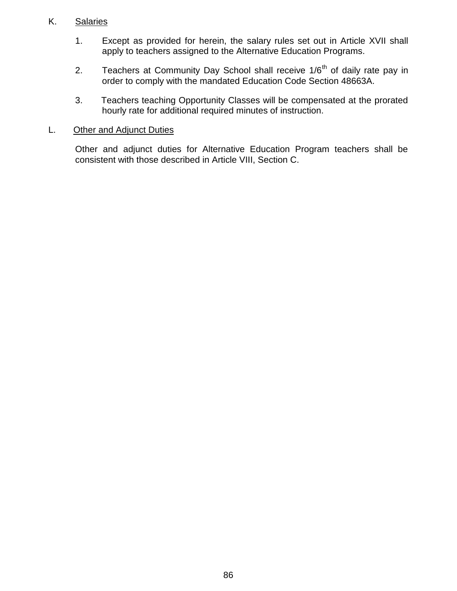### K. Salaries

- 1. Except as provided for herein, the salary rules set out in Article XVII shall apply to teachers assigned to the Alternative Education Programs.
- 2. Teachers at Community Day School shall receive  $1/6<sup>th</sup>$  of daily rate pay in order to comply with the mandated Education Code Section 48663A.
- 3. Teachers teaching Opportunity Classes will be compensated at the prorated hourly rate for additional required minutes of instruction.

### L. Other and Adjunct Duties

Other and adjunct duties for Alternative Education Program teachers shall be consistent with those described in Article VIII, Section C.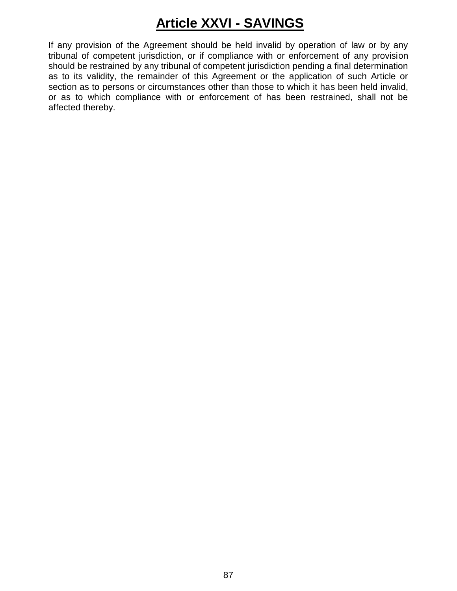# **Article XXVI - SAVINGS**

If any provision of the Agreement should be held invalid by operation of law or by any tribunal of competent jurisdiction, or if compliance with or enforcement of any provision should be restrained by any tribunal of competent jurisdiction pending a final determination as to its validity, the remainder of this Agreement or the application of such Article or section as to persons or circumstances other than those to which it has been held invalid, or as to which compliance with or enforcement of has been restrained, shall not be affected thereby.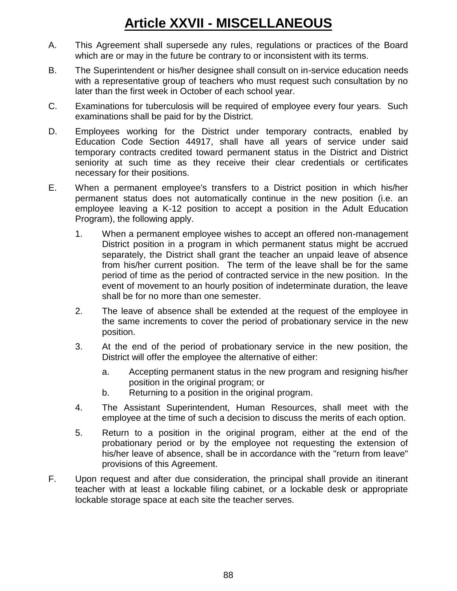# **Article XXVII - MISCELLANEOUS**

- A. This Agreement shall supersede any rules, regulations or practices of the Board which are or may in the future be contrary to or inconsistent with its terms.
- B. The Superintendent or his/her designee shall consult on in-service education needs with a representative group of teachers who must request such consultation by no later than the first week in October of each school year.
- C. Examinations for tuberculosis will be required of employee every four years. Such examinations shall be paid for by the District.
- D. Employees working for the District under temporary contracts, enabled by Education Code Section 44917, shall have all years of service under said temporary contracts credited toward permanent status in the District and District seniority at such time as they receive their clear credentials or certificates necessary for their positions.
- E. When a permanent employee's transfers to a District position in which his/her permanent status does not automatically continue in the new position (i.e. an employee leaving a K-12 position to accept a position in the Adult Education Program), the following apply.
	- 1. When a permanent employee wishes to accept an offered non-management District position in a program in which permanent status might be accrued separately, the District shall grant the teacher an unpaid leave of absence from his/her current position. The term of the leave shall be for the same period of time as the period of contracted service in the new position. In the event of movement to an hourly position of indeterminate duration, the leave shall be for no more than one semester.
	- 2. The leave of absence shall be extended at the request of the employee in the same increments to cover the period of probationary service in the new position.
	- 3. At the end of the period of probationary service in the new position, the District will offer the employee the alternative of either:
		- a. Accepting permanent status in the new program and resigning his/her position in the original program; or
		- b. Returning to a position in the original program.
	- 4. The Assistant Superintendent, Human Resources, shall meet with the employee at the time of such a decision to discuss the merits of each option.
	- 5. Return to a position in the original program, either at the end of the probationary period or by the employee not requesting the extension of his/her leave of absence, shall be in accordance with the "return from leave" provisions of this Agreement.
- F. Upon request and after due consideration, the principal shall provide an itinerant teacher with at least a lockable filing cabinet, or a lockable desk or appropriate lockable storage space at each site the teacher serves.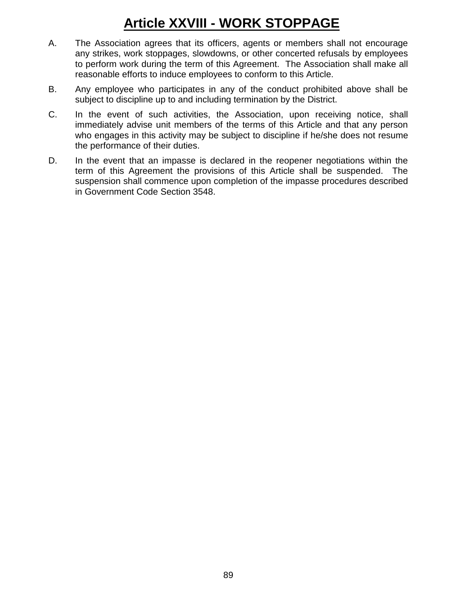# **Article XXVIII - WORK STOPPAGE**

- A. The Association agrees that its officers, agents or members shall not encourage any strikes, work stoppages, slowdowns, or other concerted refusals by employees to perform work during the term of this Agreement. The Association shall make all reasonable efforts to induce employees to conform to this Article.
- B. Any employee who participates in any of the conduct prohibited above shall be subject to discipline up to and including termination by the District.
- C. In the event of such activities, the Association, upon receiving notice, shall immediately advise unit members of the terms of this Article and that any person who engages in this activity may be subject to discipline if he/she does not resume the performance of their duties.
- D. In the event that an impasse is declared in the reopener negotiations within the term of this Agreement the provisions of this Article shall be suspended. The suspension shall commence upon completion of the impasse procedures described in Government Code Section 3548.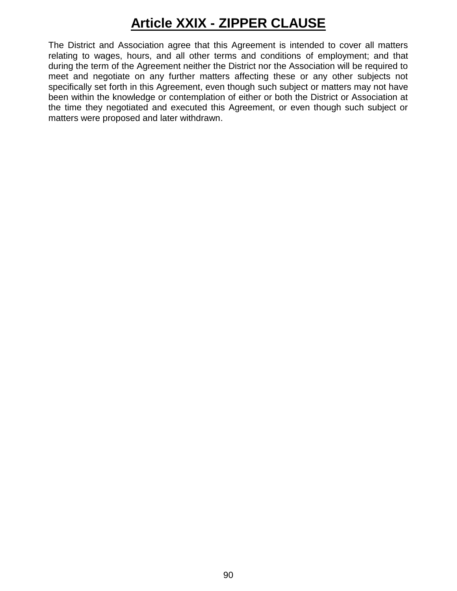# **Article XXIX - ZIPPER CLAUSE**

The District and Association agree that this Agreement is intended to cover all matters relating to wages, hours, and all other terms and conditions of employment; and that during the term of the Agreement neither the District nor the Association will be required to meet and negotiate on any further matters affecting these or any other subjects not specifically set forth in this Agreement, even though such subject or matters may not have been within the knowledge or contemplation of either or both the District or Association at the time they negotiated and executed this Agreement, or even though such subject or matters were proposed and later withdrawn.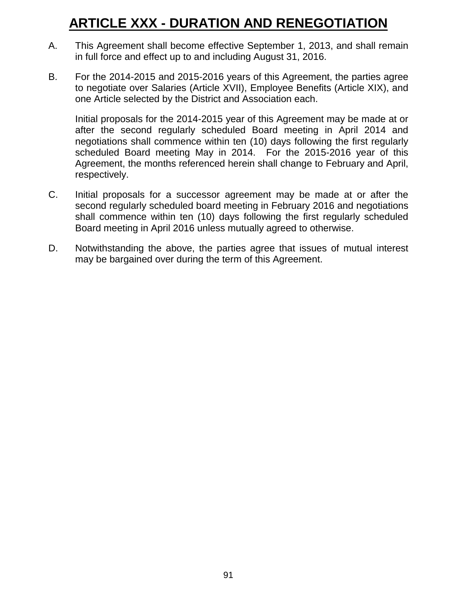## **ARTICLE XXX - DURATION AND RENEGOTIATION**

- A. This Agreement shall become effective September 1, 2013, and shall remain in full force and effect up to and including August 31, 2016.
- B. For the 2014-2015 and 2015-2016 years of this Agreement, the parties agree to negotiate over Salaries (Article XVII), Employee Benefits (Article XIX), and one Article selected by the District and Association each.

Initial proposals for the 2014-2015 year of this Agreement may be made at or after the second regularly scheduled Board meeting in April 2014 and negotiations shall commence within ten (10) days following the first regularly scheduled Board meeting May in 2014. For the 2015-2016 year of this Agreement, the months referenced herein shall change to February and April, respectively.

- C. Initial proposals for a successor agreement may be made at or after the second regularly scheduled board meeting in February 2016 and negotiations shall commence within ten (10) days following the first regularly scheduled Board meeting in April 2016 unless mutually agreed to otherwise.
- D. Notwithstanding the above, the parties agree that issues of mutual interest may be bargained over during the term of this Agreement.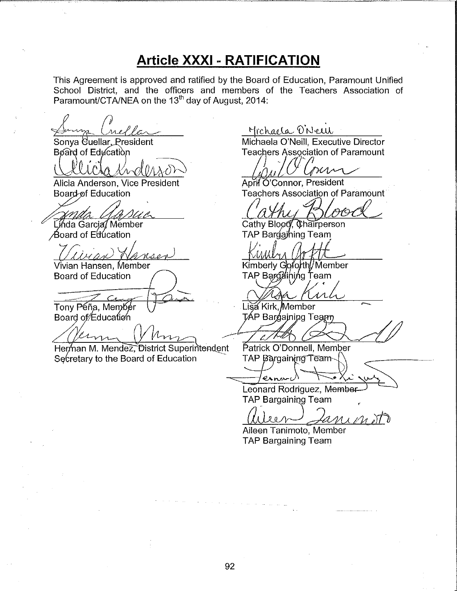## **Article XXXI - RATIFICATION**

This Agreement is approved and ratified by the Board of Education, Paramount Unified School District, and the officers and members of the Teachers Association of Paramount/CTA/NEA on the 13<sup>th</sup> day of August, 2014:

Sonva Cuellar, President Board of Education

Alicia Anderson, Vice President Board of Education

Linda Garcia Member Board of Education

Vivian Hansen, Member **Board of Education** 

Tony Péña, Membér

Board of Education

Herman M. Mendez District Superintendent Secretary to the Board of Education

Michaela O'New

Michaela O'Neill, Executive Director **Teachers Association of Paramount** 

mn

April O'Connor, President **Teachers Association of Paramount** 

Cathy Blood, Chairperson TAP Bargaining Team

Kimberly Goforth/Member TAP Bargdining Team

イハ

Lisa Kirk Member TÁP Bar¢aining Team

Patrick O'Donnell, Member TAP Bargaining Team

esnarc

Leonard Rodriguez, Member **TAP Bargaining Team** 

 $\frac{1}{2}$   $\frac{1}{2}$ 

Aileen Tanimoto, Member **TAP Bargaining Team**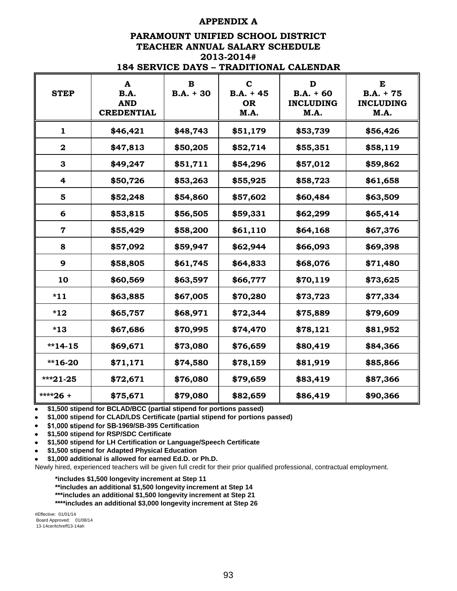#### **APPENDIX A**

#### **PARAMOUNT UNIFIED SCHOOL DISTRICT TEACHER ANNUAL SALARY SCHEDULE 2013-2014# 184 SERVICE DAYS – TRADITIONAL CALENDAR**

| 104 SERVIÇE DATS – TRADITIONAL CALENDAR |                                                     |                         |                                                 |                                              |                                              |
|-----------------------------------------|-----------------------------------------------------|-------------------------|-------------------------------------------------|----------------------------------------------|----------------------------------------------|
| <b>STEP</b>                             | A<br><b>B.A.</b><br><b>AND</b><br><b>CREDENTIAL</b> | $\bf{B}$<br>$B.A. + 30$ | $\mathbf C$<br>$B.A. + 45$<br><b>OR</b><br>M.A. | D<br>$B.A. + 60$<br><b>INCLUDING</b><br>M.A. | E<br>$B.A. + 75$<br><b>INCLUDING</b><br>M.A. |
| 1                                       | \$46,421                                            | \$48,743                | \$51,179                                        | \$53,739                                     | \$56,426                                     |
| $\mathbf 2$                             | \$47,813                                            | \$50,205                | \$52,714                                        | \$55,351                                     | \$58,119                                     |
| 3                                       | \$49,247                                            | \$51,711                | \$54,296                                        | \$57,012                                     | \$59,862                                     |
| 4                                       | \$50,726                                            | \$53,263                | \$55,925                                        | \$58,723                                     | \$61,658                                     |
| $\overline{\mathbf{5}}$                 | \$52,248                                            | \$54,860                | \$57,602                                        | \$60,484                                     | \$63,509                                     |
| 6                                       | \$53,815                                            | \$56,505                | \$59,331                                        | \$62,299                                     | \$65,414                                     |
| $\mathbf 7$                             | \$55,429                                            | \$58,200                | \$61,110                                        | \$64,168                                     | \$67,376                                     |
| 8                                       | \$57,092                                            | \$59,947                | \$62,944                                        | \$66,093                                     | \$69,398                                     |
| 9                                       | \$58,805                                            | \$61,745                | \$64,833                                        | \$68,076                                     | \$71,480                                     |
| 10                                      | \$60,569                                            | \$63,597                | \$66,777                                        | \$70,119                                     | \$73,625                                     |
| $*11$                                   | \$63,885                                            | \$67,005                | \$70,280                                        | \$73,723                                     | \$77,334                                     |
| $*12$                                   | \$65,757                                            | \$68,971                | \$72,344                                        | \$75,889                                     | \$79,609                                     |
| $*13$                                   | \$67,686                                            | \$70,995                | \$74,470                                        | \$78,121                                     | \$81,952                                     |
| $*14-15$                                | \$69,671                                            | \$73,080                | \$76,659                                        | \$80,419                                     | \$84,366                                     |
| $*16-20$                                | \$71,171                                            | \$74,580                | \$78,159                                        | \$81,919                                     | \$85,866                                     |
| $***21-25$                              | \$72,671                                            | \$76,080                | \$79,659                                        | \$83,419                                     | \$87,366                                     |
| ****26 +                                | \$75,671                                            | \$79,080                | \$82,659                                        | \$86,419                                     | \$90,366                                     |

 **\$1,500 stipend for BCLAD/BCC (partial stipend for portions passed)**

 $\bullet$  **\$1,000 stipend for CLAD/LDS Certificate (partial stipend for portions passed)**

 $\bullet$ \$1,000 stipend for SB-1969/SB-395 Certification

- **\$1,500 stipend for RSP/SDC Certificate**
- **\$1,500 stipend for LH Certification or Language/Speech Certificate**  $\bullet$
- **\$1,500 stipend for Adapted Physical Education**  $\bullet$

 **\$1,000 additional is allowed for earned Ed.D. or Ph.D.**

Newly hired, experienced teachers will be given full credit for their prior qualified professional, contractual employment.

**\*includes \$1,500 longevity increment at Step 11**

- **\*\*includes an additional \$1,500 longevity increment at Step 14**
- **\*\*\*includes an additional \$1,500 longevity increment at Step 21**
- **\*\*\*\*includes an additional \$3,000 longevity increment at Step 26**

#Effective: 01/01/14 Board Approved: 01/08/14 13-14cer/tchreff13-14ah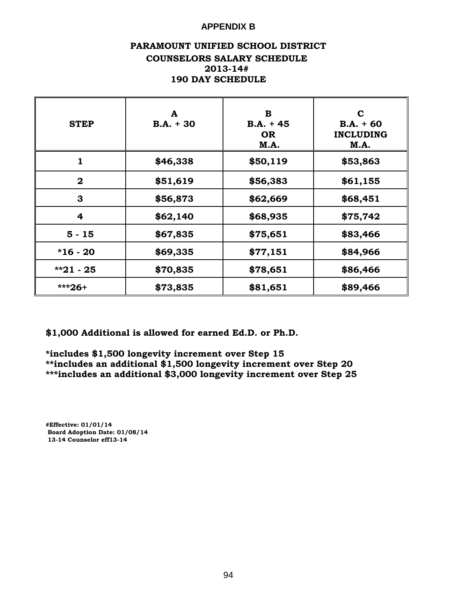### **APPENDIX B**

### **PARAMOUNT UNIFIED SCHOOL DISTRICT COUNSELORS SALARY SCHEDULE 2013-14# 190 DAY SCHEDULE**

| <b>STEP</b>    | A<br>$B.A. + 30$ | в<br>$B.A. + 45$<br><b>OR</b><br>M.A. | C<br>$B.A. + 60$<br><b>INCLUDING</b><br>M.A. |
|----------------|------------------|---------------------------------------|----------------------------------------------|
| 1              | \$46,338         | \$50,119                              | \$53,863                                     |
| $\mathbf{2}$   | \$51,619         | \$56,383                              | \$61,155                                     |
| 3              | \$56,873         | \$62,669                              | \$68,451                                     |
| $\overline{4}$ | \$62,140         | \$68,935                              | \$75,742                                     |
| $5 - 15$       | \$67,835         | \$75,651                              | \$83,466                                     |
| $*16 - 20$     | \$69,335         | \$77,151                              | \$84,966                                     |
| $*21 - 25$     | \$70,835         | \$78,651                              | \$86,466                                     |
| $***26+$       | \$73,835         | \$81,651                              | \$89,466                                     |

**\$1,000 Additional is allowed for earned Ed.D. or Ph.D.**

**\*includes \$1,500 longevity increment over Step 15 \*\*includes an additional \$1,500 longevity increment over Step 20 \*\*\*includes an additional \$3,000 longevity increment over Step 25**

**#Effective: 01/01/14 Board Adoption Date: 01/08/14 13-14 Counselor eff13-14**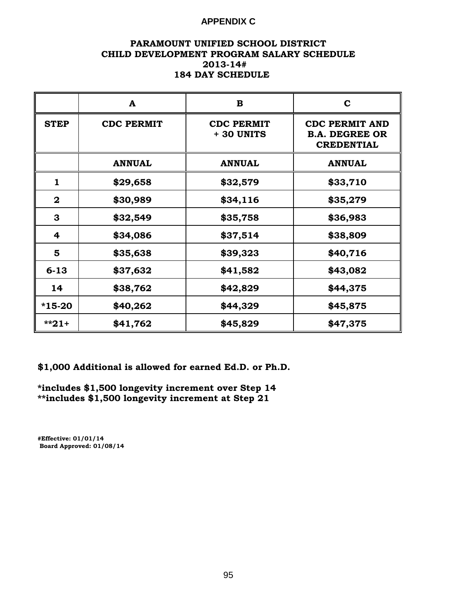### **APPENDIX C**

#### **PARAMOUNT UNIFIED SCHOOL DISTRICT CHILD DEVELOPMENT PROGRAM SALARY SCHEDULE 2013-14# 184 DAY SCHEDULE**

|             | A                 | B                               | $\mathbf C$                                                         |
|-------------|-------------------|---------------------------------|---------------------------------------------------------------------|
| <b>STEP</b> | <b>CDC PERMIT</b> | <b>CDC PERMIT</b><br>+ 30 UNITS | <b>CDC PERMIT AND</b><br><b>B.A. DEGREE OR</b><br><b>CREDENTIAL</b> |
|             | <b>ANNUAL</b>     | <b>ANNUAL</b>                   | <b>ANNUAL</b>                                                       |
| 1           | \$29,658          | \$32,579                        | \$33,710                                                            |
| $\mathbf 2$ | \$30,989          | \$34,116                        | \$35,279                                                            |
| 3           | \$32,549          | \$35,758                        | \$36,983                                                            |
| 4           | \$34,086          | \$37,514                        | \$38,809                                                            |
| 5           | \$35,638          | \$39,323                        | \$40,716                                                            |
| $6 - 13$    | \$37,632          | \$41,582                        | \$43,082                                                            |
| 14          | \$38,762          | \$42,829                        | \$44,375                                                            |
| $*15-20$    | \$40,262          | \$44,329                        | \$45,875                                                            |
| $*21+$      | \$41,762          | \$45,829                        | \$47,375                                                            |

**\$1,000 Additional is allowed for earned Ed.D. or Ph.D.**

**\*includes \$1,500 longevity increment over Step 14 \*\*includes \$1,500 longevity increment at Step 21**

**#Effective: 01/01/14 Board Approved: 01/08/14**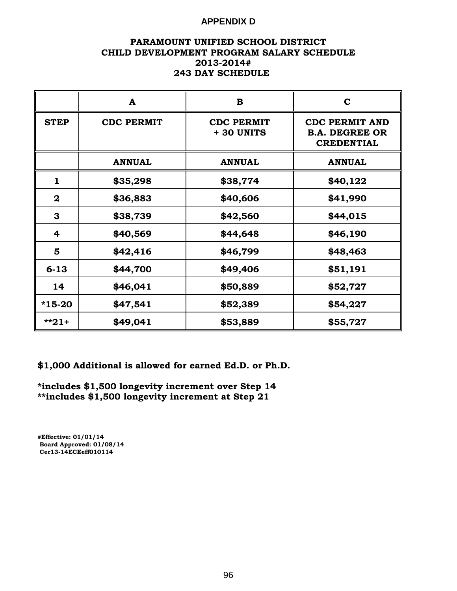### **APPENDIX D**

### **PARAMOUNT UNIFIED SCHOOL DISTRICT CHILD DEVELOPMENT PROGRAM SALARY SCHEDULE 2013-2014# 243 DAY SCHEDULE**

|              | A                 | $\bf{B}$                        | $\mathbf C$                                                         |
|--------------|-------------------|---------------------------------|---------------------------------------------------------------------|
| <b>STEP</b>  | <b>CDC PERMIT</b> | <b>CDC PERMIT</b><br>+ 30 UNITS | <b>CDC PERMIT AND</b><br><b>B.A. DEGREE OR</b><br><b>CREDENTIAL</b> |
|              | <b>ANNUAL</b>     | <b>ANNUAL</b>                   | <b>ANNUAL</b>                                                       |
| $\mathbf{1}$ | \$35,298          | \$38,774                        | \$40,122                                                            |
| $\mathbf 2$  | \$36,883          | \$40,606                        | \$41,990                                                            |
| 3            | \$38,739          | \$42,560                        | \$44,015                                                            |
| 4            | \$40,569          | \$44,648                        | \$46,190                                                            |
| 5            | \$42,416          | \$46,799                        | \$48,463                                                            |
| $6 - 13$     | \$44,700          | \$49,406                        | \$51,191                                                            |
| 14           | \$46,041          | \$50,889                        | \$52,727                                                            |
| $*15-20$     | \$47,541          | \$52,389                        | \$54,227                                                            |
| $*21+$       | \$49,041          | \$53,889                        | \$55,727                                                            |

**\$1,000 Additional is allowed for earned Ed.D. or Ph.D.**

**\*includes \$1,500 longevity increment over Step 14 \*\*includes \$1,500 longevity increment at Step 21**

**#Effective: 01/01/14 Board Approved: 01/08/14 Cer13-14ECEeff010114**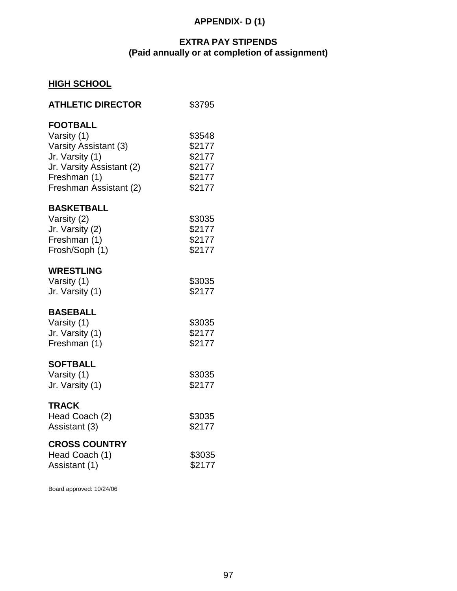### **APPENDIX- D (1)**

## **EXTRA PAY STIPENDS (Paid annually or at completion of assignment)**

## **HIGH SCHOOL**

| \$3795                                                   |
|----------------------------------------------------------|
| \$3548<br>\$2177<br>\$2177<br>\$2177<br>\$2177<br>\$2177 |
| \$3035<br>\$2177<br>\$2177<br>\$2177                     |
| \$3035<br>\$2177                                         |
| \$3035<br>\$2177<br>\$2177                               |
| \$3035<br>\$2177                                         |
| \$3035<br>\$2177                                         |
| \$3035<br>\$2177                                         |
|                                                          |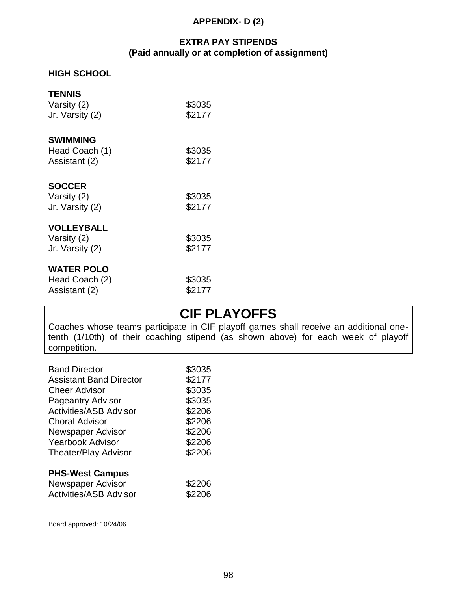### **APPENDIX- D (2)**

### **EXTRA PAY STIPENDS (Paid annually or at completion of assignment)**

### **HIGH SCHOOL**

| <b>TENNIS</b><br>Varsity (2)<br>Jr. Varsity (2)     | \$3035<br>\$2177 |
|-----------------------------------------------------|------------------|
| <b>SWIMMING</b><br>Head Coach (1)<br>Assistant (2)  | \$3035<br>\$2177 |
| <b>SOCCER</b><br>Varsity (2)<br>Jr. Varsity (2)     | \$3035<br>\$2177 |
| <b>VOLLEYBALL</b><br>Varsity (2)<br>Jr. Varsity (2) | \$3035<br>\$2177 |
| <b>WATER POLO</b><br>Head Coach (2)                 | \$3035           |

Assistant (2) \$2177

## **CIF PLAYOFFS**

Coaches whose teams participate in CIF playoff games shall receive an additional onetenth (1/10th) of their coaching stipend (as shown above) for each week of playoff competition.

| <b>Band Director</b>           | \$3035 |
|--------------------------------|--------|
| <b>Assistant Band Director</b> | \$2177 |
| Cheer Advisor                  | \$3035 |
| <b>Pageantry Advisor</b>       | \$3035 |
| <b>Activities/ASB Advisor</b>  | \$2206 |
| Choral Advisor                 | \$2206 |
| Newspaper Advisor              | \$2206 |
| <b>Yearbook Advisor</b>        | \$2206 |
| <b>Theater/Play Advisor</b>    | \$2206 |
| <b>PHS-West Campus</b>         |        |
| Newspaper Advisor              | \$2206 |
| <b>Activities/ASB Advisor</b>  | \$2206 |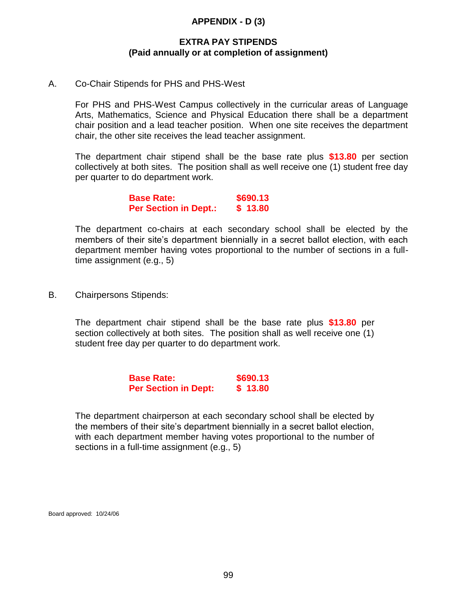### **APPENDIX - D (3)**

### **EXTRA PAY STIPENDS (Paid annually or at completion of assignment)**

### A. Co-Chair Stipends for PHS and PHS-West

For PHS and PHS-West Campus collectively in the curricular areas of Language Arts, Mathematics, Science and Physical Education there shall be a department chair position and a lead teacher position. When one site receives the department chair, the other site receives the lead teacher assignment.

The department chair stipend shall be the base rate plus **\$13.80** per section collectively at both sites. The position shall as well receive one (1) student free day per quarter to do department work.

> **Base Rate: \$690.13 Per Section in Dept.: \$ 13.80**

The department co-chairs at each secondary school shall be elected by the members of their site's department biennially in a secret ballot election, with each department member having votes proportional to the number of sections in a fulltime assignment (e.g., 5)

B. Chairpersons Stipends:

The department chair stipend shall be the base rate plus **\$13.80** per section collectively at both sites. The position shall as well receive one (1) student free day per quarter to do department work.

> **Base Rate: \$690.13 Per Section in Dept: \$ 13.80**

The department chairperson at each secondary school shall be elected by the members of their site's department biennially in a secret ballot election, with each department member having votes proportional to the number of sections in a full-time assignment (e.g., 5)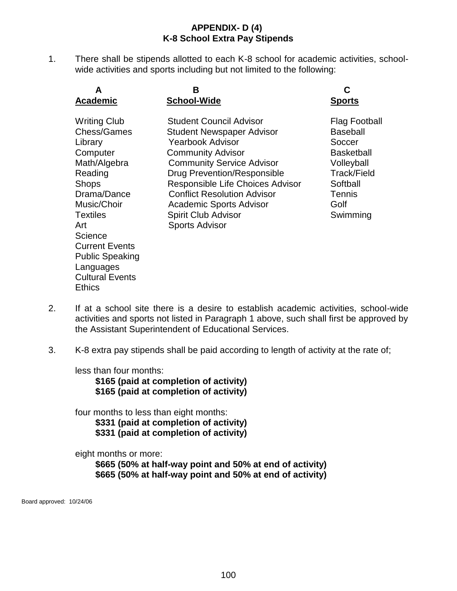### **APPENDIX- D (4) K-8 School Extra Pay Stipends**

1. There shall be stipends allotted to each K-8 school for academic activities, schoolwide activities and sports including but not limited to the following:

| A                                                                                                                                                                                                                                                                           | В                                                                                                                                                                                                                                                                                                                                                 | C                                                                                                                                      |
|-----------------------------------------------------------------------------------------------------------------------------------------------------------------------------------------------------------------------------------------------------------------------------|---------------------------------------------------------------------------------------------------------------------------------------------------------------------------------------------------------------------------------------------------------------------------------------------------------------------------------------------------|----------------------------------------------------------------------------------------------------------------------------------------|
| <b>Academic</b>                                                                                                                                                                                                                                                             | <b>School-Wide</b>                                                                                                                                                                                                                                                                                                                                | <u>Sports</u>                                                                                                                          |
| <b>Writing Club</b><br>Chess/Games<br>Library<br>Computer<br>Math/Algebra<br>Reading<br><b>Shops</b><br>Drama/Dance<br>Music/Choir<br><b>Textiles</b><br>Art<br>Science<br><b>Current Events</b><br><b>Public Speaking</b><br>Languages<br><b>Cultural Events</b><br>Ethics | Student Council Advisor<br>Student Newspaper Advisor<br><b>Yearbook Advisor</b><br><b>Community Advisor</b><br><b>Community Service Advisor</b><br>Drug Prevention/Responsible<br>Responsible Life Choices Advisor<br><b>Conflict Resolution Advisor</b><br><b>Academic Sports Advisor</b><br><b>Spirit Club Advisor</b><br><b>Sports Advisor</b> | Flag Football<br><b>Baseball</b><br>Soccer<br><b>Basketball</b><br>Volleyball<br>Track/Field<br>Softball<br>Tennis<br>Golf<br>Swimming |

- 2. If at a school site there is a desire to establish academic activities, school-wide activities and sports not listed in Paragraph 1 above, such shall first be approved by the Assistant Superintendent of Educational Services.
- 3. K-8 extra pay stipends shall be paid according to length of activity at the rate of;

less than four months:

**\$165 (paid at completion of activity) \$165 (paid at completion of activity)**

four months to less than eight months:

**\$331 (paid at completion of activity) \$331 (paid at completion of activity)**

eight months or more:

**\$665 (50% at half-way point and 50% at end of activity) \$665 (50% at half-way point and 50% at end of activity)**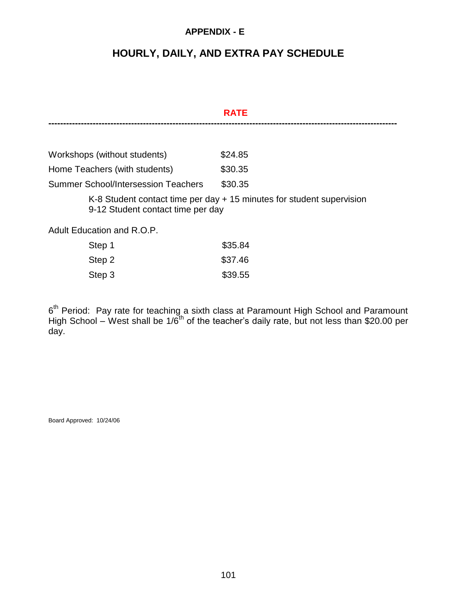### **APPENDIX - E**

## **HOURLY, DAILY, AND EXTRA PAY SCHEDULE**

|                                            | <b>RATE</b>                                                           |
|--------------------------------------------|-----------------------------------------------------------------------|
|                                            |                                                                       |
| Workshops (without students)               | \$24.85                                                               |
| Home Teachers (with students)              | \$30.35                                                               |
| <b>Summer School/Intersession Teachers</b> | \$30.35                                                               |
| 9-12 Student contact time per day          | K-8 Student contact time per day + 15 minutes for student supervision |
| Adult Education and R.O.P.                 |                                                                       |
| Step 1                                     | \$35.84                                                               |
| Step 2                                     | \$37.46                                                               |

| $- - - -$ | .       |
|-----------|---------|
| Step 3    | \$39.55 |

6<sup>th</sup> Period: Pay rate for teaching a sixth class at Paramount High School and Paramount High School – West shall be  $1/6^{th}$  of the teacher's daily rate, but not less than \$20.00 per day.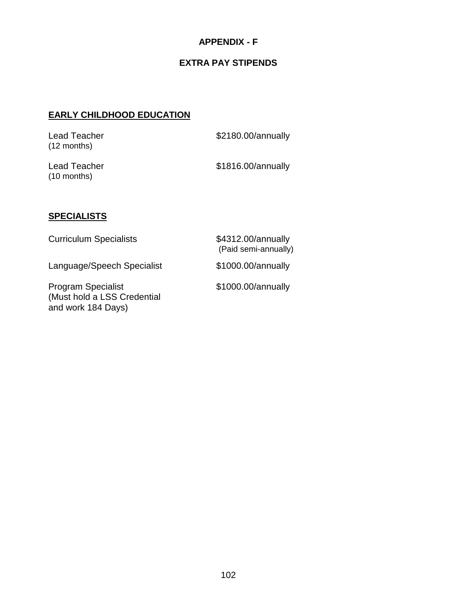### **APPENDIX - F**

## **EXTRA PAY STIPENDS**

### **EARLY CHILDHOOD EDUCATION**

| Lead Teacher<br>$(12$ months) | \$2180.00/annually |
|-------------------------------|--------------------|
| Lead Teacher<br>$(10$ months) | \$1816.00/annually |

### **SPECIALISTS**

| <b>Curriculum Specialists</b>                                                  | \$4312.00/annually<br>(Paid semi-annually) |
|--------------------------------------------------------------------------------|--------------------------------------------|
| Language/Speech Specialist                                                     | \$1000.00/annually                         |
| <b>Program Specialist</b><br>(Must hold a LSS Credential<br>and work 184 Days) | \$1000.00/annually                         |